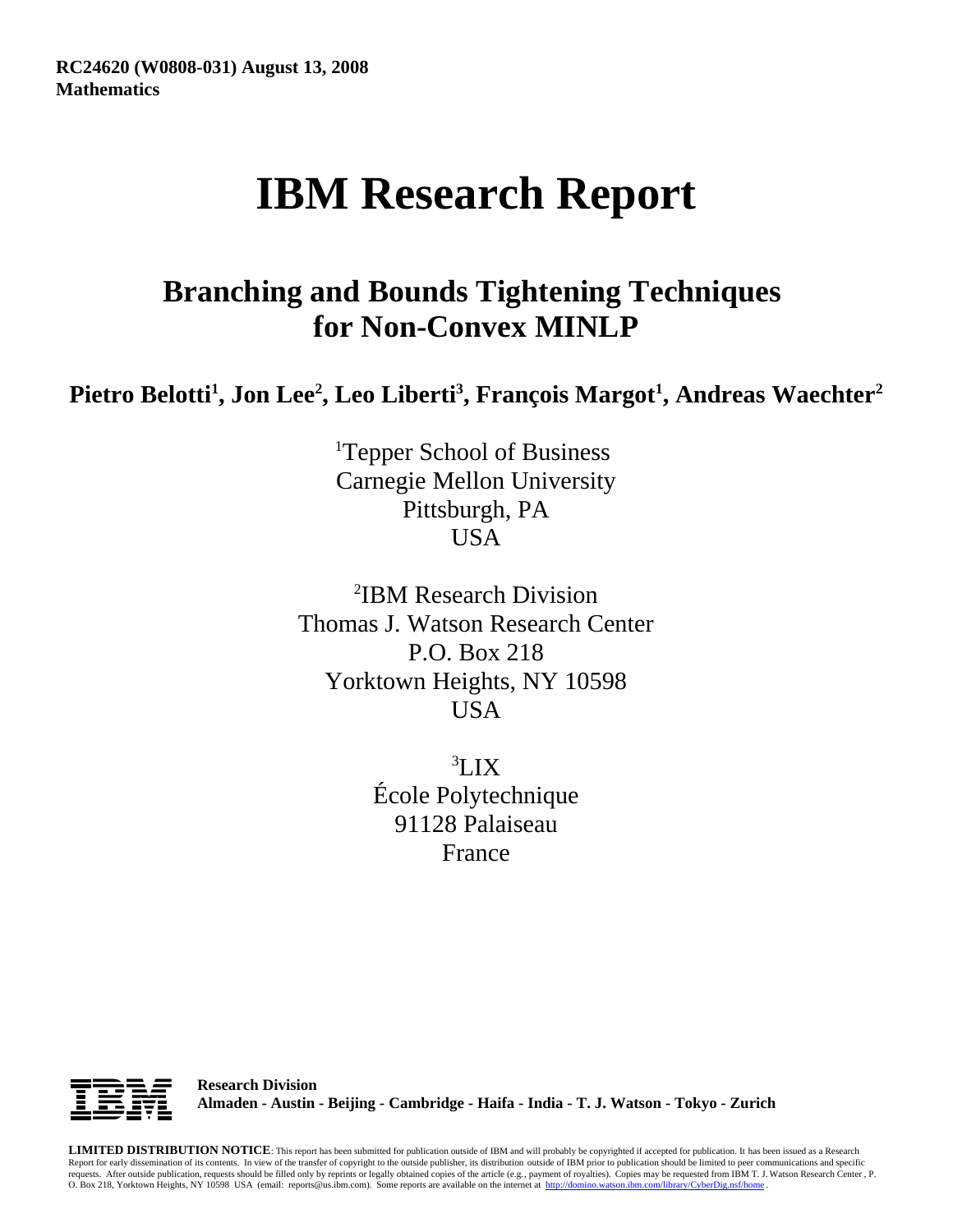# **IBM Research Report**

## **Branching and Bounds Tightening Techniques for Non-Convex MINLP**

Pietro Belotti<sup>1</sup>, Jon Lee<sup>2</sup>, Leo Liberti<sup>3</sup>, François Margot<sup>1</sup>, Andreas Waechter<sup>2</sup>

<sup>1</sup>Tepper School of Business Carnegie Mellon University Pittsburgh, PA USA

2 IBM Research Division Thomas J. Watson Research Center P.O. Box 218 Yorktown Heights, NY 10598 USA

> 3 LIX École Polytechnique 91128 Palaiseau France



**Research Division Almaden - Austin - Beijing - Cambridge - Haifa - India - T. J. Watson - Tokyo - Zurich**

**LIMITED DISTRIBUTION NOTICE**: This report has been submitted for publication outside of IBM and will probably be copyrighted if accepted for publication. It has been issued as a Research Report for early dissemination of its contents. In view of the transfer of copyright to the outside publisher, its distribution outside of IBM prior to publication should be limited to peer communications and specific requests. After outside publication, requests should be filled only by reprints or legally obtained copies of the article (e.g. , payment of royalties). Copies may be requested from IBM T. J. Watson Research Center , P. O. Box 218, Yorktown Heights, NY 10598 USA (email: reports@us.ibm.com). Some reports are available on the internet at http://domino.watson.ibm.com/library/CyberDig.nsf/home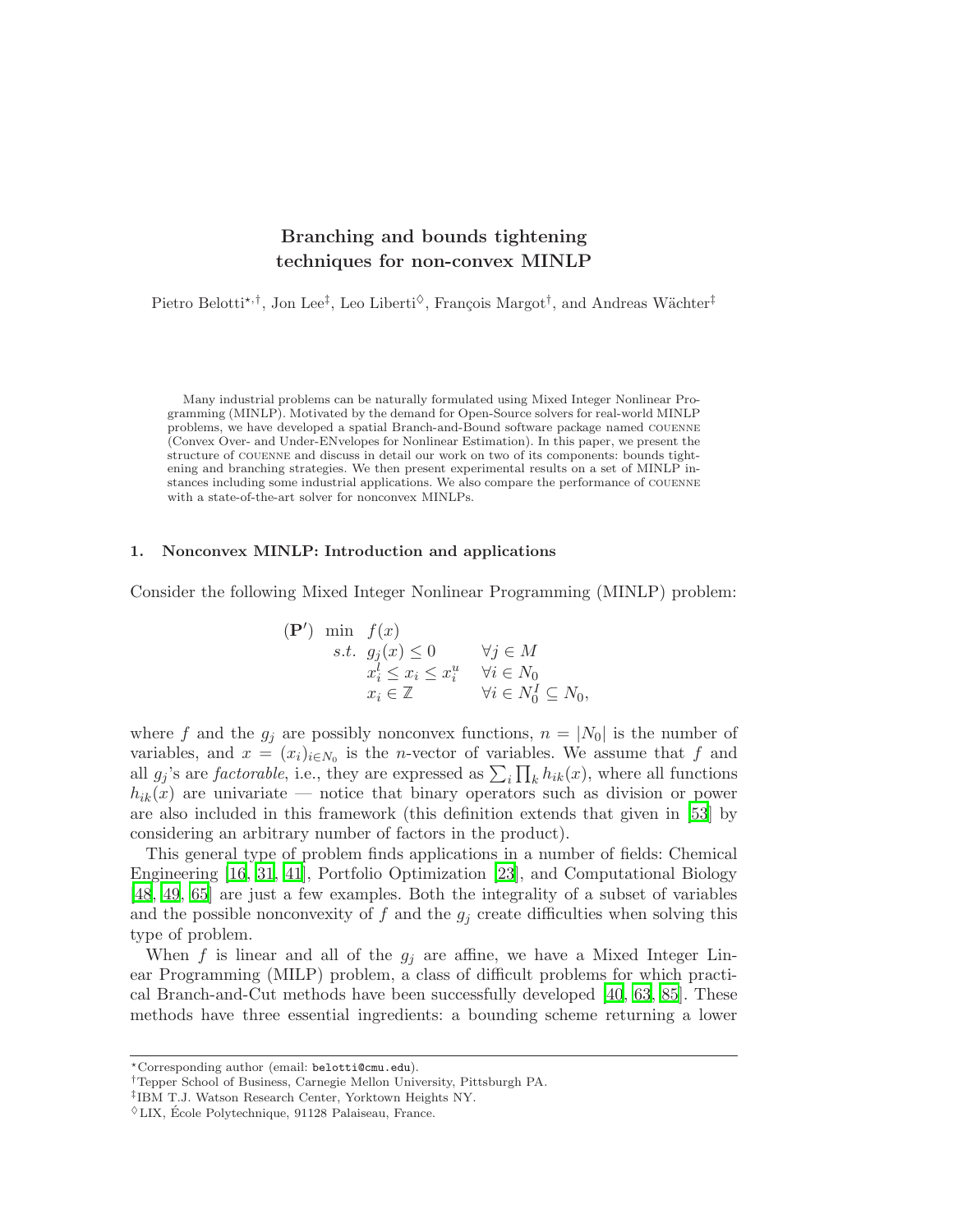### Branching and bounds tightening techniques for non-convex MINLP

Pietro Belotti<sup>\*,†</sup>, Jon Lee<sup>‡</sup>, Leo Liberti<sup> $\diamond$ </sup>, François Margot<sup>†</sup>, and Andreas Wächter<sup>‡</sup>

Many industrial problems can be naturally formulated using Mixed Integer Nonlinear Programming (MINLP). Motivated by the demand for Open-Source solvers for real-world MINLP problems, we have developed a spatial Branch-and-Bound software package named couenne (Convex Over- and Under-ENvelopes for Nonlinear Estimation). In this paper, we present the structure of couenne and discuss in detail our work on two of its components: bounds tightening and branching strategies. We then present experimental results on a set of MINLP instances including some industrial applications. We also compare the performance of couenne with a state-of-the-art solver for nonconvex MINLPs.

#### <span id="page-1-0"></span>1. Nonconvex MINLP: Introduction and applications

Consider the following Mixed Integer Nonlinear Programming (MINLP) problem:

$$
\begin{array}{ll}\n(\mathbf{P}') & \min \quad f(x) \\
s.t. \quad g_j(x) \le 0 & \forall j \in M \\
x_i^l \le x_i \le x_i^u & \forall i \in N_0 \\
x_i \in \mathbb{Z} & \forall i \in N_0^I \subseteq N_0,\n\end{array}
$$

where f and the  $g_j$  are possibly nonconvex functions,  $n = |N_0|$  is the number of variables, and  $x = (x_i)_{i \in N_0}$  is the *n*-vector of variables. We assume that f and all  $g_j$ 's are *factorable*, i.e., they are expressed as  $\sum_i \prod_k h_{ik}(x)$ , where all functions  $h_{ik}(x)$  are univariate — notice that binary operators such as division or power are also included in this framework (this definition extends that given in [\[53](#page-35-0)] by considering an arbitrary number of factors in the product).

This general type of problem finds applications in a number of fields: Chemical Engineering [\[16](#page-34-0), [31](#page-35-1), [41](#page-35-2)], Portfolio Optimization [\[23\]](#page-34-1), and Computational Biology [\[48](#page-35-3), [49,](#page-35-4) [65\]](#page-35-5) are just a few examples. Both the integrality of a subset of variables and the possible nonconvexity of  $f$  and the  $g_j$  create difficulties when solving this type of problem.

When f is linear and all of the  $g_i$  are affine, we have a Mixed Integer Linear Programming (MILP) problem, a class of difficult problems for which practical Branch-and-Cut methods have been successfully developed [\[40,](#page-35-6) [63](#page-35-7), [85](#page-36-0)]. These methods have three essential ingredients: a bounding scheme returning a lower

<sup>⋆</sup>Corresponding author (email: belotti@cmu.edu).

<sup>†</sup>Tepper School of Business, Carnegie Mellon University, Pittsburgh PA.

<sup>‡</sup> IBM T.J. Watson Research Center, Yorktown Heights NY.

 $\sqrt[6]{\text{LIX}}$ , École Polytechnique, 91128 Palaiseau, France.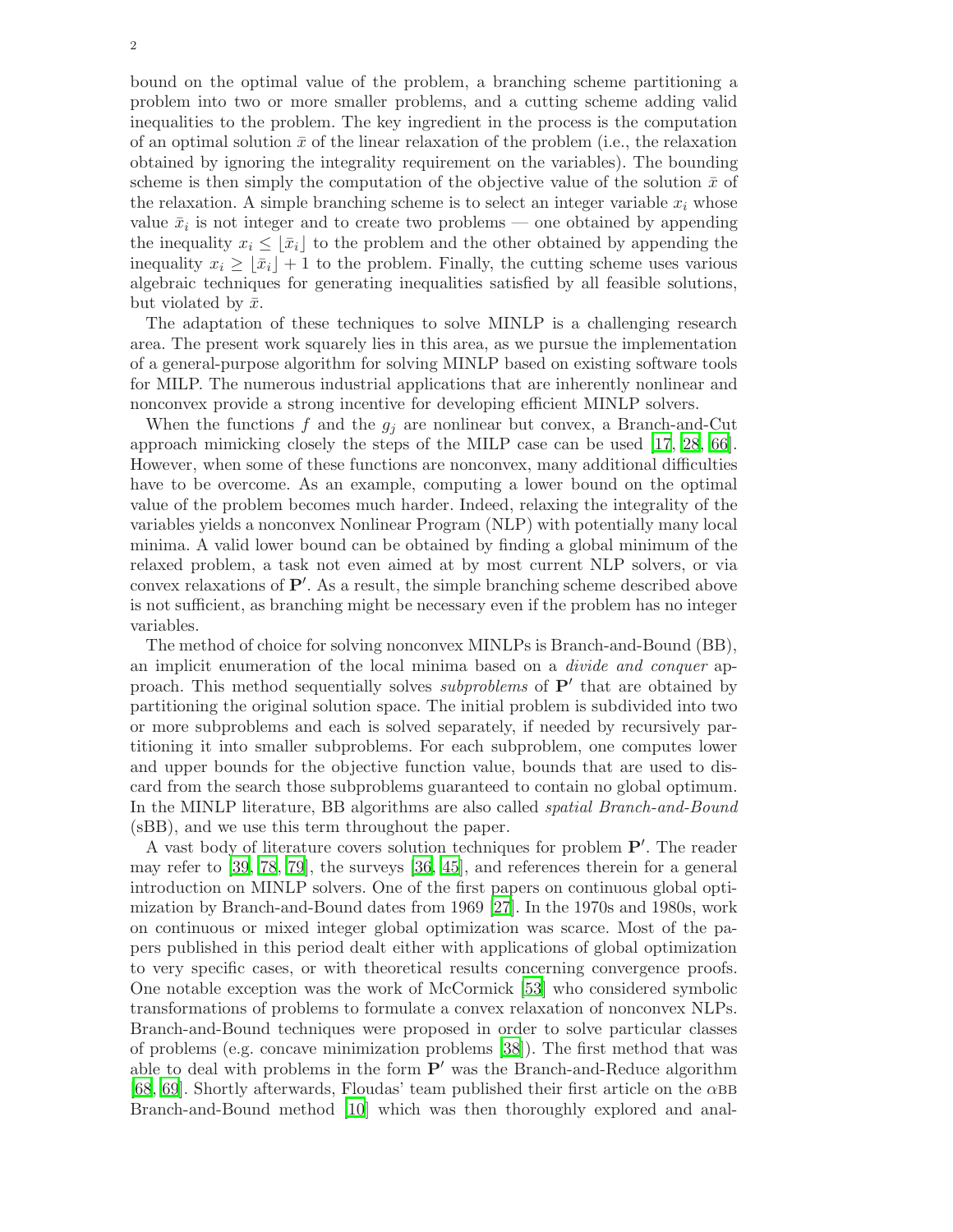bound on the optimal value of the problem, a branching scheme partitioning a problem into two or more smaller problems, and a cutting scheme adding valid inequalities to the problem. The key ingredient in the process is the computation of an optimal solution  $\bar{x}$  of the linear relaxation of the problem (i.e., the relaxation obtained by ignoring the integrality requirement on the variables). The bounding scheme is then simply the computation of the objective value of the solution  $\bar{x}$  of the relaxation. A simple branching scheme is to select an integer variable  $x_i$  whose value  $\bar{x}_i$  is not integer and to create two problems — one obtained by appending the inequality  $x_i \leq |\bar{x}_i|$  to the problem and the other obtained by appending the inequality  $x_i \geq |\bar{x}_i| + 1$  to the problem. Finally, the cutting scheme uses various algebraic techniques for generating inequalities satisfied by all feasible solutions, but violated by  $\bar{x}$ .

The adaptation of these techniques to solve MINLP is a challenging research area. The present work squarely lies in this area, as we pursue the implementation of a general-purpose algorithm for solving MINLP based on existing software tools for MILP. The numerous industrial applications that are inherently nonlinear and nonconvex provide a strong incentive for developing efficient MINLP solvers.

When the functions f and the  $g_j$  are nonlinear but convex, a Branch-and-Cut approach mimicking closely the steps of the MILP case can be used [\[17](#page-34-2), [28,](#page-35-8) [66](#page-36-1)]. However, when some of these functions are nonconvex, many additional difficulties have to be overcome. As an example, computing a lower bound on the optimal value of the problem becomes much harder. Indeed, relaxing the integrality of the variables yields a nonconvex Nonlinear Program (NLP) with potentially many local minima. A valid lower bound can be obtained by finding a global minimum of the relaxed problem, a task not even aimed at by most current NLP solvers, or via convex relaxations of P′ . As a result, the simple branching scheme described above is not sufficient, as branching might be necessary even if the problem has no integer variables.

The method of choice for solving nonconvex MINLPs is Branch-and-Bound (BB), an implicit enumeration of the local minima based on a divide and conquer approach. This method sequentially solves *subproblems* of  $P'$  that are obtained by partitioning the original solution space. The initial problem is subdivided into two or more subproblems and each is solved separately, if needed by recursively partitioning it into smaller subproblems. For each subproblem, one computes lower and upper bounds for the objective function value, bounds that are used to discard from the search those subproblems guaranteed to contain no global optimum. In the MINLP literature, BB algorithms are also called spatial Branch-and-Bound (sBB), and we use this term throughout the paper.

A vast body of literature covers solution techniques for problem P′ . The reader may refer to [\[39](#page-35-9), [78](#page-36-2), [79\]](#page-36-3), the surveys [\[36](#page-35-10), [45](#page-35-11)], and references therein for a general introduction on MINLP solvers. One of the first papers on continuous global optimization by Branch-and-Bound dates from 1969 [\[27](#page-35-12)]. In the 1970s and 1980s, work on continuous or mixed integer global optimization was scarce. Most of the papers published in this period dealt either with applications of global optimization to very specific cases, or with theoretical results concerning convergence proofs. One notable exception was the work of McCormick [\[53](#page-35-0)] who considered symbolic transformations of problems to formulate a convex relaxation of nonconvex NLPs. Branch-and-Bound techniques were proposed in order to solve particular classes of problems (e.g. concave minimization problems [\[38](#page-35-13)]). The first method that was able to deal with problems in the form  $P'$  was the Branch-and-Reduce algorithm [\[68](#page-36-4), [69](#page-36-5)]. Shortly afterwards, Floudas' team published their first article on the  $\alpha$ BB Branch-and-Bound method [\[10](#page-33-0)] which was then thoroughly explored and anal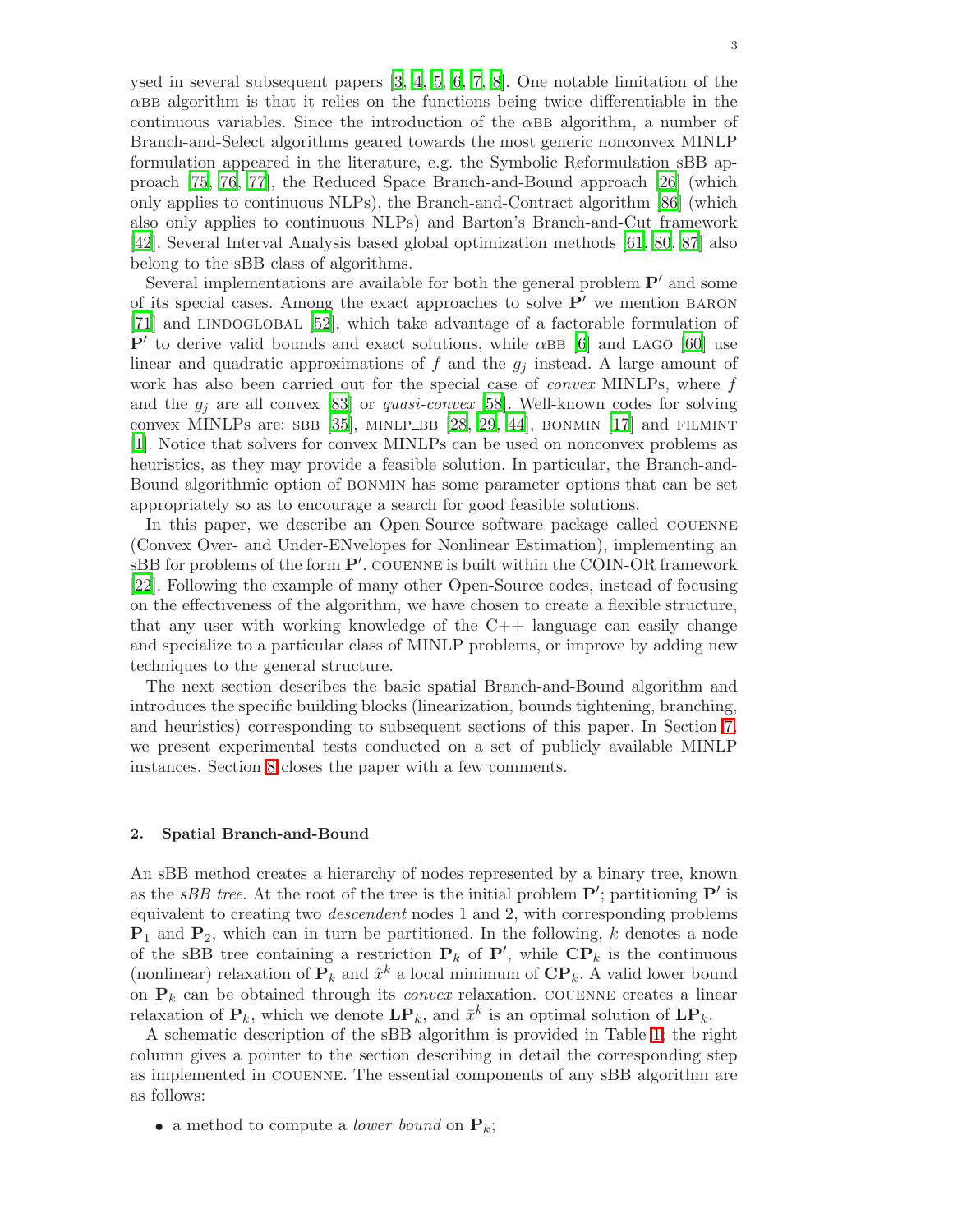ysed in several subsequent papers [\[3,](#page-33-1) [4](#page-33-2), [5](#page-33-3), [6,](#page-33-4) [7](#page-33-5), [8\]](#page-33-6). One notable limitation of the  $\alpha$ BB algorithm is that it relies on the functions being twice differentiable in the continuous variables. Since the introduction of the  $\alpha$ BB algorithm, a number of Branch-and-Select algorithms geared towards the most generic nonconvex MINLP formulation appeared in the literature, e.g. the Symbolic Reformulation sBB approach [\[75,](#page-36-6) [76](#page-36-7), [77\]](#page-36-8), the Reduced Space Branch-and-Bound approach [\[26\]](#page-35-14) (which only applies to continuous NLPs), the Branch-and-Contract algorithm [\[86\]](#page-36-9) (which also only applies to continuous NLPs) and Barton's Branch-and-Cut framework [\[42](#page-35-15)]. Several Interval Analysis based global optimization methods [\[61,](#page-35-16) [80](#page-36-10), [87](#page-36-11)] also belong to the sBB class of algorithms.

Several implementations are available for both the general problem  $\mathbf{P}'$  and some of its special cases. Among the exact approaches to solve  $P'$  we mention BARON [\[71](#page-36-12)] and LINDOGLOBAL [\[52\]](#page-35-17), which take advantage of a factorable formulation of  $\mathbf{P}'$  to derive valid bounds and exact solutions, while  $\alpha$ BB [\[6\]](#page-33-4) and LAGO [\[60](#page-35-18)] use linear and quadratic approximations of  $f$  and the  $g_j$  instead. A large amount of work has also been carried out for the special case of *convex* MINLPs, where f and the  $g_i$  are all convex [\[83\]](#page-36-13) or *quasi-convex* [\[58](#page-35-19)]. Well-known codes for solving convex MINLPs are: SBB [\[35](#page-35-20)], MINLP BB [\[28](#page-35-8), [29,](#page-35-21) [44](#page-35-22)], BONMIN [\[17\]](#page-34-2) and FILMINT [\[1](#page-33-7)]. Notice that solvers for convex MINLPs can be used on nonconvex problems as heuristics, as they may provide a feasible solution. In particular, the Branch-and-Bound algorithmic option of bonmin has some parameter options that can be set appropriately so as to encourage a search for good feasible solutions.

In this paper, we describe an Open-Source software package called couenne (Convex Over- and Under-ENvelopes for Nonlinear Estimation), implementing an  $sBB$  for problems of the form  $\mathbf{P}'$ . COUENNE is built within the COIN-OR framework [\[22](#page-34-3)]. Following the example of many other Open-Source codes, instead of focusing on the effectiveness of the algorithm, we have chosen to create a flexible structure, that any user with working knowledge of the  $C++$  language can easily change and specialize to a particular class of MINLP problems, or improve by adding new techniques to the general structure.

The next section describes the basic spatial Branch-and-Bound algorithm and introduces the specific building blocks (linearization, bounds tightening, branching, and heuristics) corresponding to subsequent sections of this paper. In Section [7,](#page-19-0) we present experimental tests conducted on a set of publicly available MINLP instances. Section [8](#page-31-0) closes the paper with a few comments.

#### 2. Spatial Branch-and-Bound

An sBB method creates a hierarchy of nodes represented by a binary tree, known as the *sBB tree*. At the root of the tree is the initial problem  $\mathbf{P}'$ ; partitioning  $\mathbf{P}'$  is equivalent to creating two descendent nodes 1 and 2, with corresponding problems  $P_1$  and  $P_2$ , which can in turn be partitioned. In the following, k denotes a node of the sBB tree containing a restriction  $P_k$  of  $P'$ , while  $\mathbf{CP}_k$  is the continuous (nonlinear) relaxation of  $\mathbf{P}_k$  and  $\hat{x}^k$  a local minimum of  $\mathbf{CP}_k$ . A valid lower bound on  $P_k$  can be obtained through its *convex* relaxation. COUENNE creates a linear relaxation of  $\mathbf{P}_k$ , which we denote  $\mathbf{LP}_k$ , and  $\bar{x}^k$  is an optimal solution of  $\mathbf{LP}_k$ .

A schematic description of the sBB algorithm is provided in Table [1;](#page-4-0) the right column gives a pointer to the section describing in detail the corresponding step as implemented in couenne. The essential components of any sBB algorithm are as follows:

• a method to compute a *lower bound* on  $P_k$ ;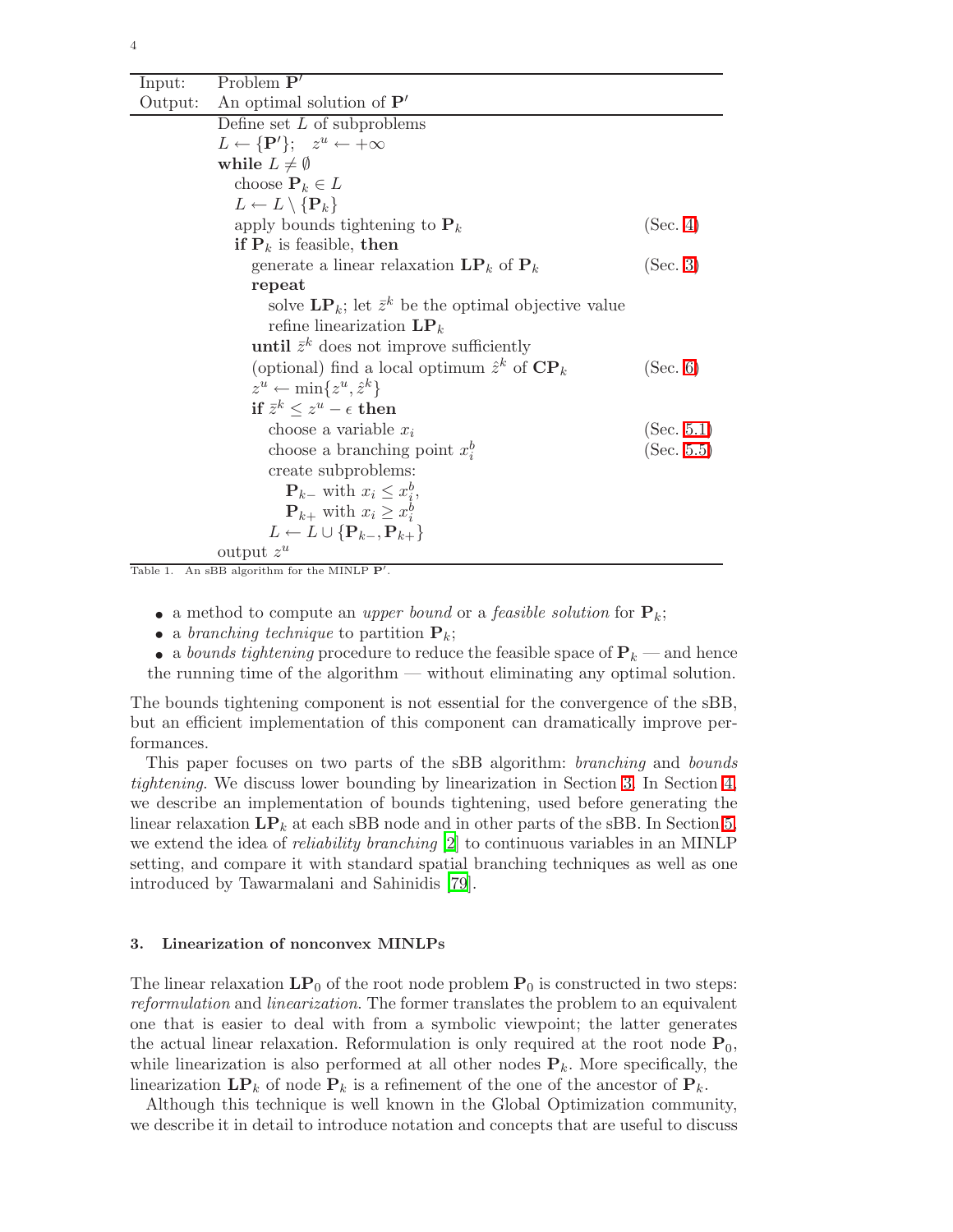| Input:  | Problem $P'$                                                           |            |
|---------|------------------------------------------------------------------------|------------|
| Output: | An optimal solution of $\mathbf{P}'$                                   |            |
|         | Define set $L$ of subproblems                                          |            |
|         | $L \leftarrow {\bf P}'$ ; $z^u \leftarrow +\infty$                     |            |
|         | while $L \neq \emptyset$                                               |            |
|         | choose $\mathbf{P}_k \in L$                                            |            |
|         | $L \leftarrow L \setminus {\bf P}_k$                                   |            |
|         | apply bounds tightening to $P_k$                                       | (Sec. 4)   |
|         | <b>if</b> $P_k$ is feasible, then                                      |            |
|         | generate a linear relaxation $\mathbf{LP}_k$ of $\mathbf{P}_k$         | (Sec. 3)   |
|         | repeat                                                                 |            |
|         | solve $\mathbf{LP}_k$ ; let $\bar{z}^k$ be the optimal objective value |            |
|         | refine linearization $\mathbf{LP}_k$                                   |            |
|         | until $\bar{z}^k$ does not improve sufficiently                        |            |
|         | (optional) find a local optimum $\hat{z}^k$ of $\mathbf{CP}_k$         | (Sec. 6)   |
|         | $z^u \leftarrow \min\{z^u, \hat{z}^k\}$                                |            |
|         | if $\bar{z}^k \leq z^u - \epsilon$ then                                |            |
|         | choose a variable $x_i$                                                | (Sec. 5.1) |
|         | choose a branching point $x_i^b$                                       | (Sec. 5.5) |
|         | create subproblems:                                                    |            |
|         | $\mathbf{P}_{k-}$ with $x_i \leq x_i^b$ ,                              |            |
|         | $\mathbf{P}_{k+}$ with $x_i \geq x_i^b$                                |            |
|         | $L \leftarrow L \cup \{P_{k-}, P_{k+}\}\$                              |            |
|         | output $z^u$                                                           |            |

<span id="page-4-0"></span>Table 1. An sBB algorithm for the MINLP  $P'$ .

- a method to compute an upper bound or a feasible solution for  $P_k$ ;
- a branching technique to partition  $P_k$ ;
- a bounds tightening procedure to reduce the feasible space of  $P_k$  and hence the running time of the algorithm — without eliminating any optimal solution.

The bounds tightening component is not essential for the convergence of the sBB, but an efficient implementation of this component can dramatically improve performances.

This paper focuses on two parts of the sBB algorithm: branching and bounds tightening. We discuss lower bounding by linearization in Section [3.](#page-4-1) In Section [4,](#page-8-0) we describe an implementation of bounds tightening, used before generating the linear relaxation  $\mathbf{LP}_k$  at each sBB node and in other parts of the sBB. In Section [5,](#page-12-0) we extend the idea of reliability branching [\[2](#page-33-8)] to continuous variables in an MINLP setting, and compare it with standard spatial branching techniques as well as one introduced by Tawarmalani and Sahinidis [\[79](#page-36-3)].

#### <span id="page-4-1"></span>3. Linearization of nonconvex MINLPs

The linear relaxation  $\mathbf{LP}_0$  of the root node problem  $\mathbf{P}_0$  is constructed in two steps: reformulation and linearization. The former translates the problem to an equivalent one that is easier to deal with from a symbolic viewpoint; the latter generates the actual linear relaxation. Reformulation is only required at the root node  $P_0$ , while linearization is also performed at all other nodes  $P_k$ . More specifically, the linearization  $\mathbf{LP}_k$  of node  $\mathbf{P}_k$  is a refinement of the one of the ancestor of  $\mathbf{P}_k$ .

Although this technique is well known in the Global Optimization community, we describe it in detail to introduce notation and concepts that are useful to discuss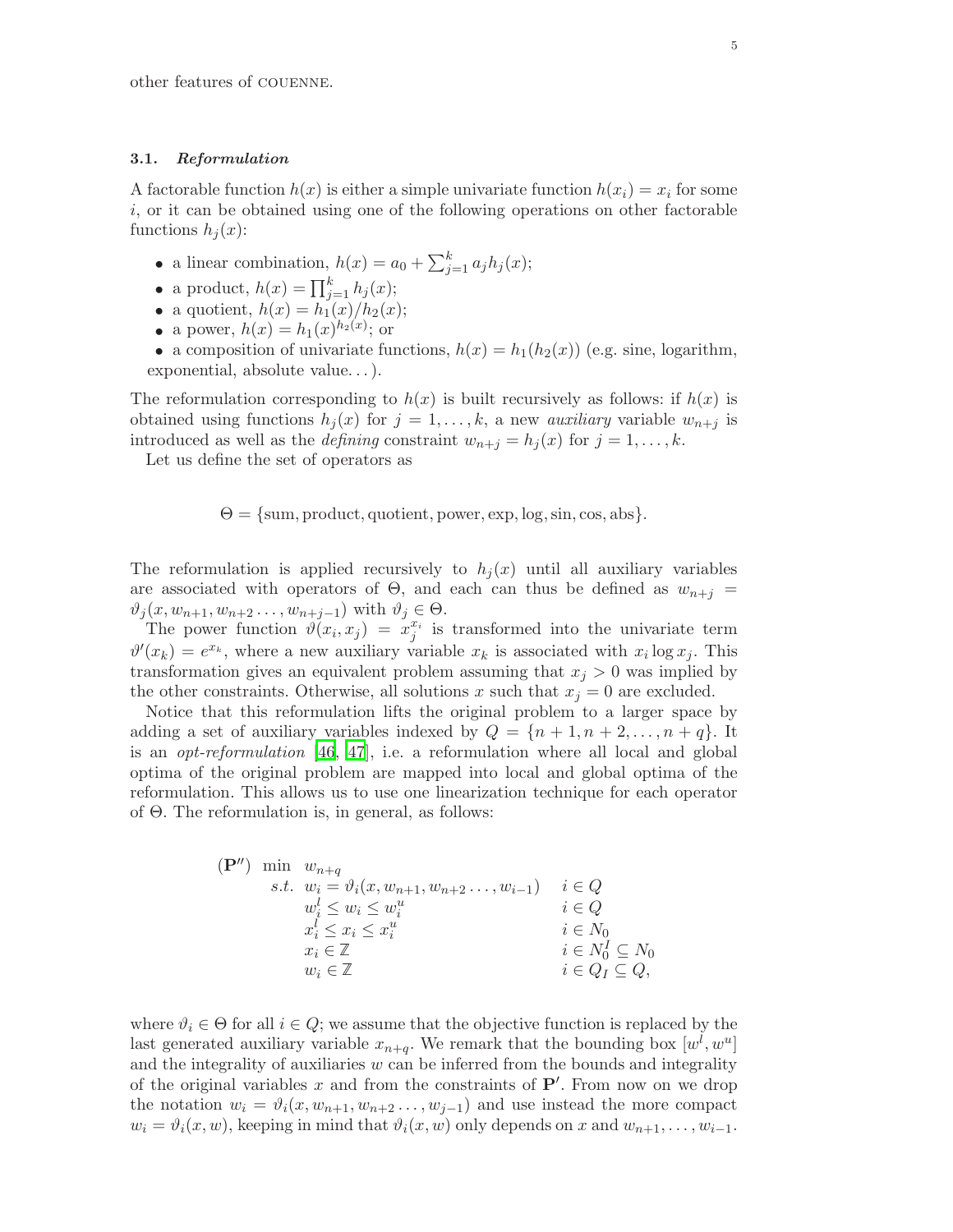#### 3.1. Reformulation

A factorable function  $h(x)$  is either a simple univariate function  $h(x_i) = x_i$  for some i, or it can be obtained using one of the following operations on other factorable functions  $h_j(x)$ :

- a linear combination,  $h(x) = a_0 + \sum_{j=1}^{k} a_j h_j(x);$
- a product,  $h(x) = \prod_{j=1}^{k} h_j(x);$
- a quotient,  $h(x) = h_1(x)/h_2(x);$
- a power,  $h(x) = h_1(x)^{h_2(x)}$ ; or

• a composition of univariate functions,  $h(x) = h_1(h_2(x))$  (e.g. sine, logarithm, exponential, absolute value. . . ).

The reformulation corresponding to  $h(x)$  is built recursively as follows: if  $h(x)$  is obtained using functions  $h_j(x)$  for  $j = 1, \ldots, k$ , a new *auxiliary* variable  $w_{n+j}$  is introduced as well as the *defining* constraint  $w_{n+j} = h_j(x)$  for  $j = 1, \ldots, k$ .

Let us define the set of operators as

 $\Theta = \{\text{sum}, \text{product}, \text{quotient}, \text{power}, \text{exp}, \text{log}, \text{sin}, \text{cos}, \text{abs}\}.$ 

The reformulation is applied recursively to  $h_j(x)$  until all auxiliary variables are associated with operators of  $\Theta$ , and each can thus be defined as  $w_{n+j} =$  $\vartheta_i(x,w_{n+1},w_{n+2}\ldots,w_{n+j-1})$  with  $\vartheta_i\in\Theta$ .

The power function  $\vartheta(x_i, x_j) = x_j^{x_i}$  is transformed into the univariate term  $\vartheta'(x_k) = e^{x_k}$ , where a new auxiliary variable  $x_k$  is associated with  $x_i \log x_j$ . This transformation gives an equivalent problem assuming that  $x_j > 0$  was implied by the other constraints. Otherwise, all solutions x such that  $x_j = 0$  are excluded.

Notice that this reformulation lifts the original problem to a larger space by adding a set of auxiliary variables indexed by  $Q = \{n+1, n+2, \ldots, n+q\}$ . It is an *opt-reformulation* [\[46](#page-35-23), [47](#page-35-24)], i.e. a reformulation where all local and global optima of the original problem are mapped into local and global optima of the reformulation. This allows us to use one linearization technique for each operator of Θ. The reformulation is, in general, as follows:

$$
\begin{aligned}\n(\mathbf{P}^{\prime\prime}) \quad & \min \quad w_{n+q} \\
 & s.t. \quad w_i = \vartheta_i(x, w_{n+1}, w_{n+2} \dots, w_{i-1}) \quad i \in Q \\
 & w_i^l \le w_i \le w_i^u \quad i \in Q \\
 & x_i^l \le x_i \le x_i^u \quad i \in N_0 \\
 & x_i \in \mathbb{Z} \quad i \in N_0^I \subseteq N_0 \\
 & w_i \in \mathbb{Z} \quad i \in Q_I \subseteq Q,\n\end{aligned}
$$

where  $\vartheta_i \in \Theta$  for all  $i \in Q$ ; we assume that the objective function is replaced by the last generated auxiliary variable  $x_{n+q}$ . We remark that the bounding box  $[w^l, w^u]$ and the integrality of auxiliaries  $w$  can be inferred from the bounds and integrality of the original variables x and from the constraints of  $\mathbf{P}'$ . From now on we drop the notation  $w_i = \vartheta_i(x, w_{n+1}, w_{n+2}, \ldots, w_{i-1})$  and use instead the more compact  $w_i = \vartheta_i(x, w)$ , keeping in mind that  $\vartheta_i(x, w)$  only depends on x and  $w_{n+1}, \ldots, w_{i-1}$ .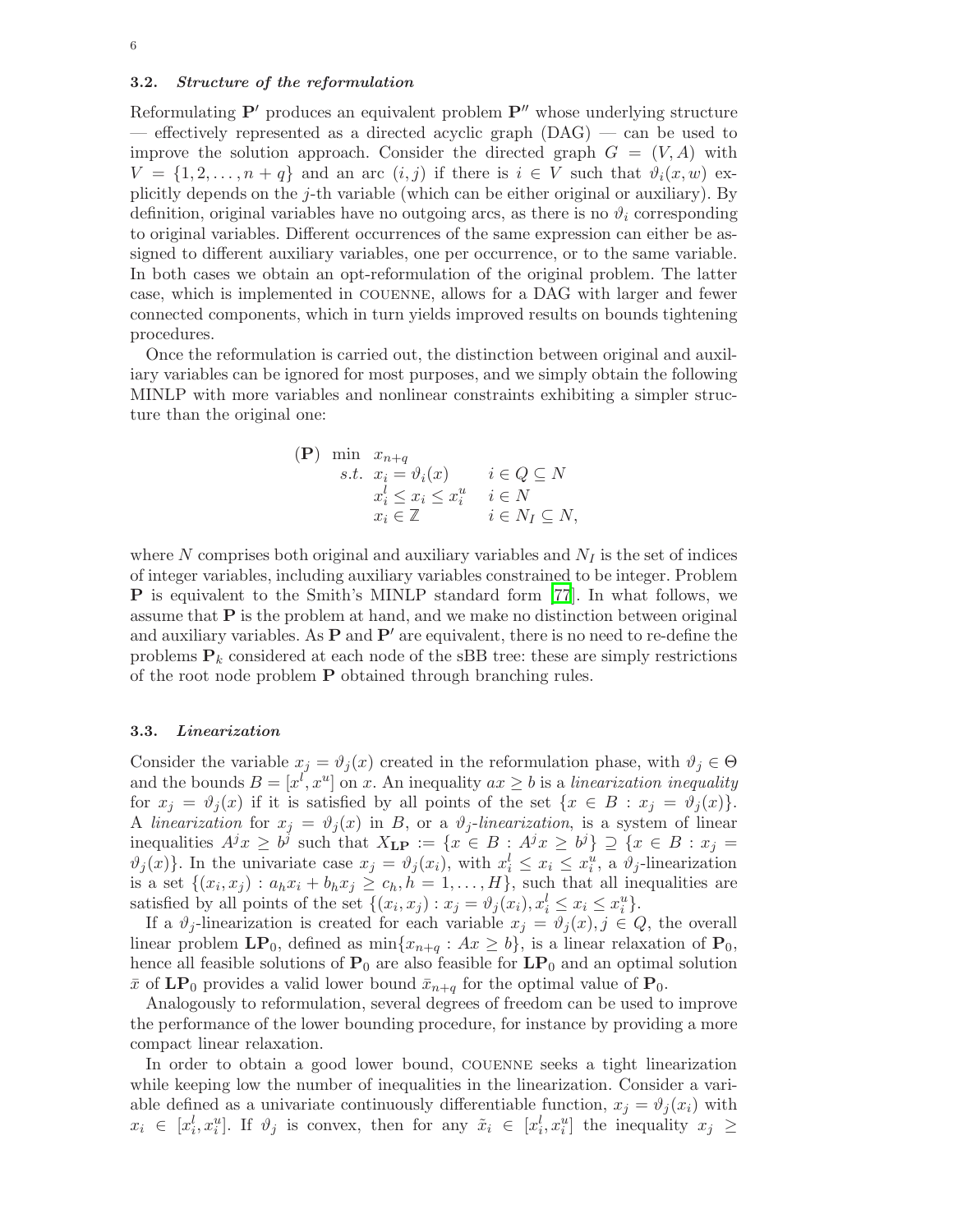#### <span id="page-6-0"></span>3.2. Structure of the reformulation

Reformulating  $P'$  produces an equivalent problem  $P''$  whose underlying structure — effectively represented as a directed acyclic graph  $(DAG)$  — can be used to improve the solution approach. Consider the directed graph  $G = (V, A)$  with  $V = \{1, 2, \ldots, n + q\}$  and an arc  $(i, j)$  if there is  $i \in V$  such that  $\vartheta_i(x, w)$  explicitly depends on the  $j$ -th variable (which can be either original or auxiliary). By definition, original variables have no outgoing arcs, as there is no  $\vartheta_i$  corresponding to original variables. Different occurrences of the same expression can either be assigned to different auxiliary variables, one per occurrence, or to the same variable. In both cases we obtain an opt-reformulation of the original problem. The latter case, which is implemented in couenne, allows for a DAG with larger and fewer connected components, which in turn yields improved results on bounds tightening procedures.

Once the reformulation is carried out, the distinction between original and auxiliary variables can be ignored for most purposes, and we simply obtain the following MINLP with more variables and nonlinear constraints exhibiting a simpler structure than the original one:

(P) min 
$$
x_{n+q}
$$
  
\ns.t.  $x_i = \vartheta_i(x)$   $i \in Q \subseteq N$   
\n $x_i^l \le x_i \le x_i^u$   $i \in N$   
\n $x_i \in \mathbb{Z}$   $i \in N_I \subseteq N$ ,

where  $N$  comprises both original and auxiliary variables and  $N_I$  is the set of indices of integer variables, including auxiliary variables constrained to be integer. Problem P is equivalent to the Smith's MINLP standard form [\[77](#page-36-8)]. In what follows, we assume that  $P$  is the problem at hand, and we make no distinction between original and auxiliary variables. As  $P$  and  $P'$  are equivalent, there is no need to re-define the problems  $P_k$  considered at each node of the sBB tree: these are simply restrictions of the root node problem P obtained through branching rules.

#### 3.3. Linearization

Consider the variable  $x_j = \vartheta_j(x)$  created in the reformulation phase, with  $\vartheta_j \in \Theta$ and the bounds  $B = [x^l, x^u]$  on x. An inequality  $ax \ge b$  is a linearization inequality for  $x_j = \vartheta_j(x)$  if it is satisfied by all points of the set  $\{x \in B : x_j = \vartheta_j(x)\}.$ A linearization for  $x_j = \vartheta_j(x)$  in B, or a  $\vartheta_j$ -linearization, is a system of linear inequalities  $A^jx \geq b^j$  such that  $X_{\text{LP}} := \{x \in B : A^jx \geq b^j\} \supseteq \{x \in B : x_j = b^j\}$  $\vartheta_j(x)$ . In the univariate case  $x_j = \vartheta_j(x_i)$ , with  $x_i^l \leq x_i \leq x_i^u$ , a  $\vartheta_j$ -linearization is a set  $\{(x_i, x_j) : a_h x_i + b_h x_j \ge c_h, h = 1, \ldots, H\}$ , such that all inequalities are satisfied by all points of the set  $\{(x_i, x_j) : x_j = \vartheta_j(x_i), x_i^l \le x_i \le x_i^u\}.$ 

If a  $\vartheta_j$ -linearization is created for each variable  $x_j = \vartheta_j(x), j \in Q$ , the overall linear problem  $\mathbf{LP}_0$ , defined as  $\min\{x_{n+q} : Ax \geq b\}$ , is a linear relaxation of  $\mathbf{P}_0$ , hence all feasible solutions of  $P_0$  are also feasible for  $LP_0$  and an optimal solution  $\bar{x}$  of LP<sub>0</sub> provides a valid lower bound  $\bar{x}_{n+q}$  for the optimal value of P<sub>0</sub>.

Analogously to reformulation, several degrees of freedom can be used to improve the performance of the lower bounding procedure, for instance by providing a more compact linear relaxation.

In order to obtain a good lower bound, couenne seeks a tight linearization while keeping low the number of inequalities in the linearization. Consider a variable defined as a univariate continuously differentiable function,  $x_i = \vartheta_i(x_i)$  with  $x_i \in [x_i^l, x_i^u]$ . If  $\vartheta_j$  is convex, then for any  $\tilde{x}_i \in [x_i^l, x_i^u]$  the inequality  $x_j \geq$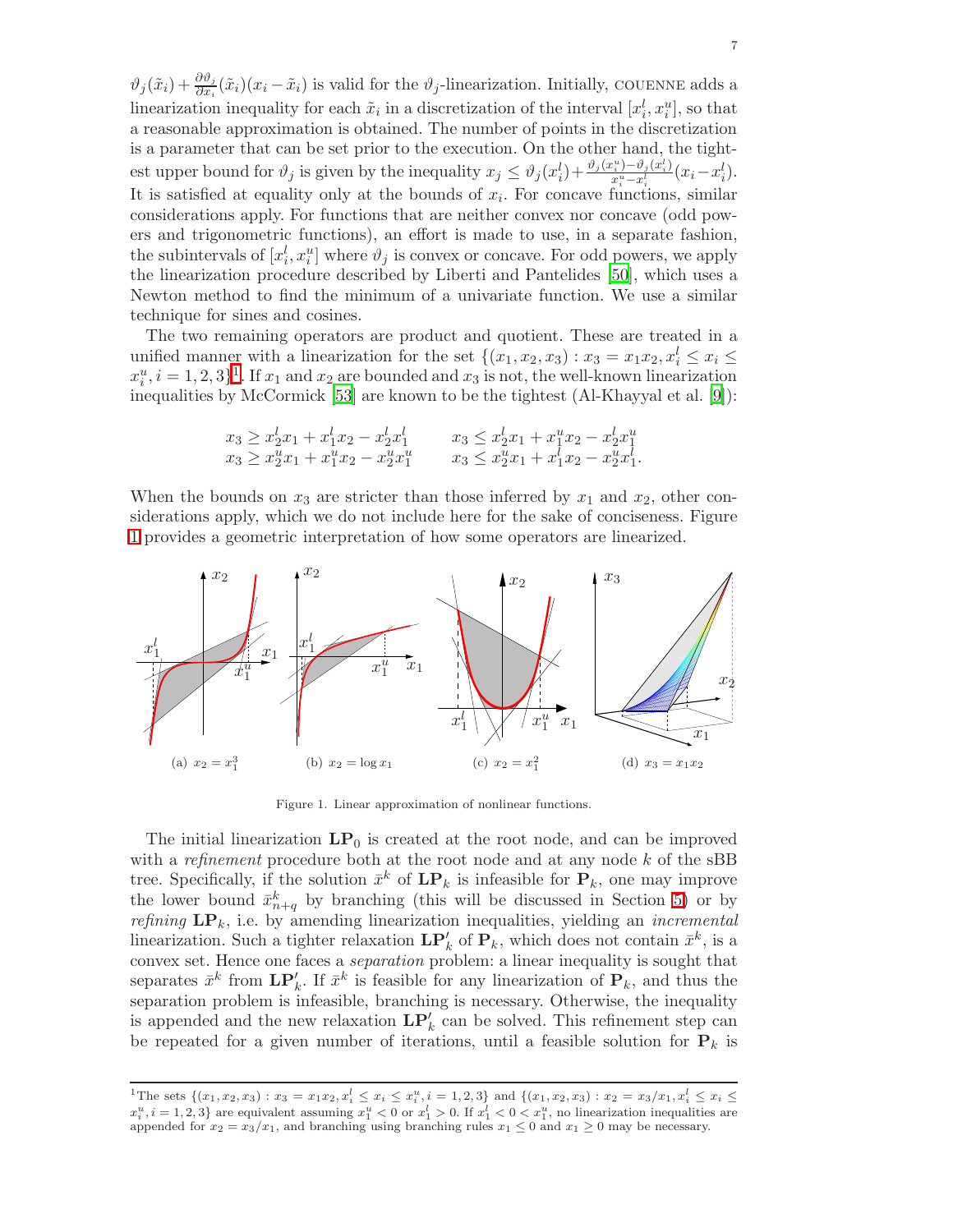$\vartheta_j(\tilde{x}_i) + \frac{\partial \vartheta_j}{\partial x_i}(\tilde{x}_i)(x_i - \tilde{x}_i)$  is valid for the  $\vartheta_j$ -linearization. Initially, COUENNE adds a linearization inequality for each  $\tilde{x}_i$  in a discretization of the interval  $[x_i^l, x_i^u]$ , so that a reasonable approximation is obtained. The number of points in the discretization is a parameter that can be set prior to the execution. On the other hand, the tightest upper bound for  $\vartheta_j$  is given by the inequality  $x_j \leq \vartheta_j(x_i^l) + \frac{\vartheta_j(x_i^u) - \vartheta_j(x_i^l)}{x_i^u - x_i^l}$  $x_i^u \rightarrow -\frac{\vartheta_j(x_i^u)}{x_i^u - x_i^l} (x_i - x_i^l).$ It is satisfied at equality only at the bounds of  $x_i$ . For concave functions, similar considerations apply. For functions that are neither convex nor concave (odd powers and trigonometric functions), an effort is made to use, in a separate fashion, the subintervals of  $[x_i^l, x_i^u]$  where  $\vartheta_j$  is convex or concave. For odd powers, we apply the linearization procedure described by Liberti and Pantelides [\[50](#page-35-25)], which uses a Newton method to find the minimum of a univariate function. We use a similar technique for sines and cosines.

The two remaining operators are product and quotient. These are treated in a unified manner with a linearization for the set  $\{(x_1, x_2, x_3) : x_3 = x_1x_2, x_i^l \le x_i \le x_l\}$  $x_i^u, i = 1, 2, 3$  $x_i^u, i = 1, 2, 3$  $x_i^u, i = 1, 2, 3$ <sup>1</sup>. If  $x_1$  and  $x_2$  are bounded and  $x_3$  is not, the well-known linearization inequalities by McCormick [\[53](#page-35-0)] are known to be the tightest (Al-Khayyal et al. [\[9\]](#page-33-9)):

$$
x_3 \ge x_2^l x_1 + x_1^l x_2 - x_2^l x_1^l \qquad x_3 \le x_2^l x_1 + x_1^u x_2 - x_2^l x_1^u
$$
  

$$
x_3 \ge x_2^u x_1 + x_1^u x_2 - x_2^u x_1^u \qquad x_3 \le x_2^u x_1 + x_1^l x_2 - x_2^u x_1^l.
$$

When the bounds on  $x_3$  are stricter than those inferred by  $x_1$  and  $x_2$ , other considerations apply, which we do not include here for the sake of conciseness. Figure [1](#page-7-1) provides a geometric interpretation of how some operators are linearized.



<span id="page-7-1"></span>Figure 1. Linear approximation of nonlinear functions.

The initial linearization  $\mathbf{LP}_0$  is created at the root node, and can be improved with a *refinement* procedure both at the root node and at any node  $k$  of the sBB tree. Specifically, if the solution  $\bar{x}^k$  of  $\mathbf{LP}_k$  is infeasible for  $\mathbf{P}_k$ , one may improve the lower bound  $\bar{x}_{n+q}^k$  by branching (this will be discussed in Section [5\)](#page-12-0) or by refining  $\mathbf{LP}_k$ , i.e. by amending linearization inequalities, yielding an *incremental* linearization. Such a tighter relaxation  $\mathbf{LP}'_k$  of  $\mathbf{P}_k$ , which does not contain  $\bar{x}^k$ , is a convex set. Hence one faces a separation problem: a linear inequality is sought that separates  $\bar{x}^k$  from  $\mathbf{LP}'_k$ . If  $\bar{x}^k$  is feasible for any linearization of  $\mathbf{P}_k$ , and thus the separation problem is infeasible, branching is necessary. Otherwise, the inequality is appended and the new relaxation  $\mathbf{LP}'_k$  can be solved. This refinement step can be repeated for a given number of iterations, until a feasible solution for  $P_k$  is

<span id="page-7-0"></span><sup>&</sup>lt;sup>1</sup>The sets  $\{(x_1, x_2, x_3) : x_3 = x_1x_2, x_i^l \le x_i \le x_i^u, i = 1, 2, 3\}$  and  $\{(x_1, x_2, x_3) : x_2 = x_3/x_1, x_i^l \le x_i \le x_i\}$  $x_i^u, i = 1, 2, 3$  are equivalent assuming  $x_1^u < 0$  or  $x_1^l > 0$ . If  $x_1^l < 0 < x_1^u$ , no linearization inequalities are appended for  $x_2 = x_3/x_1$ , and branching using branching rules  $x_1 \leq 0$  and  $x_1 \geq 0$  may be necessary.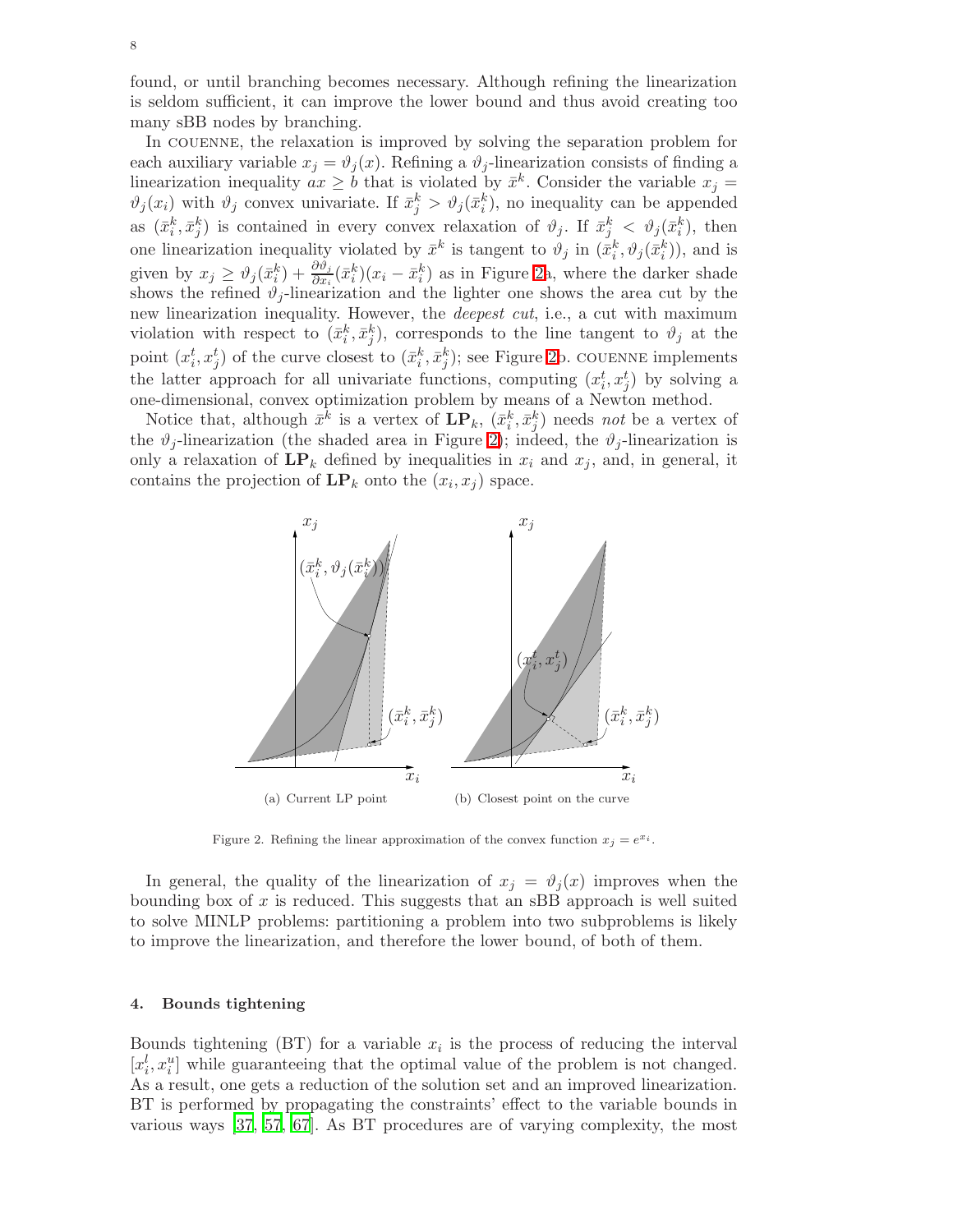found, or until branching becomes necessary. Although refining the linearization is seldom sufficient, it can improve the lower bound and thus avoid creating too many sBB nodes by branching.

In couenne, the relaxation is improved by solving the separation problem for each auxiliary variable  $x_j = \vartheta_j(x)$ . Refining a  $\vartheta_j$ -linearization consists of finding a linearization inequality  $ax \geq b$  that is violated by  $\bar{x}^k$ . Consider the variable  $x_j =$  $\vartheta_j(x_i)$  with  $\vartheta_j$  convex univariate. If  $\bar{x}_j^k > \vartheta_j(\bar{x}_i^k)$ , no inequality can be appended as  $(\bar{x}_i^k, \bar{x}_j^k)$  is contained in every convex relaxation of  $\vartheta_j$ . If  $\bar{x}_j^k < \vartheta_j(\bar{x}_i^k)$ , then one linearization inequality violated by  $\bar{x}^k$  is tangent to  $\vartheta_j$  in  $(\bar{x}_i^k, \vartheta_j(\bar{x}_i^k))$ , and is given by  $x_j \geq \vartheta_j(\bar{x}_i^k) + \frac{\partial \vartheta_j}{\partial x_i}(\bar{x}_i^k)(x_i - \bar{x}_i^k)$  as in Figure [2a](#page-8-1), where the darker shade shows the refined  $\vartheta_i$ -linearization and the lighter one shows the area cut by the new linearization inequality. However, the *deepest cut*, i.e., a cut with maximum violation with respect to  $(\bar{x}_i^k, \bar{x}_j^k)$ , corresponds to the line tangent to  $\vartheta_j$  at the point  $(x_i^t, x_j^t)$  of the curve closest to  $(\bar{x}_i^k, \bar{x}_j^k)$ ; see Figure [2b](#page-8-1). COUENNE implements the latter approach for all univariate functions, computing  $(x_i^t, x_j^t)$  by solving a one-dimensional, convex optimization problem by means of a Newton method.

Notice that, although  $\bar{x}^k$  is a vertex of  $\mathbf{LP}_k$ ,  $(\bar{x}_i^k, \bar{x}_j^k)$  needs not be a vertex of the  $\vartheta_j$ -linearization (the shaded area in Figure [2\)](#page-8-1); indeed, the  $\vartheta_j$ -linearization is only a relaxation of  $\mathbf{LP}_k$  defined by inequalities in  $x_i$  and  $x_j$ , and, in general, it contains the projection of  $\mathbf{LP}_k$  onto the  $(x_i, x_j)$  space.



Figure 2. Refining the linear approximation of the convex function  $x_j = e^{x_i}$ .

<span id="page-8-1"></span>In general, the quality of the linearization of  $x_j = \vartheta_j(x)$  improves when the bounding box of  $x$  is reduced. This suggests that an sBB approach is well suited to solve MINLP problems: partitioning a problem into two subproblems is likely to improve the linearization, and therefore the lower bound, of both of them.

#### <span id="page-8-0"></span>4. Bounds tightening

Bounds tightening (BT) for a variable  $x_i$  is the process of reducing the interval  $[x_i^l, x_i^u]$  while guaranteeing that the optimal value of the problem is not changed. As a result, one gets a reduction of the solution set and an improved linearization. BT is performed by propagating the constraints' effect to the variable bounds in various ways [\[37,](#page-35-26) [57,](#page-35-27) [67](#page-36-14)]. As BT procedures are of varying complexity, the most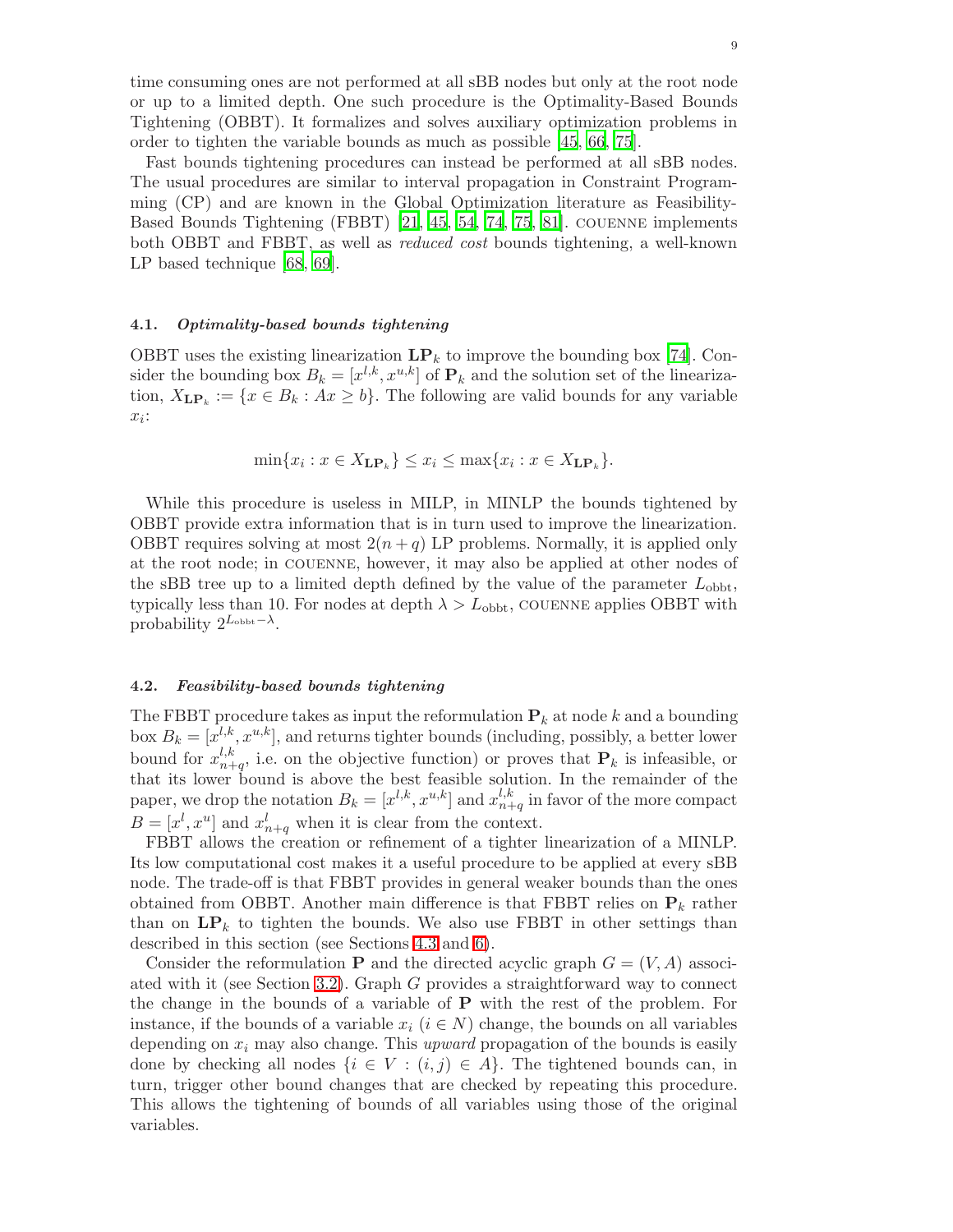time consuming ones are not performed at all sBB nodes but only at the root node or up to a limited depth. One such procedure is the Optimality-Based Bounds Tightening (OBBT). It formalizes and solves auxiliary optimization problems in order to tighten the variable bounds as much as possible [\[45](#page-35-11), [66,](#page-36-1) [75](#page-36-6)].

Fast bounds tightening procedures can instead be performed at all sBB nodes. The usual procedures are similar to interval propagation in Constraint Programming (CP) and are known in the Global Optimization literature as Feasibility-Based Bounds Tightening (FBBT) [\[21](#page-34-4), [45](#page-35-11), [54](#page-35-28), [74](#page-36-15), [75,](#page-36-6) [81\]](#page-36-16). couenne implements both OBBT and FBBT, as well as reduced cost bounds tightening, a well-known LP based technique [\[68](#page-36-4), [69](#page-36-5)].

#### <span id="page-9-0"></span>4.1. Optimality-based bounds tightening

OBBT uses the existing linearization  $\mathbf{LP}_k$  to improve the bounding box [\[74](#page-36-15)]. Consider the bounding box  $B_k = [x^{l,k}, x^{u,k}]$  of  $\mathbf{P}_k$  and the solution set of the linearization,  $X_{\mathbf{LP}_k} := \{x \in B_k : Ax \geq b\}$ . The following are valid bounds for any variable  $x_i$ :

$$
\min\{x_i : x \in X_{\mathbf{LP}_k}\} \le x_i \le \max\{x_i : x \in X_{\mathbf{LP}_k}\}.
$$

While this procedure is useless in MILP, in MINLP the bounds tightened by OBBT provide extra information that is in turn used to improve the linearization. OBBT requires solving at most  $2(n+q)$  LP problems. Normally, it is applied only at the root node; in couenne, however, it may also be applied at other nodes of the sBB tree up to a limited depth defined by the value of the parameter  $L_{\rm obbt}$ , typically less than 10. For nodes at depth  $\lambda > L_{\rm obbt}$ , COUENNE applies OBBT with probability  $2^{L_{\text{obbt}} - \lambda}$ .

#### 4.2. Feasibility-based bounds tightening

The FBBT procedure takes as input the reformulation  $P_k$  at node k and a bounding box  $B_k = [x^{l,k}, x^{u,k}]$ , and returns tighter bounds (including, possibly, a better lower bound for  $x_{n+1}^{l,k}$  $n+q$ , i.e. on the objective function) or proves that  $P_k$  is infeasible, or that its lower bound is above the best feasible solution. In the remainder of the paper, we drop the notation  $B_k = [x^{l,k}, x^{u,k}]$  and  $x_{n+1}^{l,k}$  $_{n+q}^{l,\kappa}$  in favor of the more compact  $B=[x^l,x^u]$  and  $x^l_{n+q}$  when it is clear from the context.

FBBT allows the creation or refinement of a tighter linearization of a MINLP. Its low computational cost makes it a useful procedure to be applied at every sBB node. The trade-off is that FBBT provides in general weaker bounds than the ones obtained from OBBT. Another main difference is that FBBT relies on  $P_k$  rather than on  $\mathbf{LP}_k$  to tighten the bounds. We also use FBBT in other settings than described in this section (see Sections [4.3](#page-11-0) and [6\)](#page-19-1).

Consider the reformulation **P** and the directed acyclic graph  $G = (V, A)$  associated with it (see Section [3.2\)](#page-6-0). Graph G provides a straightforward way to connect the change in the bounds of a variable of  $P$  with the rest of the problem. For instance, if the bounds of a variable  $x_i$  ( $i \in N$ ) change, the bounds on all variables depending on  $x_i$  may also change. This upward propagation of the bounds is easily done by checking all nodes  $\{i \in V : (i,j) \in A\}$ . The tightened bounds can, in turn, trigger other bound changes that are checked by repeating this procedure. This allows the tightening of bounds of all variables using those of the original variables.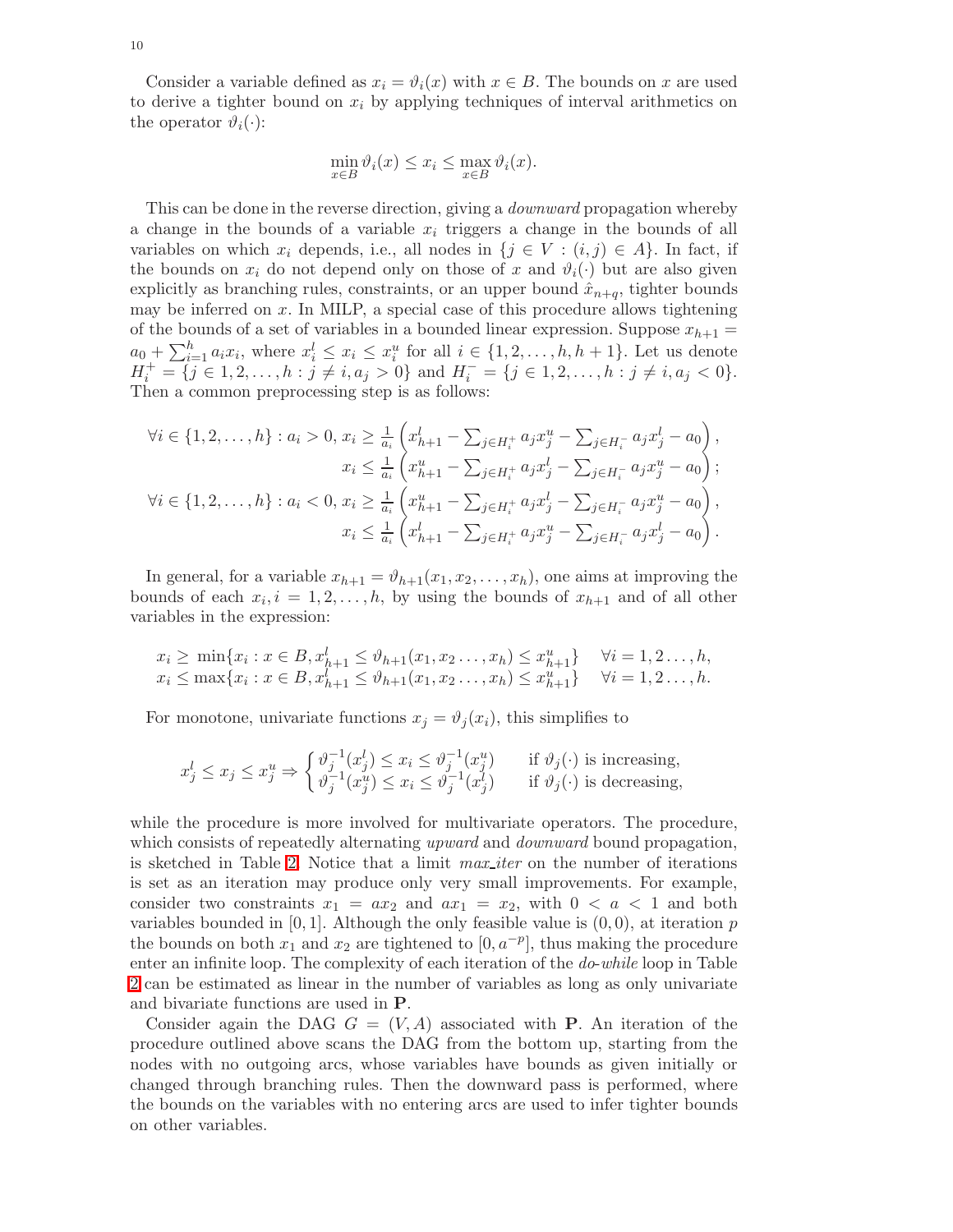Consider a variable defined as  $x_i = \vartheta_i(x)$  with  $x \in B$ . The bounds on x are used to derive a tighter bound on  $x_i$  by applying techniques of interval arithmetics on the operator  $\vartheta_i(\cdot)$ :

$$
\min_{x \in B} \vartheta_i(x) \le x_i \le \max_{x \in B} \vartheta_i(x).
$$

This can be done in the reverse direction, giving a *downward* propagation whereby a change in the bounds of a variable  $x_i$  triggers a change in the bounds of all variables on which  $x_i$  depends, i.e., all nodes in  $\{j \in V : (i,j) \in A\}$ . In fact, if the bounds on  $x_i$  do not depend only on those of x and  $\vartheta_i(\cdot)$  but are also given explicitly as branching rules, constraints, or an upper bound  $\hat{x}_{n+q}$ , tighter bounds may be inferred on  $x$ . In MILP, a special case of this procedure allows tightening of the bounds of a set of variables in a bounded linear expression. Suppose  $x_{h+1} =$  $a_0 + \sum_{i=1}^h a_i x_i$ , where  $x_i^l \leq x_i \leq x_i^u$  for all  $i \in \{1, 2, \ldots, h, h + 1\}$ . Let us denote  $H_i^+ = \{j \in 1, 2, \ldots, h : j \neq i, a_j > 0\}$  and  $H_i^- = \{j \in 1, 2, \ldots, h : j \neq i, a_j < 0\}.$ Then a common preprocessing step is as follows:

$$
\forall i \in \{1, 2, \dots, h\} : a_i > 0, x_i \ge \frac{1}{a_i} \left( x_{h+1}^l - \sum_{j \in H_i^+} a_j x_j^u - \sum_{j \in H_i^-} a_j x_j^l - a_0 \right),
$$
  
\n
$$
x_i \le \frac{1}{a_i} \left( x_{h+1}^u - \sum_{j \in H_i^+} a_j x_j^l - \sum_{j \in H_i^-} a_j x_j^u - a_0 \right);
$$
  
\n
$$
\forall i \in \{1, 2, \dots, h\} : a_i < 0, x_i \ge \frac{1}{a_i} \left( x_{h+1}^u - \sum_{j \in H_i^+} a_j x_j^l - \sum_{j \in H_i^-} a_j x_j^u - a_0 \right),
$$
  
\n
$$
x_i \le \frac{1}{a_i} \left( x_{h+1}^l - \sum_{j \in H_i^+} a_j x_j^u - \sum_{j \in H_i^-} a_j x_j^l - a_0 \right).
$$

In general, for a variable  $x_{h+1} = \vartheta_{h+1}(x_1, x_2, \ldots, x_h)$ , one aims at improving the bounds of each  $x_i, i = 1, 2, \ldots, h$ , by using the bounds of  $x_{h+1}$  and of all other variables in the expression:

$$
x_i \ge \min\{x_i : x \in B, x_{h+1}^l \le \vartheta_{h+1}(x_1, x_2 \dots, x_h) \le x_{h+1}^u\} \quad \forall i = 1, 2 \dots, h,
$$
  
\n
$$
x_i \le \max\{x_i : x \in B, x_{h+1}^l \le \vartheta_{h+1}(x_1, x_2 \dots, x_h) \le x_{h+1}^u\} \quad \forall i = 1, 2 \dots, h.
$$

For monotone, univariate functions  $x_i = \vartheta_i(x_i)$ , this simplifies to

$$
x_j^l \le x_j \le x_j^u \Rightarrow \begin{cases} \vartheta_j^{-1}(x_j^l) \le x_i \le \vartheta_j^{-1}(x_j^u) & \text{if } \vartheta_j(\cdot) \text{ is increasing,} \\ \vartheta_j^{-1}(x_j^u) \le x_i \le \vartheta_j^{-1}(x_j^l) & \text{if } \vartheta_j(\cdot) \text{ is decreasing,} \end{cases}
$$

while the procedure is more involved for multivariate operators. The procedure, which consists of repeatedly alternating upward and *downward* bound propagation, is sketched in Table [2.](#page-11-1) Notice that a limit max iter on the number of iterations is set as an iteration may produce only very small improvements. For example, consider two constraints  $x_1 = ax_2$  and  $ax_1 = x_2$ , with  $0 < a < 1$  and both variables bounded in  $[0, 1]$ . Although the only feasible value is  $(0, 0)$ , at iteration p the bounds on both  $x_1$  and  $x_2$  are tightened to  $[0, a^{-p}]$ , thus making the procedure enter an infinite loop. The complexity of each iteration of the do-while loop in Table [2](#page-11-1) can be estimated as linear in the number of variables as long as only univariate and bivariate functions are used in P.

Consider again the DAG  $G = (V, A)$  associated with **P**. An iteration of the procedure outlined above scans the DAG from the bottom up, starting from the nodes with no outgoing arcs, whose variables have bounds as given initially or changed through branching rules. Then the downward pass is performed, where the bounds on the variables with no entering arcs are used to infer tighter bounds on other variables.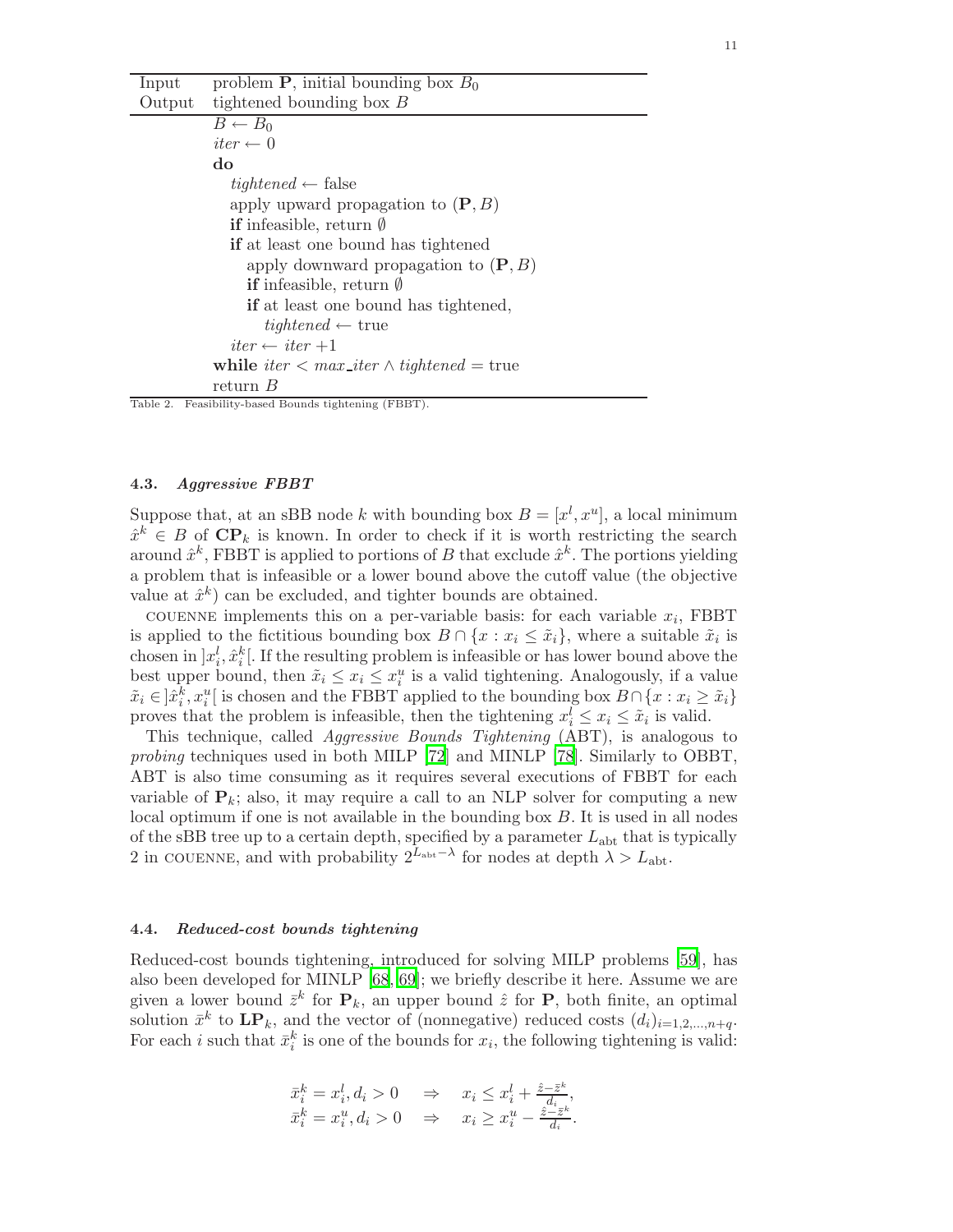| ш |  |
|---|--|
|   |  |

| Input    | problem <b>P</b> , initial bounding box $B_0$             |
|----------|-----------------------------------------------------------|
| Output   | tightened bounding box $B$                                |
|          | $B \leftarrow B_0$                                        |
|          | $iter \leftarrow 0$                                       |
|          | do                                                        |
|          | $tightened \leftarrow false$                              |
|          | apply upward propagation to $(\mathbf{P}, B)$             |
|          | <b>if</b> infeasible, return $\emptyset$                  |
|          | <b>if</b> at least one bound has tightened                |
|          | apply downward propagation to $(\mathbf{P}, B)$           |
|          | <b>if</b> infeasible, return $\emptyset$                  |
|          | if at least one bound has tightened,                      |
|          | $tightened \leftarrow true$                               |
|          | $iter \leftarrow iter + 1$                                |
|          | while iter $\langle$ max iter $\wedge$ tightened $=$ true |
|          | return $B$                                                |
| Table 2. | Feasibility-based Bounds tightening (FBBT).               |

#### <span id="page-11-1"></span><span id="page-11-0"></span>4.3. Aggressive FBBT

Suppose that, at an sBB node k with bounding box  $B = [x^l, x^u]$ , a local minimum  $\hat{x}^k \in B$  of  $\mathbf{CP}_k$  is known. In order to check if it is worth restricting the search around  $\hat{x}^k$ , FBBT is applied to portions of B that exclude  $\hat{x}^k$ . The portions yielding a problem that is infeasible or a lower bound above the cutoff value (the objective value at  $\hat{x}^k$  can be excluded, and tighter bounds are obtained.

COUENNE implements this on a per-variable basis: for each variable  $x_i$ , FBBT is applied to the fictitious bounding box  $B \cap \{x : x_i \leq \tilde{x}_i\}$ , where a suitable  $\tilde{x}_i$  is chosen in  $x_i^l$ ,  $\hat{x}_i^k$ . If the resulting problem is infeasible or has lower bound above the best upper bound, then  $\tilde{x}_i \leq x_i \leq x_i^u$  is a valid tightening. Analogously, if a value  $\tilde{x}_i \in \hat{X}_i^k, x_i^u$  is chosen and the FBBT applied to the bounding box  $B \cap \{x : x_i \geq \tilde{x}_i\}$ proves that the problem is infeasible, then the tightening  $x_i^l \leq x_i \leq \tilde{x}_i$  is valid.

This technique, called Aggressive Bounds Tightening (ABT), is analogous to probing techniques used in both MILP [\[72](#page-36-17)] and MINLP [\[78\]](#page-36-2). Similarly to OBBT, ABT is also time consuming as it requires several executions of FBBT for each variable of  $P_k$ ; also, it may require a call to an NLP solver for computing a new local optimum if one is not available in the bounding box B. It is used in all nodes of the sBB tree up to a certain depth, specified by a parameter  $L_{\text{abt}}$  that is typically 2 in COUENNE, and with probability  $2^{L_{\text{abt}}-\lambda}$  for nodes at depth  $\lambda > L_{\text{abt}}$ .

#### 4.4. Reduced-cost bounds tightening

Reduced-cost bounds tightening, introduced for solving MILP problems [\[59\]](#page-35-29), has also been developed for MINLP [\[68](#page-36-4), [69](#page-36-5)]; we briefly describe it here. Assume we are given a lower bound  $\bar{z}^k$  for  $P_k$ , an upper bound  $\hat{z}$  for  $P$ , both finite, an optimal solution  $\bar{x}^k$  to  $\mathbf{LP}_k$ , and the vector of (nonnegative) reduced costs  $(d_i)_{i=1,2,\dots,n+q}$ . For each *i* such that  $\bar{x}_i^k$  is one of the bounds for  $x_i$ , the following tightening is valid:

$$
\begin{array}{rcl}\n\bar{x}_i^k = x_i^l, d_i > 0 > x_i \leq x_i^l + \frac{\hat{z} - \bar{z}^k}{d_i}, \\
\bar{x}_i^k = x_i^u, d_i > 0 > x_i \geq x_i^u - \frac{\hat{z} - \bar{z}^k}{d_i}.\n\end{array}
$$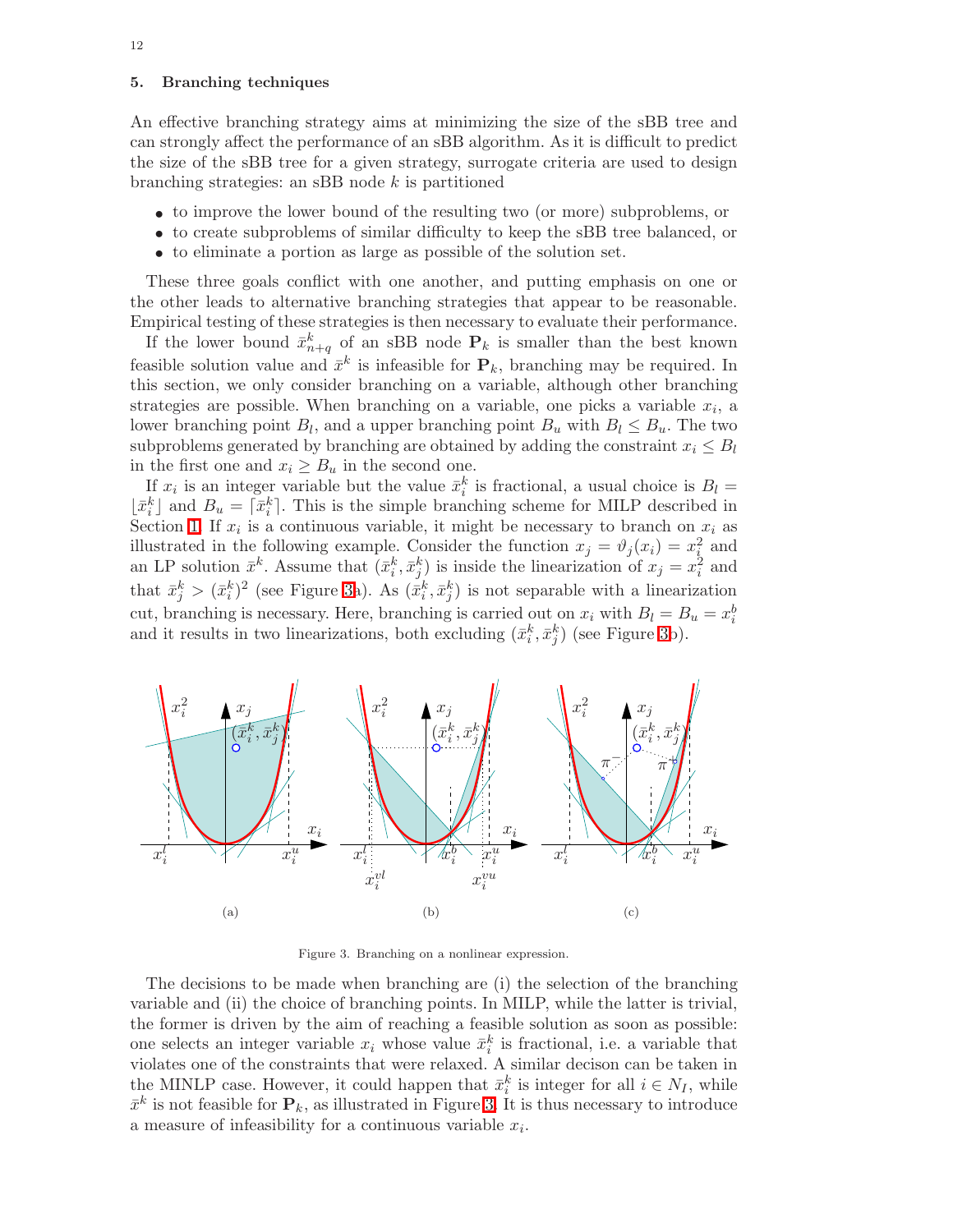#### <span id="page-12-0"></span>5. Branching techniques

An effective branching strategy aims at minimizing the size of the sBB tree and can strongly affect the performance of an sBB algorithm. As it is difficult to predict the size of the sBB tree for a given strategy, surrogate criteria are used to design branching strategies: an sBB node  $k$  is partitioned

- to improve the lower bound of the resulting two (or more) subproblems, or
- to create subproblems of similar difficulty to keep the sBB tree balanced, or
- to eliminate a portion as large as possible of the solution set.

These three goals conflict with one another, and putting emphasis on one or the other leads to alternative branching strategies that appear to be reasonable. Empirical testing of these strategies is then necessary to evaluate their performance.

If the lower bound  $\bar{x}_{n+q}^k$  of an sBB node  $P_k$  is smaller than the best known feasible solution value and  $\bar{x}^k$  is infeasible for  $P_k$ , branching may be required. In this section, we only consider branching on a variable, although other branching strategies are possible. When branching on a variable, one picks a variable  $x_i$ , a lower branching point  $B_l$ , and a upper branching point  $B_u$  with  $B_l \leq B_u$ . The two subproblems generated by branching are obtained by adding the constraint  $x_i \leq B_l$ in the first one and  $x_i \geq B_u$  in the second one.

If  $x_i$  is an integer variable but the value  $\bar{x}_i^k$  is fractional, a usual choice is  $B_l =$  $\lfloor \bar{x}_i^k \rfloor$  and  $B_u = \lceil \bar{x}_i^k \rceil$ . This is the simple branching scheme for MILP described in Section [1.](#page-1-0) If  $x_i$  is a continuous variable, it might be necessary to branch on  $x_i$  as illustrated in the following example. Consider the function  $x_j = \vartheta_j(x_i) = x_i^2$  and an LP solution  $\bar{x}^k$ . Assume that  $(\bar{x}_i^k, \bar{x}_j^k)$  is inside the linearization of  $x_j = x_i^2$  and that  $\bar{x}_j^k > (\bar{x}_i^k)^2$  (see Figure [3a](#page-12-1)). As  $(\bar{x}_i^k, \bar{x}_j^k)$  is not separable with a linearization cut, branching is necessary. Here, branching is carried out on  $x_i$  with  $B_l = B_u = x_i^b$ and it results in two linearizations, both excluding  $(\bar{x}_i^k, \bar{x}_j^k)$  (see Figure [3b](#page-12-1)).



<span id="page-12-1"></span>Figure 3. Branching on a nonlinear expression.

The decisions to be made when branching are (i) the selection of the branching variable and (ii) the choice of branching points. In MILP, while the latter is trivial, the former is driven by the aim of reaching a feasible solution as soon as possible: one selects an integer variable  $x_i$  whose value  $\bar{x}_i^k$  is fractional, i.e. a variable that violates one of the constraints that were relaxed. A similar decison can be taken in the MINLP case. However, it could happen that  $\bar{x}_i^k$  is integer for all  $i \in N_I$ , while  $\bar{x}^k$  is not feasible for  $P_k$ , as illustrated in Figure [3.](#page-12-1) It is thus necessary to introduce a measure of infeasibility for a continuous variable  $x_i$ .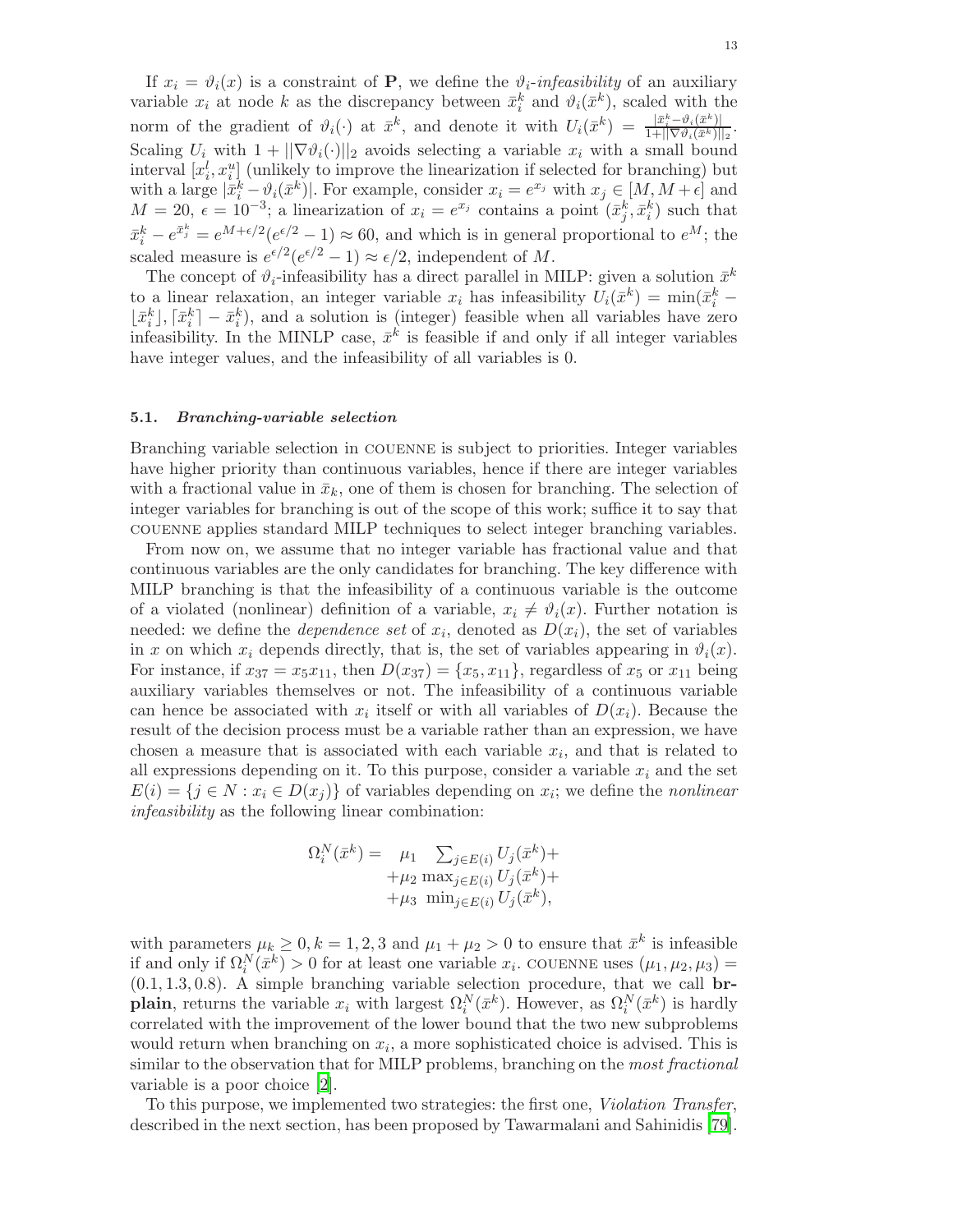If  $x_i = \vartheta_i(x)$  is a constraint of **P**, we define the  $\vartheta_i$ -infeasibility of an auxiliary variable  $x_i$  at node k as the discrepancy between  $\bar{x}_i^k$  and  $\vartheta_i(\bar{x}^k)$ , scaled with the i norm of the gradient of  $\vartheta_i(\cdot)$  at  $\bar{x}^k$ , and denote it with  $U_i(\bar{x}^k) = \frac{|\bar{x}^k_i - \vartheta_i(\bar{x}^k)|}{1 + ||\nabla \vartheta_i(\bar{x}^k)||}$  $\frac{|x_i - v_i(x)|}{1 + ||\nabla \vartheta_i(\bar{x}^k)||_2}.$ Scaling  $U_i$  with  $1 + ||\nabla \vartheta_i(\cdot)||_2$  avoids selecting a variable  $x_i$  with a small bound interval  $[x_i^l, x_i^u]$  (unlikely to improve the linearization if selected for branching) but with a large  $|\bar{x}_i^k - \vartheta_i(\bar{x}^k)|$ . For example, consider  $x_i = e^{x_j}$  with  $x_j \in [M, M + \epsilon]$  and  $M = 20, \epsilon = 10^{-3}$ ; a linearization of  $x_i = e^{x_j}$  contains a point  $(\bar{x}_j^k, \bar{x}_i^k)$  such that  $\bar{x}_i^k - e^{\bar{x}_j^k} = e^{M + \epsilon/2} (e^{\epsilon/2} - 1) \approx 60$ , and which is in general proportional to  $e^M$ ; the scaled measure is  $e^{\epsilon/2}(e^{\epsilon/2}-1) \approx \epsilon/2$ , independent of M.

The concept of  $\vartheta_i$ -infeasibility has a direct parallel in MILP: given a solution  $\bar{x}^k$ to a linear relaxation, an integer variable  $x_i$  has infeasibility  $U_i(\bar{x}^k) = \min(\bar{x}_i^k \lfloor \bar{x}_i^k \rfloor, \lceil \bar{x}_i^k \rceil - \bar{x}_i^k$ , and a solution is (integer) feasible when all variables have zero infeasibility. In the MINLP case,  $\bar{x}^k$  is feasible if and only if all integer variables have integer values, and the infeasibility of all variables is 0.

#### <span id="page-13-0"></span>5.1. Branching-variable selection

Branching variable selection in couenne is subject to priorities. Integer variables have higher priority than continuous variables, hence if there are integer variables with a fractional value in  $\bar{x}_k$ , one of them is chosen for branching. The selection of integer variables for branching is out of the scope of this work; suffice it to say that couenne applies standard MILP techniques to select integer branching variables.

From now on, we assume that no integer variable has fractional value and that continuous variables are the only candidates for branching. The key difference with MILP branching is that the infeasibility of a continuous variable is the outcome of a violated (nonlinear) definition of a variable,  $x_i \neq \vartheta_i(x)$ . Further notation is needed: we define the *dependence set* of  $x_i$ , denoted as  $D(x_i)$ , the set of variables in x on which  $x_i$  depends directly, that is, the set of variables appearing in  $\vartheta_i(x)$ . For instance, if  $x_{37} = x_5x_{11}$ , then  $D(x_{37}) = \{x_5, x_{11}\}$ , regardless of  $x_5$  or  $x_{11}$  being auxiliary variables themselves or not. The infeasibility of a continuous variable can hence be associated with  $x_i$  itself or with all variables of  $D(x_i)$ . Because the result of the decision process must be a variable rather than an expression, we have chosen a measure that is associated with each variable  $x_i$ , and that is related to all expressions depending on it. To this purpose, consider a variable  $x_i$  and the set  $E(i) = \{j \in N : x_i \in D(x_j)\}\$  of variables depending on  $x_i$ ; we define the *nonlinear* infeasibility as the following linear combination:

$$
\Omega_i^N(\bar{x}^k) = \mu_1 \sum_{j \in E(i)} U_j(\bar{x}^k) + \mu_2 \max_{j \in E(i)} U_j(\bar{x}^k) + \mu_3 \min_{j \in E(i)} U_j(\bar{x}^k),
$$

with parameters  $\mu_k \geq 0, k = 1, 2, 3$  and  $\mu_1 + \mu_2 > 0$  to ensure that  $\bar{x}^k$  is infeasible if and only if  $\Omega_i^N(\bar{x}^k) > 0$  for at least one variable  $x_i$ . COUENNE uses  $(\mu_1, \mu_2, \mu_3) =$  $(0.1, 1.3, 0.8)$ . A simple branching variable selection procedure, that we call **brplain**, returns the variable  $x_i$  with largest  $\Omega_i^N(\bar{x}^k)$ . However, as  $\Omega_i^N(\bar{x}^k)$  is hardly correlated with the improvement of the lower bound that the two new subproblems would return when branching on  $x_i$ , a more sophisticated choice is advised. This is similar to the observation that for MILP problems, branching on the *most fractional* variable is a poor choice [\[2](#page-33-8)].

To this purpose, we implemented two strategies: the first one, Violation Transfer, described in the next section, has been proposed by Tawarmalani and Sahinidis [\[79](#page-36-3)].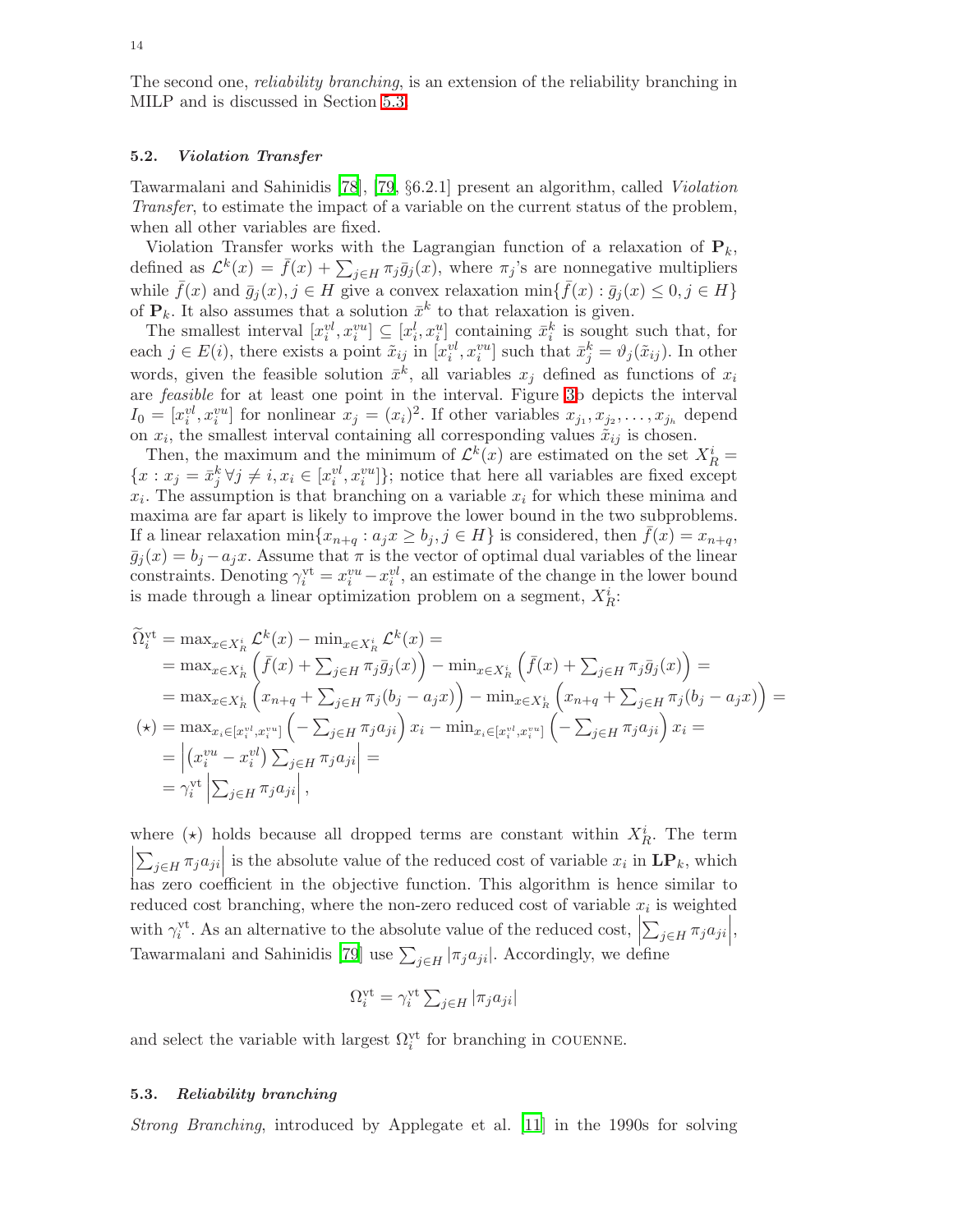The second one, reliability branching, is an extension of the reliability branching in MILP and is discussed in Section [5.3.](#page-14-0)

#### <span id="page-14-1"></span>5.2. Violation Transfer

Tawarmalani and Sahinidis [\[78](#page-36-2)], [\[79,](#page-36-3) §6.2.1] present an algorithm, called Violation Transfer, to estimate the impact of a variable on the current status of the problem, when all other variables are fixed.

Violation Transfer works with the Lagrangian function of a relaxation of  $P_k$ , defined as  $\mathcal{L}^k(x) = \bar{f}(x) + \sum_{j \in H} \pi_j \bar{g}_j(x)$ , where  $\pi_j$ 's are nonnegative multipliers while  $\bar{f}(x)$  and  $\bar{g}_j(x), j \in H$  give a convex relaxation  $\min\{\bar{f}(x) : \bar{g}_j(x) \leq 0, j \in H\}$ of  $P_k$ . It also assumes that a solution  $\bar{x}^k$  to that relaxation is given.

The smallest interval  $[x_i^{\nu l}, x_i^{\nu u}] \subseteq [x_i^l, x_i^u]$  containing  $\bar{x}_i^k$  is sought such that, for each  $j \in E(i)$ , there exists a point  $\tilde{x}_{ij}$  in  $[x_i^{vl}, x_i^{vu}]$  such that  $\bar{x}_j^k = \vartheta_j(\tilde{x}_{ij})$ . In other words, given the feasible solution  $\bar{x}^k$ , all variables  $x_j$  defined as functions of  $x_i$ are feasible for at least one point in the interval. Figure [3b](#page-12-1) depicts the interval  $I_0 = [x_i^{vl}, x_i^{vu}]$  for nonlinear  $x_j = (x_i)^2$ . If other variables  $x_{j_1}, x_{j_2}, \ldots, x_{j_h}$  depend on  $x_i$ , the smallest interval containing all corresponding values  $\tilde{x}_{ij}$  is chosen.

Then, the maximum and the minimum of  $\mathcal{L}^k(x)$  are estimated on the set  $X_R^i$  =  ${x : x_j = \bar{x}_j^k \forall j \neq i, x_i \in [x_i^{vl}, x_i^{vu}]}$ ; notice that here all variables are fixed except  $x_i$ . The assumption is that branching on a variable  $x_i$  for which these minima and maxima are far apart is likely to improve the lower bound in the two subproblems. If a linear relaxation min $\{x_{n+q} : a_j x \geq b_j, j \in H\}$  is considered, then  $f(x) = x_{n+q}$ ,  $\bar{g}_j(x) = b_j - a_jx$ . Assume that  $\pi$  is the vector of optimal dual variables of the linear constraints. Denoting  $\gamma_i^{\text{vt}} = x_i^{vu} - x_i^{vl}$ , an estimate of the change in the lower bound is made through a linear optimization problem on a segment,  $X_R^i$ :

$$
\begin{split}\n\widetilde{\Omega}_{i}^{\text{vt}} &= \max_{x \in X_{R}^{i}} \mathcal{L}^{k}(x) - \min_{x \in X_{R}^{i}} \mathcal{L}^{k}(x) = \\
&= \max_{x \in X_{R}^{i}} \left( \bar{f}(x) + \sum_{j \in H} \pi_{j} \bar{g}_{j}(x) \right) - \min_{x \in X_{R}^{i}} \left( \bar{f}(x) + \sum_{j \in H} \pi_{j} \bar{g}_{j}(x) \right) = \\
&= \max_{x \in X_{R}^{i}} \left( x_{n+q} + \sum_{j \in H} \pi_{j}(b_{j} - a_{j}x) \right) - \min_{x \in X_{R}^{i}} \left( x_{n+q} + \sum_{j \in H} \pi_{j}(b_{j} - a_{j}x) \right) = \\
(\star) &= \max_{x_{i} \in [x_{i}^{v_{i}}, x_{i}^{v_{i}}]} \left( -\sum_{j \in H} \pi_{j} a_{ji} \right) x_{i} - \min_{x_{i} \in [x_{i}^{v_{i}}, x_{i}^{v_{i}}]} \left( -\sum_{j \in H} \pi_{j} a_{ji} \right) x_{i} = \\
&= \left| \left( x_{i}^{v u} - x_{i}^{v l} \right) \sum_{j \in H} \pi_{j} a_{ji} \right| = \\
&= \gamma_{i}^{\text{vt}} \left| \sum_{j \in H} \pi_{j} a_{ji} \right|,\n\end{split}
$$

where ( $\star$ ) holds because all dropped terms are constant within  $X_R^i$ . The term  $\begin{array}{c} \hline \end{array}$  $\sum_{j\in H} \pi_j a_{ji}$  is the absolute value of the reduced cost of variable  $x_i$  in  $\mathbf{LP}_k$ , which has zero coefficient in the objective function. This algorithm is hence similar to reduced cost branching, where the non-zero reduced cost of variable  $x_i$  is weighted with  $\gamma_i^{\text{vt}}$ . As an alternative to the absolute value of the reduced cost,  $\sum_{j\in H}\pi_j a_{ji}\Big|,$ Tawarmalani and Sahinidis [\[79\]](#page-36-3) use  $\sum_{j\in H} |\pi_j a_{ji}|$ . Accordingly, we define

$$
\Omega_i^{\text{vt}} = \gamma_i^{\text{vt}} \sum_{j \in H} |\pi_j a_{ji}|
$$

and select the variable with largest  $\Omega_i^{\text{vt}}$  for branching in COUENNE.

#### <span id="page-14-0"></span>5.3. Reliability branching

Strong Branching, introduced by Applegate et al. [\[11](#page-34-5)] in the 1990s for solving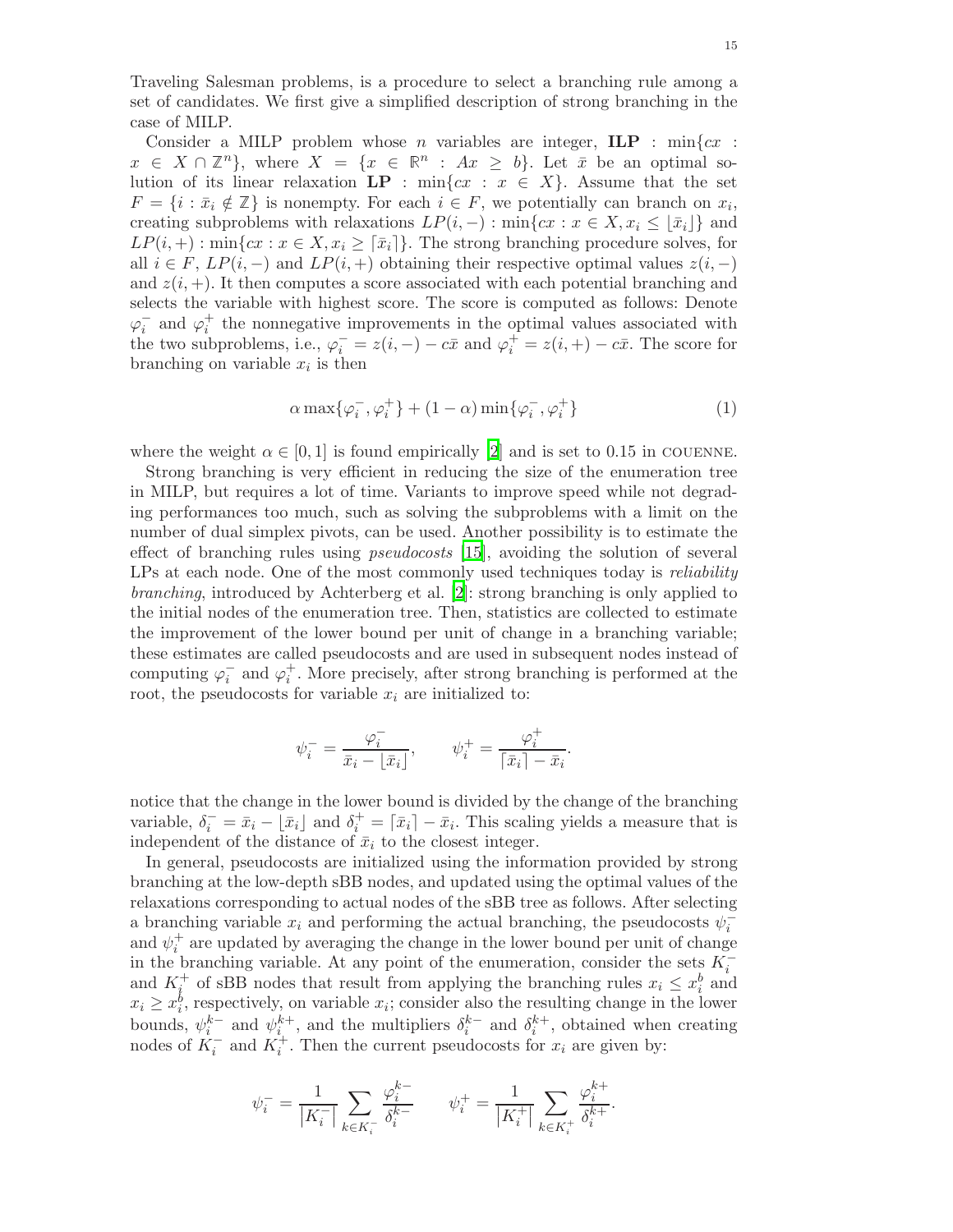Traveling Salesman problems, is a procedure to select a branching rule among a set of candidates. We first give a simplified description of strong branching in the case of MILP.

Consider a MILP problem whose *n* variables are integer,  $\mathbf{ILP}$  :  $\min\{cx :$  $x \in X \cap \mathbb{Z}^n$ , where  $X = \{x \in \mathbb{R}^n : Ax \geq b\}$ . Let  $\bar{x}$  be an optimal solution of its linear relaxation  $\mathbf{LP}$ : min{cx :  $x \in X$ }. Assume that the set  $F = \{i : \bar{x}_i \notin \mathbb{Z}\}\$ is nonempty. For each  $i \in F$ , we potentially can branch on  $x_i$ , creating subproblems with relaxations  $LP(i, -) : \min\{cx : x \in X, x_i \leq |\bar{x}_i|\}$  and  $LP(i, +) : \min\{cx : x \in X, x_i \geq \lceil \bar{x}_i \rceil\}.$  The strong branching procedure solves, for all  $i \in F$ ,  $LP(i, -)$  and  $LP(i, +)$  obtaining their respective optimal values  $z(i, -)$ and  $z(i, +)$ . It then computes a score associated with each potential branching and selects the variable with highest score. The score is computed as follows: Denote  $\varphi_i^-$  and  $\varphi_i^+$  the nonnegative improvements in the optimal values associated with the two subproblems, i.e.,  $\varphi_i^- = z(i, -) - c\bar{x}$  and  $\varphi_i^+ = z(i, +) - c\bar{x}$ . The score for branching on variable  $x_i$  is then

$$
\alpha \max\{\varphi_i^-, \varphi_i^+\} + (1 - \alpha) \min\{\varphi_i^-, \varphi_i^+\}\tag{1}
$$

<span id="page-15-0"></span>where the weight  $\alpha \in [0, 1]$  is found empirically [\[2](#page-33-8)] and is set to 0.15 in COUENNE.

Strong branching is very efficient in reducing the size of the enumeration tree in MILP, but requires a lot of time. Variants to improve speed while not degrading performances too much, such as solving the subproblems with a limit on the number of dual simplex pivots, can be used. Another possibility is to estimate the effect of branching rules using pseudocosts [\[15\]](#page-34-6), avoiding the solution of several LPs at each node. One of the most commonly used techniques today is *reliability* branching, introduced by Achterberg et al. [\[2](#page-33-8)]: strong branching is only applied to the initial nodes of the enumeration tree. Then, statistics are collected to estimate the improvement of the lower bound per unit of change in a branching variable; these estimates are called pseudocosts and are used in subsequent nodes instead of computing  $\varphi_i^-$  and  $\varphi_i^+$ . More precisely, after strong branching is performed at the root, the pseudocosts for variable  $x_i$  are initialized to:

$$
\psi_i^- = \frac{\varphi_i^-}{\bar{x}_i - \lfloor \bar{x}_i \rfloor}, \qquad \psi_i^+ = \frac{\varphi_i^+}{\lceil \bar{x}_i \rceil - \bar{x}_i}.
$$

notice that the change in the lower bound is divided by the change of the branching variable,  $\delta_i^- = \bar{x}_i - \lfloor \bar{x}_i \rfloor$  and  $\delta_i^+ = \lceil \bar{x}_i \rceil - \bar{x}_i$ . This scaling yields a measure that is independent of the distance of  $\bar{x}_i$  to the closest integer.

In general, pseudocosts are initialized using the information provided by strong branching at the low-depth sBB nodes, and updated using the optimal values of the relaxations corresponding to actual nodes of the sBB tree as follows. After selecting a branching variable  $x_i$  and performing the actual branching, the pseudocosts  $\psi_i^$ and  $\psi_i^+$  are updated by averaging the change in the lower bound per unit of change in the branching variable. At any point of the enumeration, consider the sets  $K_i^$ and  $K_i^+$  of sBB nodes that result from applying the branching rules  $x_i \leq x_i^b$  and  $x_i \geq x_i^b$ , respectively, on variable  $x_i$ ; consider also the resulting change in the lower bounds,  $\psi_i^{k-}$  and  $\psi_i^{k+}$ , and the multipliers  $\delta_i^{k-}$  and  $\delta_i^{k+}$ , obtained when creating nodes of  $K_i^-$  and  $K_i^+$ . Then the current pseudocosts for  $x_i$  are given by:

$$
\psi_i^- = \frac{1}{|K_i^-|} \sum_{k \in K_i^-} \frac{\varphi_i^{k-}}{\delta_i^{k-}} \qquad \psi_i^+ = \frac{1}{|K_i^+|} \sum_{k \in K_i^+} \frac{\varphi_i^{k+}}{\delta_i^{k+}}.
$$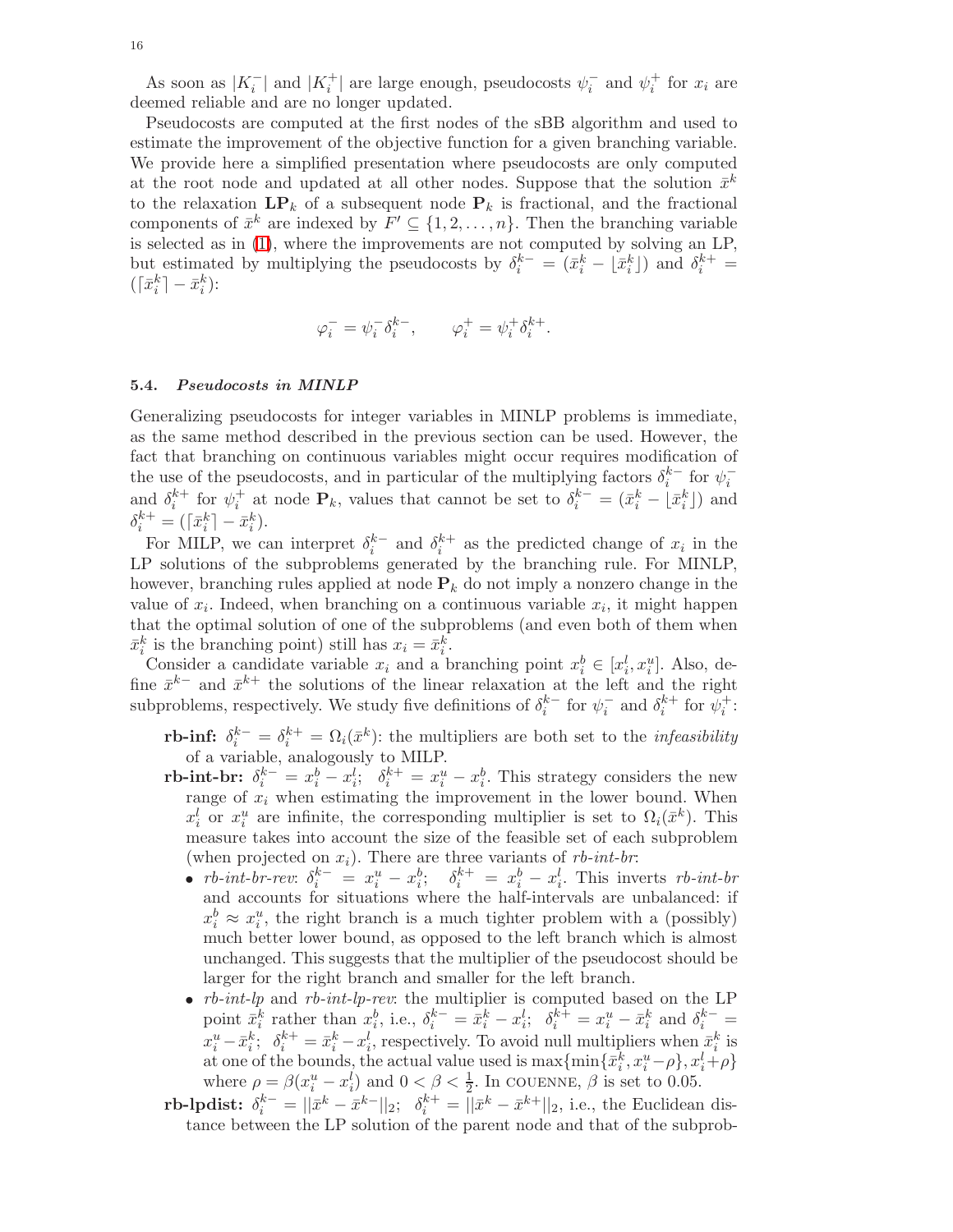As soon as  $|K_i^-|$  and  $|K_i^+|$  are large enough, pseudocosts  $\psi_i^-$  and  $\psi_i^+$  for  $x_i$  are deemed reliable and are no longer updated.

Pseudocosts are computed at the first nodes of the sBB algorithm and used to estimate the improvement of the objective function for a given branching variable. We provide here a simplified presentation where pseudocosts are only computed at the root node and updated at all other nodes. Suppose that the solution  $\bar{x}^k$ to the relaxation  $\mathbf{LP}_k$  of a subsequent node  $\mathbf{P}_k$  is fractional, and the fractional components of  $\bar{x}^k$  are indexed by  $F' \subseteq \{1, 2, ..., n\}$ . Then the branching variable is selected as in [\(1\)](#page-15-0), where the improvements are not computed by solving an LP, but estimated by multiplying the pseudocosts by  $\delta_i^{k-} = (\bar{x}_i^k - \lfloor \bar{x}_i^k \rfloor)$  and  $\delta_i^{k+} =$  $(\lceil \bar{x}_i^k \rceil - \bar{x}_i^k)$ :

$$
\varphi_i^- = \psi_i^- \delta_i^{k-}, \qquad \varphi_i^+ = \psi_i^+ \delta_i^{k+}.
$$

#### <span id="page-16-0"></span>5.4. Pseudocosts in MINLP

Generalizing pseudocosts for integer variables in MINLP problems is immediate, as the same method described in the previous section can be used. However, the fact that branching on continuous variables might occur requires modification of the use of the pseudocosts, and in particular of the multiplying factors  $\delta_i^{k-}$  for  $\psi_i^$  $i \left[ \begin{array}{cc} 101 & \psi_i \end{array} \right]$ and  $\delta_i^{k+}$  for  $\psi_i^+$  at node  $\mathbf{P}_k$ , values that cannot be set to  $\delta_i^{k-} = (\bar{x}_i^k - \bar{x}_i^k)$  and  $\delta_i^{k+} = (\lceil \bar{x}_i^k \rceil - \bar{x}_i^k).$ 

For MILP, we can interpret  $\delta_i^{k-}$  and  $\delta_i^{k+}$  as the predicted change of  $x_i$  in the LP solutions of the subproblems generated by the branching rule. For MINLP, however, branching rules applied at node  $P_k$  do not imply a nonzero change in the value of  $x_i$ . Indeed, when branching on a continuous variable  $x_i$ , it might happen that the optimal solution of one of the subproblems (and even both of them when  $\bar{x}_i^k$  is the branching point) still has  $x_i = \bar{x}_i^k$ .

Consider a candidate variable  $x_i$  and a branching point  $x_i^b \in [x_i^l, x_i^u]$ . Also, define  $\bar{x}^{k-}$  and  $\bar{x}^{k+}$  the solutions of the linear relaxation at the left and the right subproblems, respectively. We study five definitions of  $\delta_i^{k-}$  for  $\psi_i^-$  and  $\delta_i^{k+}$  for  $\psi_i^+$ :

- rb-inf:  $\delta_i^{k-} = \delta_i^{k+} = \Omega_i(\bar{x}^k)$ : the multipliers are both set to the *infeasibility* of a variable, analogously to MILP.
- rb-int-br:  $\delta_i^{k-} = x_i^b x_i^l; \quad \delta_i^{k+} = x_i^u x_i^b.$  This strategy considers the new range of  $x_i$  when estimating the improvement in the lower bound. When  $x_i^l$  or  $x_i^u$  are infinite, the corresponding multiplier is set to  $\Omega_i(\bar{x}^k)$ . This measure takes into account the size of the feasible set of each subproblem (when projected on  $x_i$ ). There are three variants of rb-int-br:
	- *rb-int-br-rev*:  $\delta_i^{k-} = x_i^u x_i^b$ ;  $\delta_i^{k+} = x_i^b x_i^l$ . This inverts *rb-int-br* and accounts for situations where the half-intervals are unbalanced: if  $x_i^b \approx x_i^u$ , the right branch is a much tighter problem with a (possibly) much better lower bound, as opposed to the left branch which is almost unchanged. This suggests that the multiplier of the pseudocost should be larger for the right branch and smaller for the left branch.
	- *rb-int-lp* and *rb-int-lp-rev*: the multiplier is computed based on the LP point  $\bar{x}_i^k$  rather than  $x_i^b$ , i.e.,  $\delta_i^{k-} = \bar{x}_i^k - x_i^l$ ;  $\delta_i^{k+} = x_i^u - \bar{x}_i^k$  and  $\delta_i^{k-} =$  $x_i^u - \bar{x}_i^k$ ;  $\delta_i^{k+} = \bar{x}_i^k - x_i^l$ , respectively. To avoid null multipliers when  $\bar{x}_i^k$  is at one of the bounds, the actual value used is  $\max\{\min\{\bar{x}_i^k, x_i^u - \rho\}, x_i^l + \rho\}$ where  $\rho = \beta(x_i^u - x_i^l)$  and  $0 < \beta < \frac{1}{2}$ . In COUENNE,  $\beta$  is set to 0.05.
- rb-lpdist:  $\delta_i^{k-} = ||\bar{x}^k \bar{x}^{k-}||_2$ ;  $\delta_i^{k+} = ||\bar{x}^k \bar{x}^{k+}||_2$ , i.e., the Euclidean distance between the LP solution of the parent node and that of the subprob-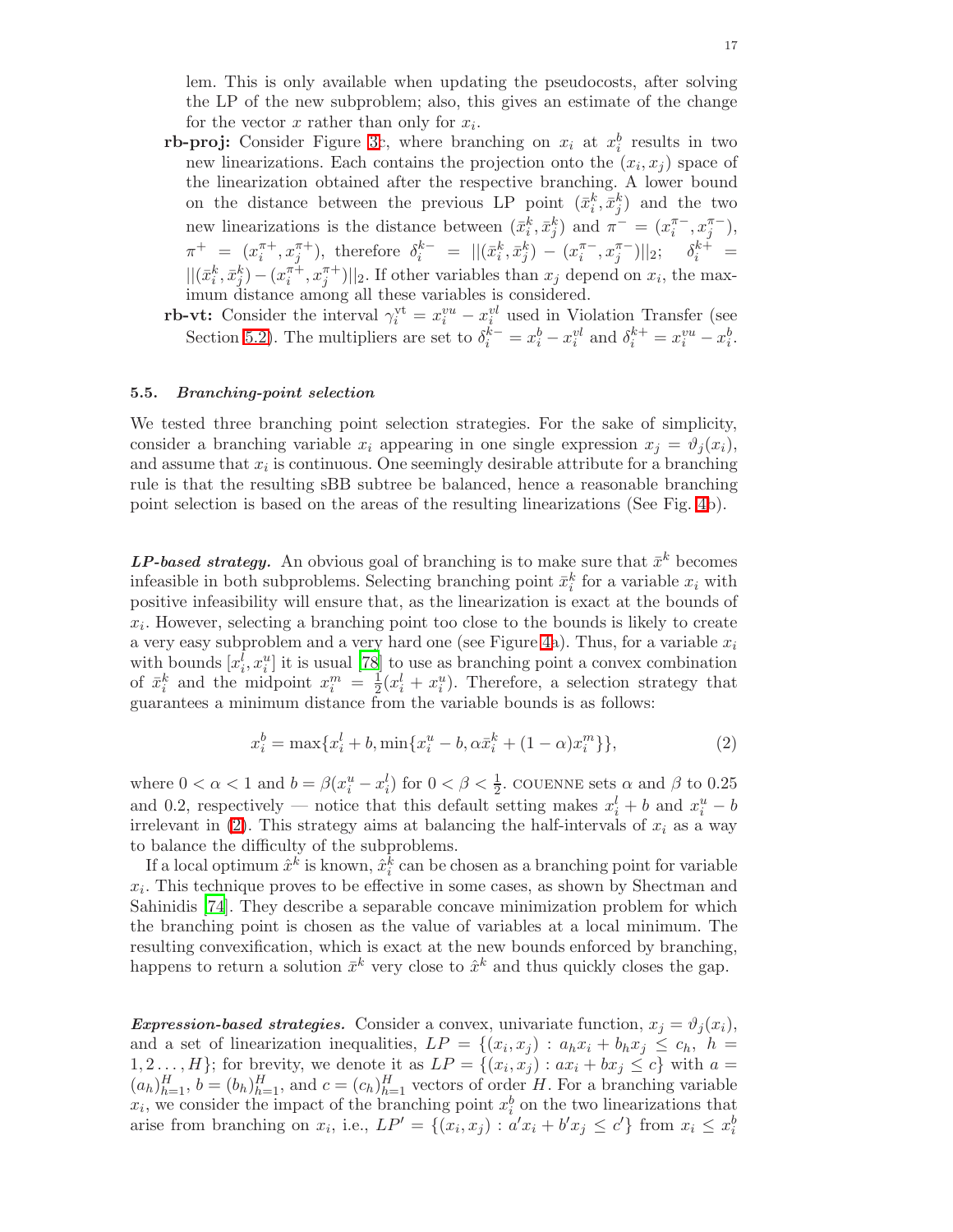lem. This is only available when updating the pseudocosts, after solving the LP of the new subproblem; also, this gives an estimate of the change for the vector  $x$  rather than only for  $x_i$ .

- rb-proj: Consider Figure [3c](#page-12-1), where branching on  $x_i$  at  $x_i^b$  results in two new linearizations. Each contains the projection onto the  $(x_i, x_j)$  space of the linearization obtained after the respective branching. A lower bound on the distance between the previous LP point  $(\bar{x}_i^k, \bar{x}_j^k)$  and the two new linearizations is the distance between  $(\bar{x}_i^k, \bar{x}_j^k)$  and  $\pi^- = (x_i^{\pi^-}, x_j^{\pi^-})$ ,  $\pi^+ = (x_i^{\pi +}, x_j^{\pi +})$ , therefore  $\delta_i^{k-} = ||(\bar{x}_i^k, \bar{x}_j^k) - (x_i^{\pi -}, x_j^{\pi -})||_2$ ;  $\delta_i^{k+} =$  $||(\bar{x}_i^k, \bar{x}_j^k) - (x_i^{\pi +}, x_j^{\pi +})||_2$ . If other variables than  $x_j$  depend on  $x_i$ , the maximum distance among all these variables is considered.
- rb-vt: Consider the interval  $\gamma_i^{\text{vt}} = x_i^{vu} x_i^{vl}$  used in Violation Transfer (see Section [5.2\)](#page-14-1). The multipliers are set to  $\delta_i^{k-} = x_i^b - x_i^{vl}$  and  $\delta_i^{k+} = x_i^{vu} - x_i^b$ .

#### <span id="page-17-0"></span>5.5. Branching-point selection

We tested three branching point selection strategies. For the sake of simplicity, consider a branching variable  $x_i$  appearing in one single expression  $x_j = \vartheta_i(x_i)$ , and assume that  $x_i$  is continuous. One seemingly desirable attribute for a branching rule is that the resulting sBB subtree be balanced, hence a reasonable branching point selection is based on the areas of the resulting linearizations (See Fig. [4b](#page-18-0)).

LP-based strategy. An obvious goal of branching is to make sure that  $\bar{x}^k$  becomes infeasible in both subproblems. Selecting branching point  $\bar{x}_i^k$  for a variable  $x_i$  with positive infeasibility will ensure that, as the linearization is exact at the bounds of  $x_i$ . However, selecting a branching point too close to the bounds is likely to create a very easy subproblem and a very hard one (see Figure [4a](#page-18-0)). Thus, for a variable  $x_i$ with bounds  $[x_i^l, x_i^u]$  it is usual [\[78](#page-36-2)] to use as branching point a convex combination of  $\bar{x}_i^k$  and the midpoint  $x_i^m = \frac{1}{2}$  $\frac{1}{2}(x_i^l + x_i^u)$ . Therefore, a selection strategy that guarantees a minimum distance from the variable bounds is as follows:

$$
x_i^b = \max\{x_i^l + b, \min\{x_i^u - b, \alpha \bar{x}_i^k + (1 - \alpha)x_i^m\}\},\tag{2}
$$

<span id="page-17-1"></span>where  $0 < \alpha < 1$  and  $b = \beta(x_i^u - x_i^l)$  for  $0 < \beta < \frac{1}{2}$ . COUENNE sets  $\alpha$  and  $\beta$  to 0.25 and 0.2, respectively — notice that this default setting makes  $x_i^l + b$  and  $x_i^u - b$ irrelevant in  $(2)$ . This strategy aims at balancing the half-intervals of  $x_i$  as a way to balance the difficulty of the subproblems.

If a local optimum  $\hat{x}^k$  is known,  $\hat{x}_i^k$  can be chosen as a branching point for variable  $x_i$ . This technique proves to be effective in some cases, as shown by Shectman and Sahinidis [\[74](#page-36-15)]. They describe a separable concave minimization problem for which the branching point is chosen as the value of variables at a local minimum. The resulting convexification, which is exact at the new bounds enforced by branching, happens to return a solution  $\bar{x}^k$  very close to  $\hat{x}^k$  and thus quickly closes the gap.

Expression-based strategies. Consider a convex, univariate function,  $x_i = \vartheta_i(x_i)$ , and a set of linearization inequalities,  $LP = \{(x_i, x_j) : a_h x_i + b_h x_j \leq c_h, h =$  $1, 2 \ldots, H$ ; for brevity, we denote it as  $LP = \{(x_i, x_j) : ax_i + bx_j \le c\}$  with  $a =$  $(a_h)_{h=1}^H$ ,  $b = (b_h)_{h=1}^H$ , and  $c = (c_h)_{h=1}^H$  vectors of order H. For a branching variable  $x_i$ , we consider the impact of the branching point  $x_i^b$  on the two linearizations that arise from branching on  $x_i$ , i.e.,  $LP' = \{(x_i, x_j) : a'x_i + b'x_j \le c'\}$  from  $x_i \le x_i^b$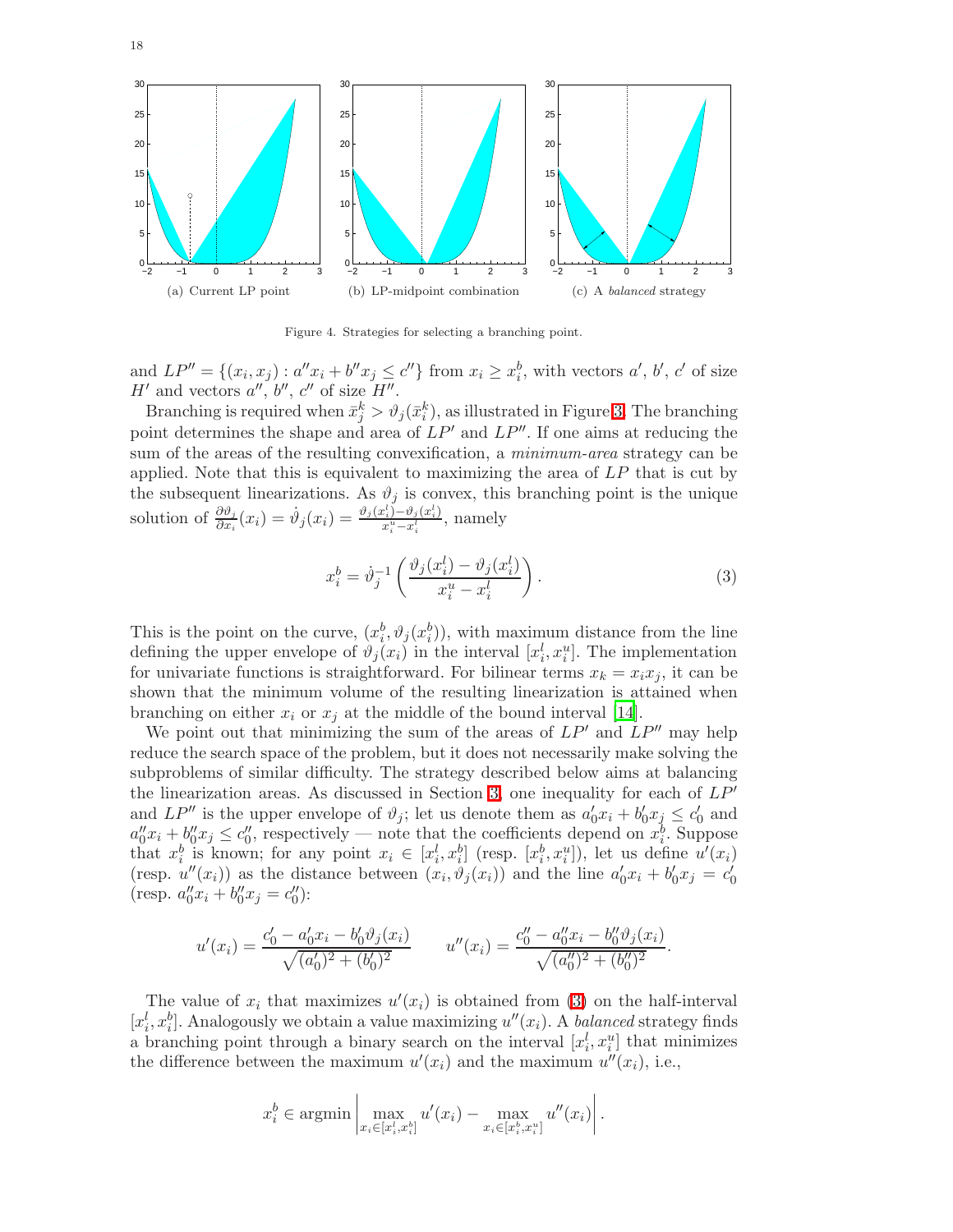

<span id="page-18-0"></span>Figure 4. Strategies for selecting a branching point.

and  $LP'' = \{(x_i, x_j) : a''x_i + b''x_j \le c''\}$  from  $x_i \ge x_i^b$ , with vectors  $a', b', c'$  of size  $H'$  and vectors  $a'', b'', c''$  of size  $H''$ .

Branching is required when  $\bar{x}_j^k > \vartheta_j(\bar{x}_i^k)$ , as illustrated in Figure [3.](#page-12-1) The branching point determines the shape and area of  $LP'$  and  $LP''$ . If one aims at reducing the sum of the areas of the resulting convexification, a *minimum-area* strategy can be applied. Note that this is equivalent to maximizing the area of  $LP$  that is cut by the subsequent linearizations. As  $\vartheta_j$  is convex, this branching point is the unique solution of  $\frac{\partial \vartheta_j}{\partial x_i}(x_i) = \dot{\vartheta}_j(x_i) = \frac{\vartheta_j(x_i^l) - \vartheta_j(x_i^l)}{x_i^u - x_i^l}$  $\frac{x_i - x_j - x_i}{x_i - x_i}$ , namely

<span id="page-18-1"></span>
$$
x_i^b = \dot{\vartheta}_j^{-1} \left( \frac{\vartheta_j(x_i^l) - \vartheta_j(x_i^l)}{x_i^u - x_i^l} \right). \tag{3}
$$

This is the point on the curve,  $(x_i^b, \vartheta_j(x_i^b))$ , with maximum distance from the line defining the upper envelope of  $\vartheta_j(x_i)$  in the interval  $[x_i^l, x_i^u]$ . The implementation for univariate functions is straightforward. For bilinear terms  $x_k = x_i x_j$ , it can be shown that the minimum volume of the resulting linearization is attained when branching on either  $x_i$  or  $x_j$  at the middle of the bound interval [\[14](#page-34-7)].

We point out that minimizing the sum of the areas of  $LP'$  and  $LP''$  may help reduce the search space of the problem, but it does not necessarily make solving the subproblems of similar difficulty. The strategy described below aims at balancing the linearization areas. As discussed in Section [3,](#page-4-1) one inequality for each of  $LP'$ and  $LP''$  is the upper envelope of  $\vartheta_j$ ; let us denote them as  $a'_0x_i + b'_0x_j \leq c'_0$  and  $a''_0x_i + b''_0x_j \le c''_0$ , respectively — note that the coefficients depend on  $x_i^b$ . Suppose that  $x_i^b$  is known; for any point  $x_i \in [x_i^l, x_i^b]$  (resp.  $[x_i^b, x_i^u]$ ), let us define  $u'(x_i)$ (resp.  $u''(x_i)$ ) as the distance between  $(x_i, \vartheta_j(x_i))$  and the line  $a'_0x_i + b'_0x_j = c'_0$ (resp.  $a_0''x_i + b_0''x_j = c_0'$ ):

$$
u'(x_i) = \frac{c'_0 - a'_0 x_i - b'_0 \vartheta_j(x_i)}{\sqrt{(a'_0)^2 + (b'_0)^2}} \qquad u''(x_i) = \frac{c''_0 - a''_0 x_i - b''_0 \vartheta_j(x_i)}{\sqrt{(a''_0)^2 + (b''_0)^2}}.
$$

The value of  $x_i$  that maximizes  $u'(x_i)$  is obtained from [\(3\)](#page-18-1) on the half-interval  $[x_i^l, x_i^b]$ . Analogously we obtain a value maximizing  $u''(x_i)$ . A balanced strategy finds a branching point through a binary search on the interval  $[x_i^l, x_i^u]$  that minimizes the difference between the maximum  $u'(x_i)$  and the maximum  $u''(x_i)$ , i.e.,

$$
x_i^b \in \operatorname{argmin} \left| \max_{x_i \in [x_i^t, x_i^b]} u'(x_i) - \max_{x_i \in [x_i^b, x_i^u]} u''(x_i) \right|.
$$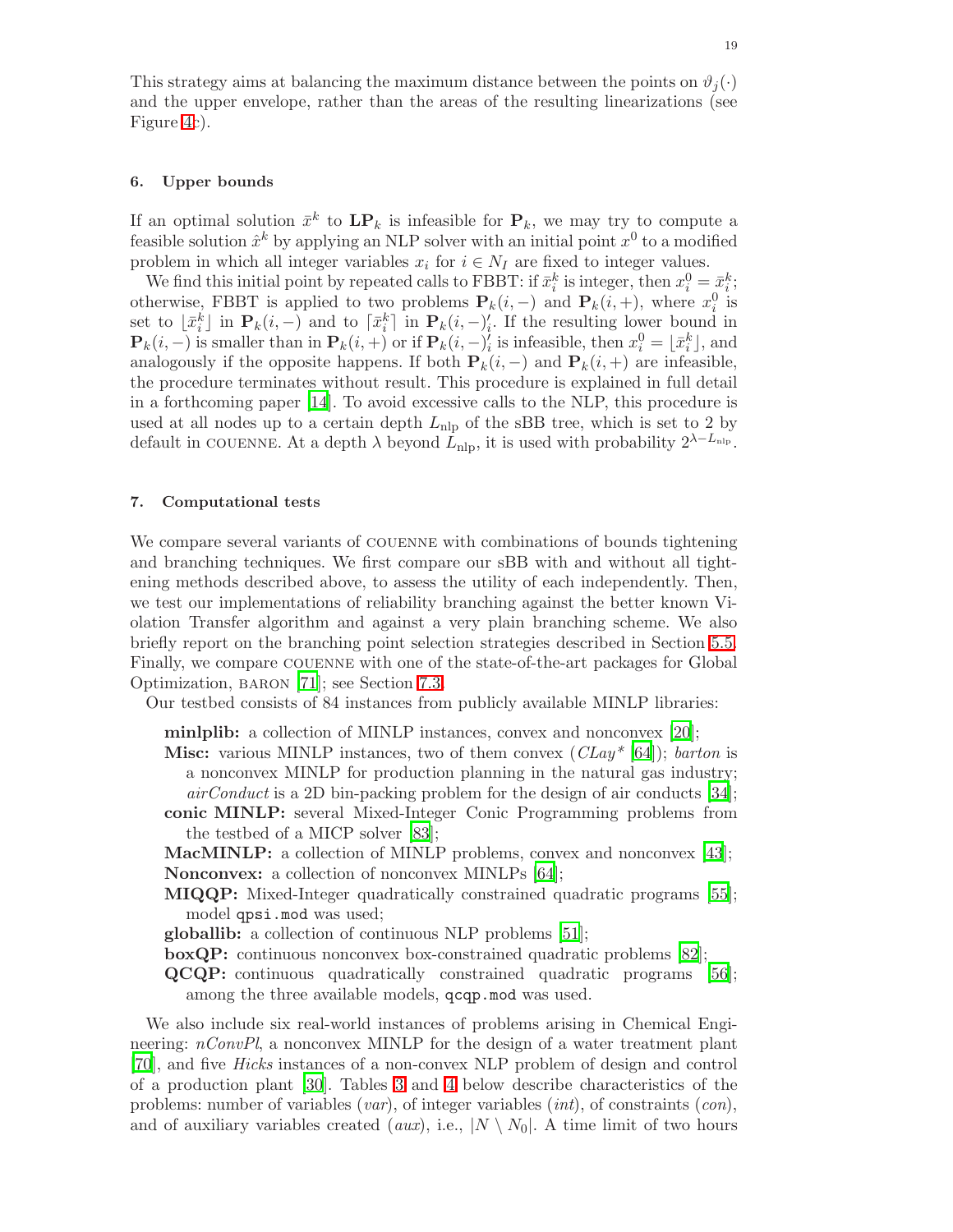This strategy aims at balancing the maximum distance between the points on  $\vartheta_i(\cdot)$ and the upper envelope, rather than the areas of the resulting linearizations (see Figure [4c](#page-18-0)).

#### <span id="page-19-1"></span>6. Upper bounds

If an optimal solution  $\bar{x}^k$  to  $\mathbf{LP}_k$  is infeasible for  $\mathbf{P}_k$ , we may try to compute a feasible solution  $\hat{x}^k$  by applying an NLP solver with an initial point  $x^0$  to a modified problem in which all integer variables  $x_i$  for  $i \in N_I$  are fixed to integer values.

We find this initial point by repeated calls to FBBT: if  $\bar{x}_i^k$  is integer, then  $x_i^0 = \bar{x}_i^k$ ; otherwise, FBBT is applied to two problems  $P_k(i, -)$  and  $P_k(i, +)$ , where  $x_i^0$  is set to  $\lfloor \bar{x}_i^k \rfloor$  in  $\mathbf{P}_k(i, -)$  and to  $\lceil \bar{x}_i^k \rceil$  in  $\mathbf{P}_k(i, -)'_i$ . If the resulting lower bound in  $\mathbf{P}_k(i, -)$  is smaller than in  $\mathbf{P}_k(i, +)$  or if  $\mathbf{P}_k(i, -)_{i}$  is infeasible, then  $x_i^0 = \lfloor \bar{x}_i^k \rfloor$ , and analogously if the opposite happens. If both  $P_k(i, -)$  and  $P_k(i, +)$  are infeasible, the procedure terminates without result. This procedure is explained in full detail in a forthcoming paper [\[14](#page-34-7)]. To avoid excessive calls to the NLP, this procedure is used at all nodes up to a certain depth  $L_{\text{nlp}}$  of the sBB tree, which is set to 2 by default in COUENNE. At a depth  $\lambda$  beyond  $\dot{L}_{\rm nlp}$ , it is used with probability  $2^{\lambda-L_{\rm nlp}}$ .

#### <span id="page-19-0"></span>7. Computational tests

We compare several variants of couenne with combinations of bounds tightening and branching techniques. We first compare our sBB with and without all tightening methods described above, to assess the utility of each independently. Then, we test our implementations of reliability branching against the better known Violation Transfer algorithm and against a very plain branching scheme. We also briefly report on the branching point selection strategies described in Section [5.5.](#page-17-0) Finally, we compare couenne with one of the state-of-the-art packages for Global Optimization, baron [\[71\]](#page-36-12); see Section [7.3.](#page-30-0)

Our testbed consists of 84 instances from publicly available MINLP libraries:

minlplib: a collection of MINLP instances, convex and nonconvex [\[20\]](#page-34-8);

- **Misc:** various MINLP instances, two of them convex  $(CLay^*[64])$  $(CLay^*[64])$  $(CLay^*[64])$ ; barton is a nonconvex MINLP for production planning in the natural gas industry;  $airConduct$  is a 2D bin-packing problem for the design of air conducts [\[34](#page-35-31)]; conic MINLP: several Mixed-Integer Conic Programming problems from
- the testbed of a MICP solver [\[83](#page-36-13)];

MacMINLP: a collection of MINLP problems, convex and nonconvex [\[43\]](#page-35-32); Nonconvex: a collection of nonconvex MINLPs [\[64](#page-35-30)];

- MIQQP: Mixed-Integer quadratically constrained quadratic programs [\[55\]](#page-35-33); model qpsi.mod was used;
- globallib: a collection of continuous NLP problems [\[51](#page-35-34)];
- boxQP: continuous nonconvex box-constrained quadratic problems [\[82\]](#page-36-18);
- QCQP: continuous quadratically constrained quadratic programs [\[56](#page-35-35)]; among the three available models, qcqp.mod was used.

We also include six real-world instances of problems arising in Chemical Engineering:  $nConvPl$ , a nonconvex MINLP for the design of a water treatment plant [\[70](#page-36-19)], and five Hicks instances of a non-convex NLP problem of design and control of a production plant [\[30](#page-35-36)]. Tables [3](#page-20-0) and [4](#page-21-0) below describe characteristics of the problems: number of variables (*var*), of integer variables (*int*), of constraints (*con*), and of auxiliary variables created (aux), i.e.,  $|N \setminus N_0|$ . A time limit of two hours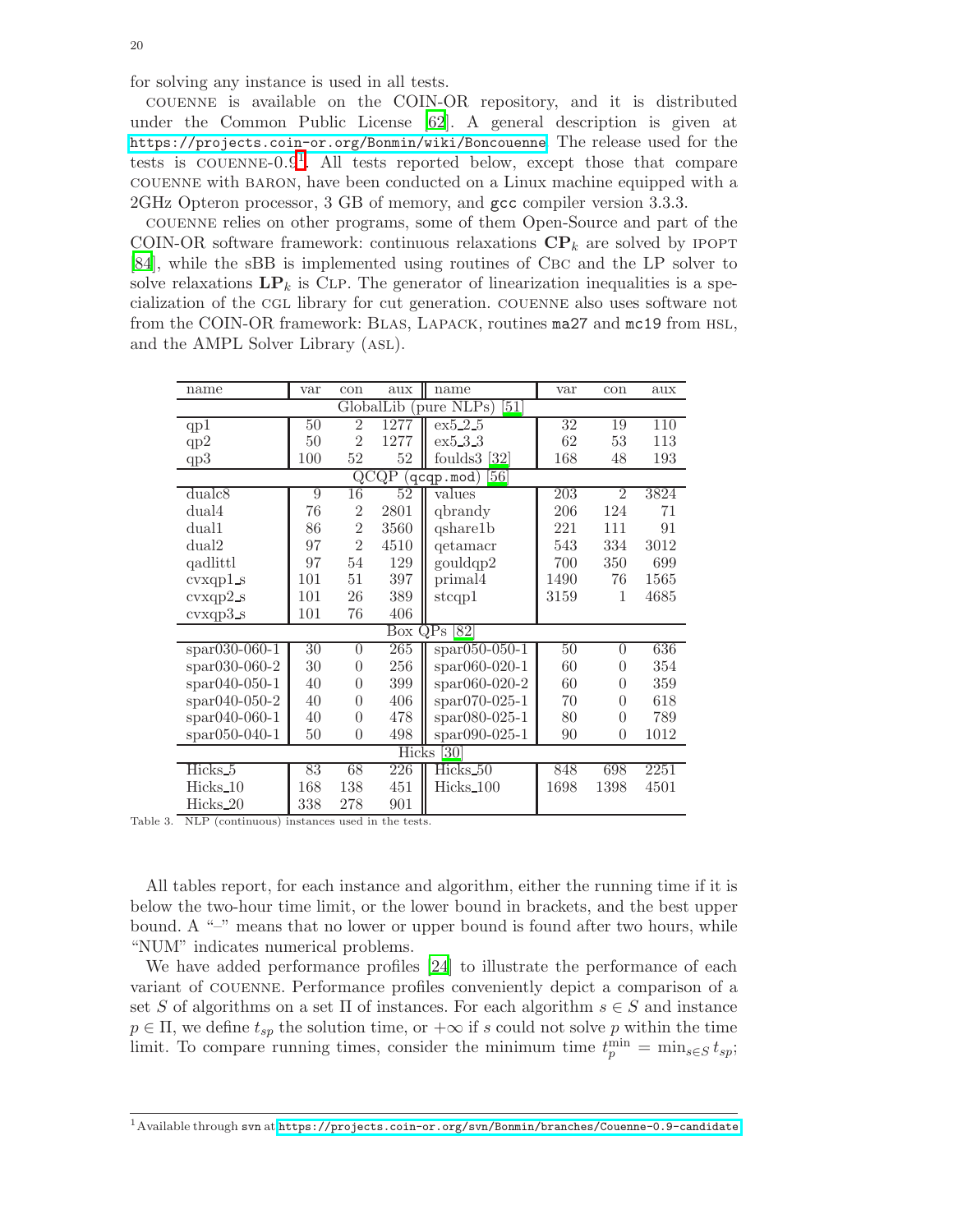for solving any instance is used in all tests.

couenne is available on the COIN-OR repository, and it is distributed under the Common Public License [\[62](#page-35-37)]. A general description is given at <https://projects.coin-or.org/Bonmin/wiki/Boncouenne>. The release used for the tests is COUENNE- $0.9<sup>1</sup>$  $0.9<sup>1</sup>$  $0.9<sup>1</sup>$ . All tests reported below, except those that compare couenne with baron, have been conducted on a Linux machine equipped with a 2GHz Opteron processor, 3 GB of memory, and gcc compiler version 3.3.3.

couenne relies on other programs, some of them Open-Source and part of the COIN-OR software framework: continuous relaxations  $\mathbf{CP}_k$  are solved by IPOPT [\[84](#page-36-20)], while the sBB is implemented using routines of Cbc and the LP solver to solve relaxations  $\mathbf{LP}_k$  is CLP. The generator of linearization inequalities is a specialization of the cgl library for cut generation. couenne also uses software not from the COIN-OR framework: Blas, Lapack, routines ma27 and mc19 from hsl, and the AMPL Solver Library (asl).

| name                | var             | con            | aux               | name                       | var             | con            | aux  |
|---------------------|-----------------|----------------|-------------------|----------------------------|-----------------|----------------|------|
|                     |                 |                | GlobalLib         | (pure NLPs)<br>[51]        |                 |                |      |
| qp1                 | 50              | $\overline{2}$ | 1277              | ex5.2.5                    | $\overline{32}$ | 19             | 110  |
| qp2                 | 50              | $\overline{2}$ | 1277              | ex5.3.3                    | 62              | 53             | 113  |
| qp3                 | 100             | 52             | 52                | foulds $3$ [32]            | 168             | 48             | 193  |
|                     |                 |                | $Q\overline{CQP}$ | 56<br>$[q$ c $qp$ .mod $)$ |                 |                |      |
| dualc8              | 9               | 16             | 52                | values                     | 203             | $\overline{2}$ | 3824 |
| dual4               | 76              | $\overline{2}$ | 2801              | qbrandy                    | 206             | 124            | 71   |
| dual1               | 86              | $\overline{2}$ | 3560              | qshare1b                   | 221             | 111            | 91   |
| dual2               | 97              | $\overline{2}$ | 4510              | qetamacr                   | 543             | 334            | 3012 |
| qadlittl            | 97              | 54             | 129               | gouldqp2                   | 700             | 350            | 699  |
| $cvxqp1$ s          | 101             | 51             | 397               | primal4                    | 1490            | 76             | 1565 |
| $cvxqp2_s$          | 101             | 26             | 389               | stcap1                     | 3159            | $\mathbf{1}$   | 4685 |
| $cvxqp3_s$          | 101             | 76             | 406               |                            |                 |                |      |
|                     |                 |                | Box QPs           | $\left[ 82\right]$         |                 |                |      |
| $spr030-060-1$      | $\overline{30}$ | $\overline{0}$ | 265               | $spr050-050-1$             | 50              | $\overline{0}$ | 636  |
| $span030-060-2$     | 30              | $\overline{0}$ | 256               | spar060-020-1              | 60              | $\theta$       | 354  |
| spar040-050-1       | 40              | $\overline{0}$ | 399               | spar060-020-2              | 60              | $\overline{0}$ | 359  |
| $spr040-050-2$      | 40              | 0              | 406               | spar070-025-1              | 70              | $\overline{0}$ | 618  |
| $*$ par040-060-1    | 40              | $\overline{0}$ | 478               | $span080-025-1$            | 80              | $\overline{0}$ | 789  |
| $*$ par050-040-1    | 50              | $\overline{0}$ | 498               | spar090-025-1              | 90              | $\overline{0}$ | 1012 |
|                     |                 |                | <b>Hicks</b>      | [30]                       |                 |                |      |
| Hicks <sub>-5</sub> | 83              | 68             | 226               | Hicks_50                   | 848             | 698            | 2251 |
| Hicks_10            | 168             | 138            | 451               | Hicks_100                  | 1698            | 1398           | 4501 |
| Hicks_20            | 338             | 278            | 901               |                            |                 |                |      |

<span id="page-20-0"></span>Table 3. NLP (continuous) instances used in the tests.

All tables report, for each instance and algorithm, either the running time if it is below the two-hour time limit, or the lower bound in brackets, and the best upper bound. A " $-$ " means that no lower or upper bound is found after two hours, while "NUM" indicates numerical problems.

We have added performance profiles [\[24](#page-34-9)] to illustrate the performance of each variant of couenne. Performance profiles conveniently depict a comparison of a set S of algorithms on a set  $\Pi$  of instances. For each algorithm  $s \in S$  and instance  $p \in \Pi$ , we define  $t_{sp}$  the solution time, or  $+\infty$  if s could not solve p within the time limit. To compare running times, consider the minimum time  $t_p^{\min} = \min_{s \in S} t_{sp}$ ;

<span id="page-20-1"></span> $^1$  Available through svn at <https://projects.coin-or.org/svn/Bonmin/branches/Couenne-0.9-candidate>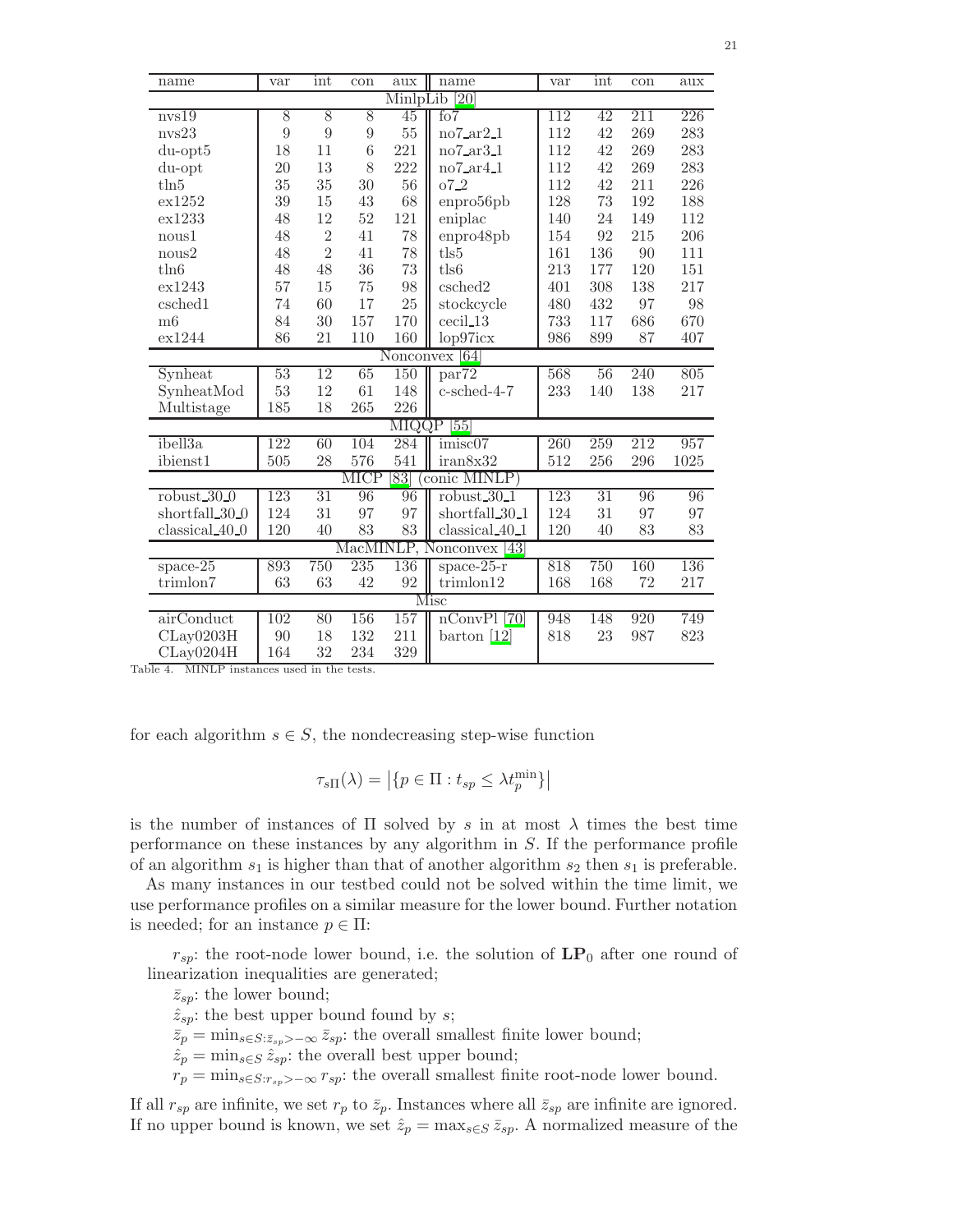| name             | var            | int            | con              | aux             | name                                   | var | int | con | aux  |
|------------------|----------------|----------------|------------------|-----------------|----------------------------------------|-----|-----|-----|------|
|                  |                |                |                  | MinlpLib        | $\left[20\right]$                      |     |     |     |      |
| nvs19            | 8              | $\overline{8}$ | $\overline{8}$   | 45              | f <sub>0</sub> 7                       | 112 | 42  | 211 | 226  |
| nvs23            | $\overline{9}$ | $\overline{9}$ | $\boldsymbol{9}$ | $55\,$          | no7ar21                                | 112 | 42  | 269 | 283  |
| $du$ -opt $5$    | 18             | 11             | $6\phantom{.}6$  | 221             | $no7$ <sub>-ar</sub> $3$ <sub>-1</sub> | 112 | 42  | 269 | 283  |
| $du$ -opt        | 20             | 13             | 8                | 222             | $no7$ <sub>ar</sub> $4$ <sub>-1</sub>  | 112 | 42  | 269 | 283  |
| $t\ln 5$         | 35             | 35             | 30               | 56              | $07-2$                                 | 112 | 42  | 211 | 226  |
| ex1252           | 39             | 15             | 43               | 68              | enpro56pb                              | 128 | 73  | 192 | 188  |
| ex1233           | 48             | 12             | 52               | 121             | eniplac                                | 140 | 24  | 149 | 112  |
| nous1            | 48             | $\overline{2}$ | 41               | 78              | enpro48pb                              | 154 | 92  | 215 | 206  |
| nous2            | 48             | $\overline{2}$ | 41               | 78              | tls5                                   | 161 | 136 | 90  | 111  |
| t <sub>ln6</sub> | 48             | 48             | 36               | 73              | tls6                                   | 213 | 177 | 120 | 151  |
| ex1243           | 57             | 15             | 75               | 98              | csched2                                | 401 | 308 | 138 | 217  |
| csched1          | 74             | 60             | 17               | 25              | stockcycle                             | 480 | 432 | 97  | 98   |
| m6               | 84             | 30             | 157              | 170             | cecil 13                               | 733 | 117 | 686 | 670  |
| ex1244           | 86             | 21             | 110              | 160             | lop97icx                               | 986 | 899 | 87  | 407  |
|                  |                |                |                  |                 | Nonconvex [64]                         |     |     |     |      |
| Synheat          | 53             | 12             | 65               | 150             | par <sup>72</sup>                      | 568 | 56  | 240 | 805  |
| SynheatMod       | 53             | 12             | 61               | 148             | c-sched-4-7                            | 233 | 140 | 138 | 217  |
| Multistage       | 185            | 18             | 265              | 226             |                                        |     |     |     |      |
|                  |                |                |                  | <b>MIQQP</b>    | $\overline{55}$                        |     |     |     |      |
| ibell3a          | 122            | 60             | 104              | 284             | imisc07                                | 260 | 259 | 212 | 957  |
| ibienst1         | 505            | 28             | 576              | 541             | iran8x32                               | 512 | 256 | 296 | 1025 |
|                  |                |                | <b>MICP</b>      | $\overline{83}$ | conic MINLP)                           |     |     |     |      |
| $robust_30_0$    | 123            | 31             | 96               | 96              | $robust_30_1$                          | 123 | 31  | 96  | 96   |
| shortfall_30_0   | 124            | 31             | 97               | 97              | shortfall_30_1                         | 124 | 31  | 97  | 97   |
| classical_40_0   | 120            | 40             | 83               | 83              | $classical_40_1$                       | 120 | 40  | 83  | 83   |
|                  |                |                |                  |                 | MacMINLP, Nonconvex [43]               |     |     |     |      |
| $space-25$       | 893            | 750            | 235              | 136             | space- $25-r$                          | 818 | 750 | 160 | 136  |
| trimlon7         | 63             | 63             | 42               | 92              | trimlon12                              | 168 | 168 | 72  | 217  |
|                  |                |                |                  |                 | Misc                                   |     |     |     |      |
| airConduct       | 102            | 80             | 156              | 157             | $nConvPI$ [70]                         | 948 | 148 | 920 | 749  |
| CLay0203H        | 90             | 18             | 132              | 211             | barton $[12]$                          | 818 | 23  | 987 | 823  |
| CLay0204H        | 164            | 32             | 234              | 329             |                                        |     |     |     |      |

<span id="page-21-0"></span>Table 4. MINLP instances used in the tests.

for each algorithm  $s \in S$ , the nondecreasing step-wise function

$$
\tau_{s\Pi}(\lambda) = \left| \{ p \in \Pi : t_{sp} \le \lambda t_p^{\min} \} \right|
$$

is the number of instances of  $\Pi$  solved by s in at most  $\lambda$  times the best time performance on these instances by any algorithm in S. If the performance profile of an algorithm  $s_1$  is higher than that of another algorithm  $s_2$  then  $s_1$  is preferable.

As many instances in our testbed could not be solved within the time limit, we use performance profiles on a similar measure for the lower bound. Further notation is needed; for an instance  $p \in \Pi$ :

 $r_{sp}$ : the root-node lower bound, i.e. the solution of  $\mathbf{LP}_0$  after one round of linearization inequalities are generated;

 $\bar{z}_{\rm sn}$ : the lower bound;  $\hat{z}_{sp}$ : the best upper bound found by s;  $\bar{z}_p = \min_{s \in S: \bar{z}_{sp} > -\infty} \bar{z}_{sp}$ : the overall smallest finite lower bound;  $\hat{z}_p = \min_{s \in S} \hat{z}_{sp}$ : the overall best upper bound;  $r_p = \min_{s \in S: r_{sp} > -\infty} r_{sp}$ : the overall smallest finite root-node lower bound.

If all  $r_{sp}$  are infinite, we set  $r_p$  to  $\bar{z}_p$ . Instances where all  $\bar{z}_{sp}$  are infinite are ignored. If no upper bound is known, we set  $\hat{z}_p = \max_{s \in S} \bar{z}_{sp}$ . A normalized measure of the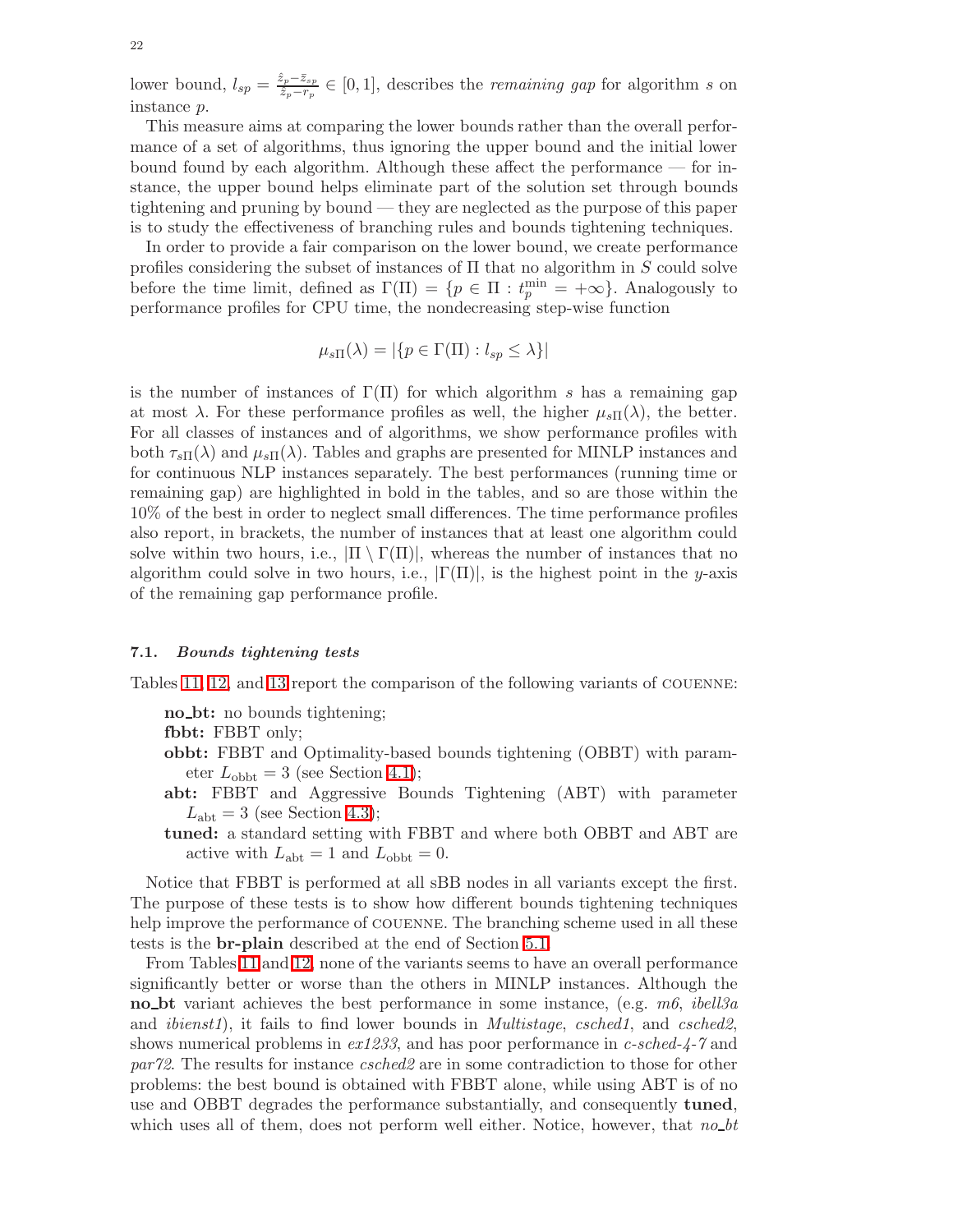lower bound,  $l_{sp} = \frac{\hat{z}_p - \bar{z}_{sp}}{\hat{z}_p - r_p}$  $\frac{z_p-z_{sp}}{\hat{z}_p-r_p}$  ∈ [0, 1], describes the *remaining gap* for algorithm *s* on instance p.

This measure aims at comparing the lower bounds rather than the overall performance of a set of algorithms, thus ignoring the upper bound and the initial lower bound found by each algorithm. Although these affect the performance — for instance, the upper bound helps eliminate part of the solution set through bounds tightening and pruning by bound — they are neglected as the purpose of this paper is to study the effectiveness of branching rules and bounds tightening techniques.

In order to provide a fair comparison on the lower bound, we create performance profiles considering the subset of instances of  $\Pi$  that no algorithm in S could solve before the time limit, defined as  $\Gamma(\Pi) = \{p \in \Pi : t_p^{\min} = +\infty\}$ . Analogously to performance profiles for CPU time, the nondecreasing step-wise function

$$
\mu_{s\Pi}(\lambda) = |\{p \in \Gamma(\Pi) : l_{sp} \le \lambda\}|
$$

is the number of instances of  $\Gamma(\Pi)$  for which algorithm s has a remaining gap at most  $\lambda$ . For these performance profiles as well, the higher  $\mu_{s\Pi}(\lambda)$ , the better. For all classes of instances and of algorithms, we show performance profiles with both  $\tau_{s\Pi}(\lambda)$  and  $\mu_{s\Pi}(\lambda)$ . Tables and graphs are presented for MINLP instances and for continuous NLP instances separately. The best performances (running time or remaining gap) are highlighted in bold in the tables, and so are those within the 10% of the best in order to neglect small differences. The time performance profiles also report, in brackets, the number of instances that at least one algorithm could solve within two hours, i.e.,  $|\Pi \setminus \Gamma(\Pi)|$ , whereas the number of instances that no algorithm could solve in two hours, i.e.,  $|\Gamma(\Pi)|$ , is the highest point in the y-axis of the remaining gap performance profile.

#### 7.1. Bounds tightening tests

Tables [11,](#page-37-0) [12,](#page-38-0) and [13](#page-39-0) report the comparison of the following variants of couenne:

no\_bt: no bounds tightening;

fbbt: FBBT only;

- obbt: FBBT and Optimality-based bounds tightening (OBBT) with parameter  $L_{\text{obbt}} = 3$  (see Section [4.1\)](#page-9-0);
- abt: FBBT and Aggressive Bounds Tightening (ABT) with parameter  $L_{\rm abt} = 3$  (see Section [4.3\)](#page-11-0);
- tuned: a standard setting with FBBT and where both OBBT and ABT are active with  $L_{\text{abt}} = 1$  and  $L_{\text{obbt}} = 0$ .

Notice that FBBT is performed at all sBB nodes in all variants except the first. The purpose of these tests is to show how different bounds tightening techniques help improve the performance of COUENNE. The branching scheme used in all these tests is the br-plain described at the end of Section [5.1.](#page-13-0)

From Tables [11](#page-37-0) and [12,](#page-38-0) none of the variants seems to have an overall performance significantly better or worse than the others in MINLP instances. Although the no bt variant achieves the best performance in some instance, (e.g.  $m6$ , *ibell3a* and *ibienst1*), it fails to find lower bounds in *Multistage*, *csched1*, and *csched2*, shows numerical problems in  $ex1233$ , and has poor performance in c-sched-4-7 and par72. The results for instance csched2 are in some contradiction to those for other problems: the best bound is obtained with FBBT alone, while using ABT is of no use and OBBT degrades the performance substantially, and consequently tuned, which uses all of them, does not perform well either. Notice, however, that  $no\_bt$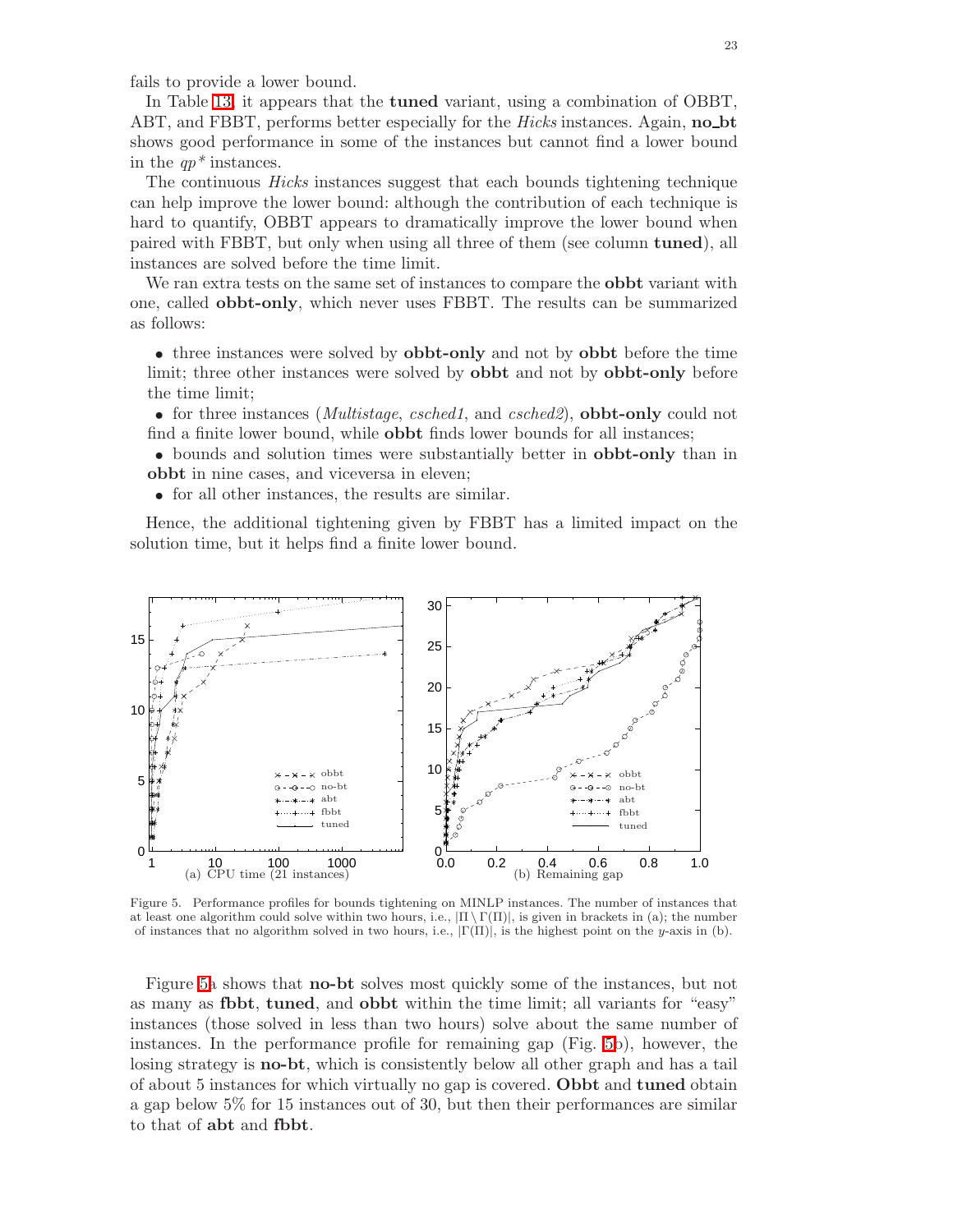fails to provide a lower bound.

In Table [13,](#page-39-0) it appears that the tuned variant, using a combination of OBBT, ABT, and FBBT, performs better especially for the *Hicks* instances. Again, **no**-bt shows good performance in some of the instances but cannot find a lower bound in the  $qp^*$  instances.

The continuous Hicks instances suggest that each bounds tightening technique can help improve the lower bound: although the contribution of each technique is hard to quantify, OBBT appears to dramatically improve the lower bound when paired with FBBT, but only when using all three of them (see column tuned), all instances are solved before the time limit.

We ran extra tests on the same set of instances to compare the **obbt** variant with one, called obbt-only, which never uses FBBT. The results can be summarized as follows:

• three instances were solved by **obbt-only** and not by **obbt** before the time limit; three other instances were solved by obbt and not by obbt-only before the time limit;

• for three instances (*Multistage, csched1*, and *csched2*), **obbt-only** could not find a finite lower bound, while obbt finds lower bounds for all instances;

• bounds and solution times were substantially better in obbt-only than in obbt in nine cases, and viceversa in eleven;

• for all other instances, the results are similar.

Hence, the additional tightening given by FBBT has a limited impact on the solution time, but it helps find a finite lower bound.



<span id="page-23-0"></span>Figure 5. Performance profiles for bounds tightening on MINLP instances. The number of instances that at least one algorithm could solve within two hours, i.e.,  $|\Pi \setminus \Gamma(\Pi)|$ , is given in brackets in (a); the number of instances that no algorithm solved in two hours, i.e.,  $|\Gamma(\Pi)|$ , is the highest point on the y-axis in (b).

Figure [5a](#page-23-0) shows that no-bt solves most quickly some of the instances, but not as many as fbbt, tuned, and obbt within the time limit; all variants for "easy" instances (those solved in less than two hours) solve about the same number of instances. In the performance profile for remaining gap (Fig. [5b](#page-23-0)), however, the losing strategy is no-bt, which is consistently below all other graph and has a tail of about 5 instances for which virtually no gap is covered. Obbt and tuned obtain a gap below 5% for 15 instances out of 30, but then their performances are similar to that of abt and fbbt.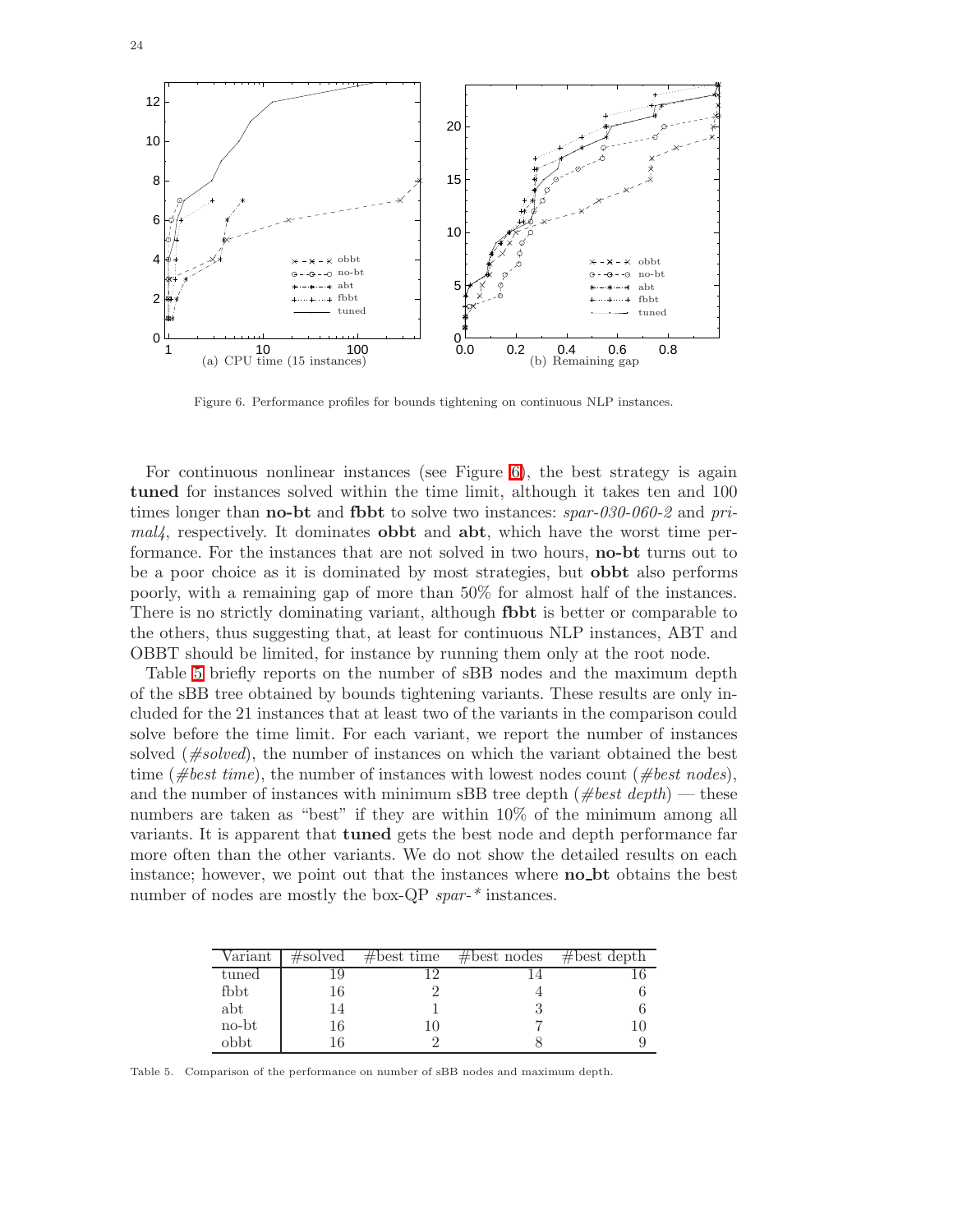

<span id="page-24-0"></span>Figure 6. Performance profiles for bounds tightening on continuous NLP instances.

For continuous nonlinear instances (see Figure [6\)](#page-24-0), the best strategy is again tuned for instances solved within the time limit, although it takes ten and 100 times longer than **no-bt** and **fbbt** to solve two instances:  $spar-030-060-2$  and pri $mal/4$ , respectively. It dominates **obbt** and **abt**, which have the worst time performance. For the instances that are not solved in two hours, no-bt turns out to be a poor choice as it is dominated by most strategies, but obbt also performs poorly, with a remaining gap of more than 50% for almost half of the instances. There is no strictly dominating variant, although fbbt is better or comparable to the others, thus suggesting that, at least for continuous NLP instances, ABT and OBBT should be limited, for instance by running them only at the root node.

Table [5](#page-24-1) briefly reports on the number of sBB nodes and the maximum depth of the sBB tree obtained by bounds tightening variants. These results are only included for the 21 instances that at least two of the variants in the comparison could solve before the time limit. For each variant, we report the number of instances solved  $(\text{#solved})$ , the number of instances on which the variant obtained the best time (#best time), the number of instances with lowest nodes count (#best nodes), and the number of instances with minimum sBB tree depth ( $\#best\ depth$ ) — these numbers are taken as "best" if they are within 10% of the minimum among all variants. It is apparent that tuned gets the best node and depth performance far more often than the other variants. We do not show the detailed results on each instance; however, we point out that the instances where **no**\_bt obtains the best number of nodes are mostly the box-QP spar-\* instances.

| Variant | $\#\mathrm{solved}$ | $#best$ time | $#best$ nodes | #best depth |
|---------|---------------------|--------------|---------------|-------------|
| tuned   |                     |              |               |             |
| fbbt    | 16                  |              |               |             |
| abt     | 14                  |              |               |             |
| no-bt   | 16                  |              |               |             |
| obbt    |                     |              |               |             |

<span id="page-24-1"></span>Table 5. Comparison of the performance on number of sBB nodes and maximum depth.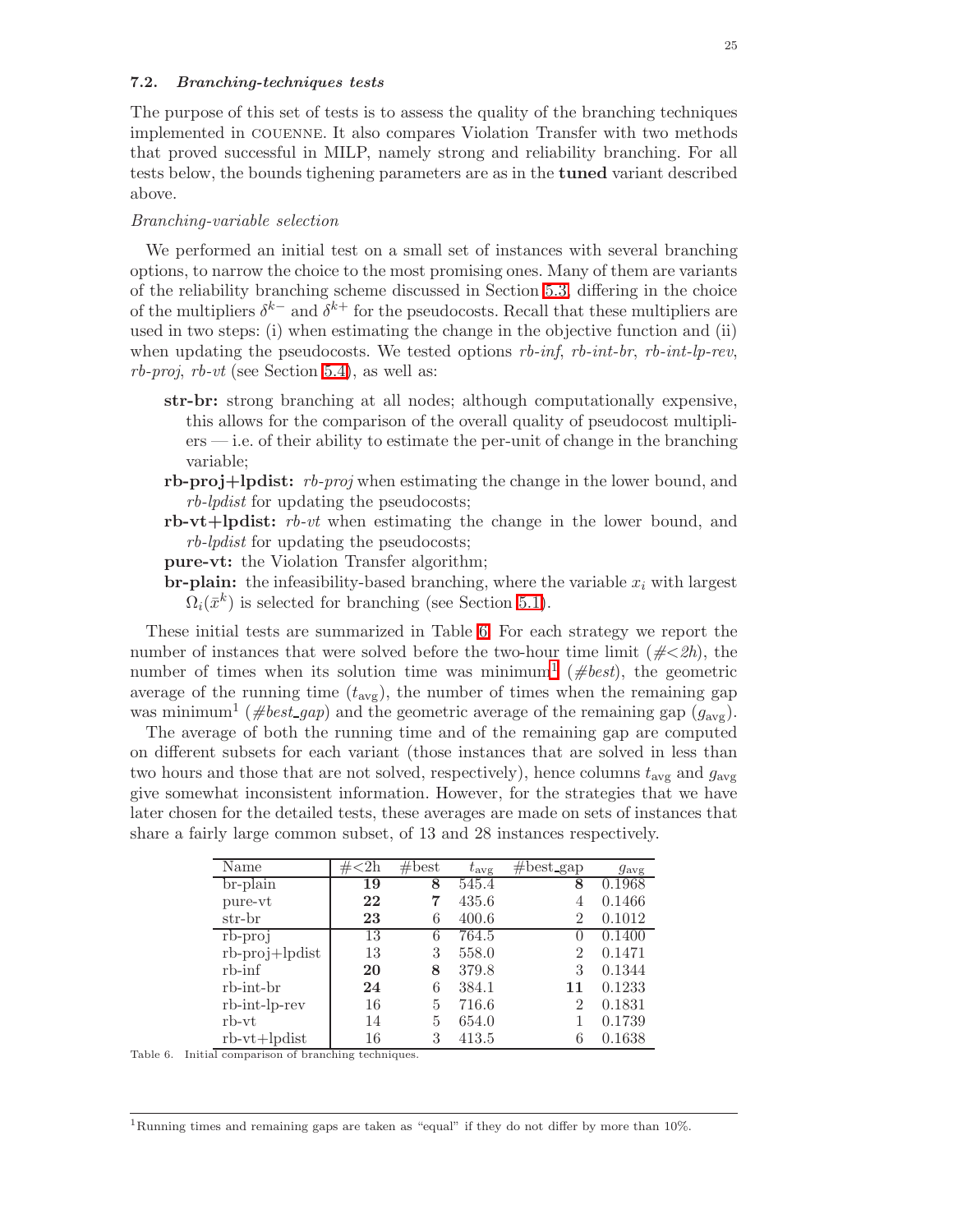#### 7.2. Branching-techniques tests

The purpose of this set of tests is to assess the quality of the branching techniques implemented in couenne. It also compares Violation Transfer with two methods that proved successful in MILP, namely strong and reliability branching. For all tests below, the bounds tighening parameters are as in the tuned variant described above.

#### Branching-variable selection

We performed an initial test on a small set of instances with several branching options, to narrow the choice to the most promising ones. Many of them are variants of the reliability branching scheme discussed in Section [5.3,](#page-14-0) differing in the choice of the multipliers  $\delta^{k-}$  and  $\delta^{k+}$  for the pseudocosts. Recall that these multipliers are used in two steps: (i) when estimating the change in the objective function and (ii) when updating the pseudocosts. We tested options  $rb\text{-}inf$ ,  $rb\text{-}int\text{-}lr$ ,  $rb\text{-}int\text{-}lp\text{-}rev$ ,  $rb$ -proj,  $rb$ -vt (see Section [5.4\)](#page-16-0), as well as:

- str-br: strong branching at all nodes; although computationally expensive, this allows for the comparison of the overall quality of pseudocost multipliers — i.e. of their ability to estimate the per-unit of change in the branching variable;
- rb-proj+lpdist:  $rb$ -proj when estimating the change in the lower bound, and rb-lpdist for updating the pseudocosts;
- rb-vt+lpdist:  $rb-vt$  when estimating the change in the lower bound, and rb-lpdist for updating the pseudocosts;
- pure-vt: the Violation Transfer algorithm;
- **br-plain:** the infeasibility-based branching, where the variable  $x_i$  with largest  $\Omega_i(\bar{x}^k)$  is selected for branching (see Section [5.1\)](#page-13-0).

These initial tests are summarized in Table [6.](#page-25-0) For each strategy we report the number of instances that were solved before the two-hour time limit ( $\neq \leq 2h$ ), the number of times when its solution time was minimum<sup>[1](#page-25-1)</sup> ( $\#best$ ), the geometric average of the running time  $(t_{\text{avg}})$ , the number of times when the remaining gap was minimum<sup>1</sup> ( $\#best\_\_gap$ ) and the geometric average of the remaining gap  $(g_{\text{avg}})$ .

The average of both the running time and of the remaining gap are computed on different subsets for each variant (those instances that are solved in less than two hours and those that are not solved, respectively), hence columns  $t_{\text{avg}}$  and  $g_{\text{avg}}$ give somewhat inconsistent information. However, for the strategies that we have later chosen for the detailed tests, these averages are made on sets of instances that share a fairly large common subset, of 13 and 28 instances respectively.

| Name                  | $\langle 2h$<br># | #best | $t_{\rm avg}$ | $#best\_gap$ | $g_{\text{avg}}$ |
|-----------------------|-------------------|-------|---------------|--------------|------------------|
| $br$ -plain           | 19                | 8     | 545.4         | 8            | 0.1968           |
| pure-vt               | 22                | 7     | 435.6         | 4            | 0.1466           |
| str-br                | 23                | 6     | 400.6         | 2            | 0.1012           |
| $rb$ - $proj$         | $\overline{13}$   | 6     | 764.5         |              | 0.1400           |
| $rb$ -proj $+$ lpdist | 13                | 3     | 558.0         | 2            | 0.1471           |
| $rb$ - $\inf$         | 20                | 8     | 379.8         | 3            | 0.1344           |
| rb-int-br             | 24                | 6     | 384.1         | 11           | 0.1233           |
| rb-int-lp-rev         | 16                | 5     | 716.6         | 2            | 0.1831           |
| $rb-vt$               | 14                | 5     | 654.0         |              | 0.1739           |
| $rb-vt+lpdist$        | 16                | 3     | 413.5         |              | 0.1638           |

<span id="page-25-0"></span>Table 6. Initial comparison of branching techniques.

<span id="page-25-1"></span><sup>1</sup>Running times and remaining gaps are taken as "equal" if they do not differ by more than 10%.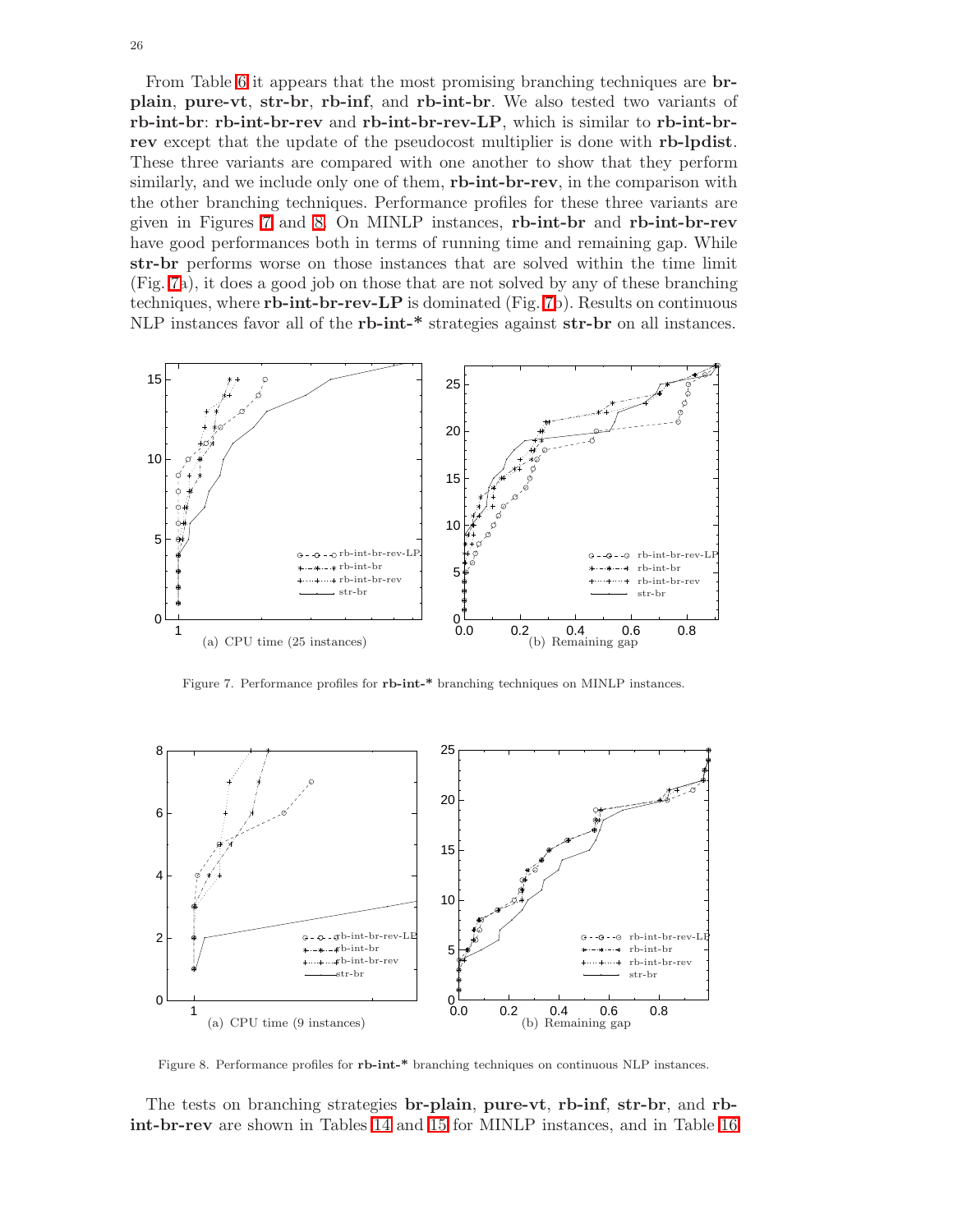From Table [6](#page-25-0) it appears that the most promising branching techniques are brplain, pure-vt, str-br, rb-inf, and rb-int-br. We also tested two variants of rb-int-br: rb-int-br-rev and rb-int-br-rev-LP, which is similar to rb-int-brrev except that the update of the pseudocost multiplier is done with rb-lpdist. These three variants are compared with one another to show that they perform similarly, and we include only one of them, **rb-int-br-rev**, in the comparison with the other branching techniques. Performance profiles for these three variants are given in Figures [7](#page-26-0) and [8.](#page-26-1) On MINLP instances, rb-int-br and rb-int-br-rev have good performances both in terms of running time and remaining gap. While str-br performs worse on those instances that are solved within the time limit (Fig. [7a](#page-26-0)), it does a good job on those that are not solved by any of these branching techniques, where rb-int-br-rev-LP is dominated (Fig. [7b](#page-26-0)). Results on continuous NLP instances favor all of the rb-int-\* strategies against str-br on all instances.



<span id="page-26-0"></span>Figure 7. Performance profiles for rb-int-\* branching techniques on MINLP instances.

![](_page_26_Figure_3.jpeg)

Figure 8. Performance profiles for rb-int-\* branching techniques on continuous NLP instances.

<span id="page-26-1"></span>The tests on branching strategies br-plain, pure-vt, rb-inf, str-br, and rbint-br-rev are shown in Tables [14](#page-40-0) and [15](#page-41-0) for MINLP instances, and in Table [16](#page-42-0)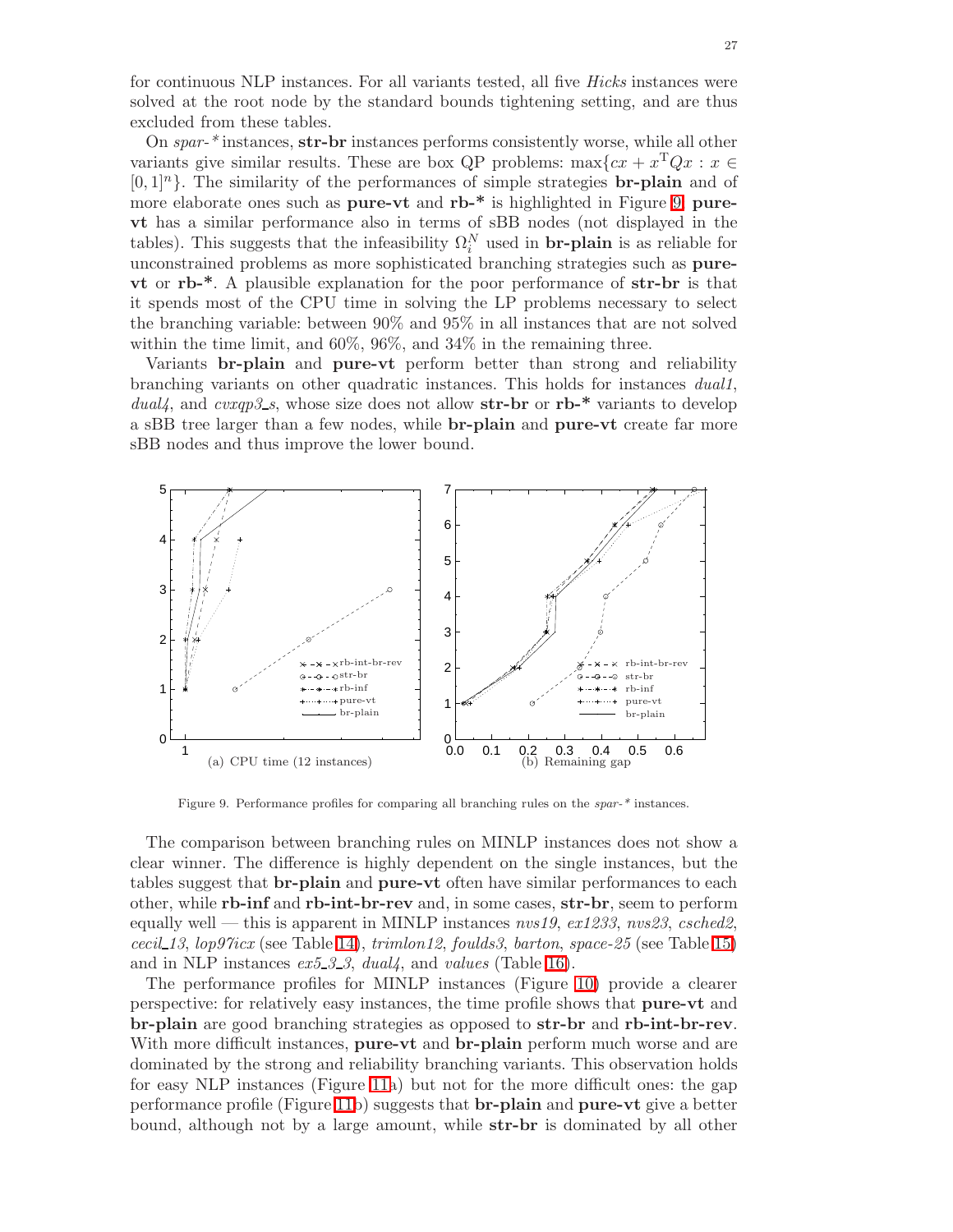for continuous NLP instances. For all variants tested, all five Hicks instances were solved at the root node by the standard bounds tightening setting, and are thus excluded from these tables.

On spar-\* instances, str-br instances performs consistently worse, while all other variants give similar results. These are box QP problems:  $\max\{cx + x^TQx : x \in$  $[0, 1]$ <sup>n</sup>. The similarity of the performances of simple strategies **br-plain** and of more elaborate ones such as pure-vt and rb-\* is highlighted in Figure [9;](#page-27-0) purevt has a similar performance also in terms of sBB nodes (not displayed in the tables). This suggests that the infeasibility  $\Omega_i^N$  used in **br-plain** is as reliable for unconstrained problems as more sophisticated branching strategies such as purevt or rb-\*. A plausible explanation for the poor performance of str-br is that it spends most of the CPU time in solving the LP problems necessary to select the branching variable: between 90% and 95% in all instances that are not solved within the time limit, and 60%, 96%, and 34% in the remaining three.

Variants br-plain and pure-vt perform better than strong and reliability branching variants on other quadratic instances. This holds for instances dual1, dual4, and cvxqp3\_s, whose size does not allow  $str-br$  or  $rb-*$  variants to develop a sBB tree larger than a few nodes, while br-plain and pure-vt create far more sBB nodes and thus improve the lower bound.

![](_page_27_Figure_3.jpeg)

Figure 9. Performance profiles for comparing all branching rules on the *spar-\** instances.

<span id="page-27-0"></span>The comparison between branching rules on MINLP instances does not show a clear winner. The difference is highly dependent on the single instances, but the tables suggest that **br-plain** and **pure-vt** often have similar performances to each other, while rb-inf and rb-int-br-rev and, in some cases, str-br, seem to perform equally well — this is apparent in MINLP instances  $nvs19$ ,  $ex1233$ ,  $nvs23$ ,  $csched2$ , cecil 13, lop97icx (see Table [14\)](#page-40-0), trimlon12, foulds3, barton, space-25 (see Table [15\)](#page-41-0) and in NLP instances  $ex5.3.3$ , dual<sub>4</sub>, and values (Table [16\)](#page-42-0).

The performance profiles for MINLP instances (Figure [10\)](#page-28-0) provide a clearer perspective: for relatively easy instances, the time profile shows that pure-vt and br-plain are good branching strategies as opposed to str-br and rb-int-br-rev. With more difficult instances, **pure-vt** and **br-plain** perform much worse and are dominated by the strong and reliability branching variants. This observation holds for easy NLP instances (Figure [11a](#page-28-1)) but not for the more difficult ones: the gap performance profile (Figure [11b](#page-28-1)) suggests that br-plain and pure-vt give a better bound, although not by a large amount, while str-br is dominated by all other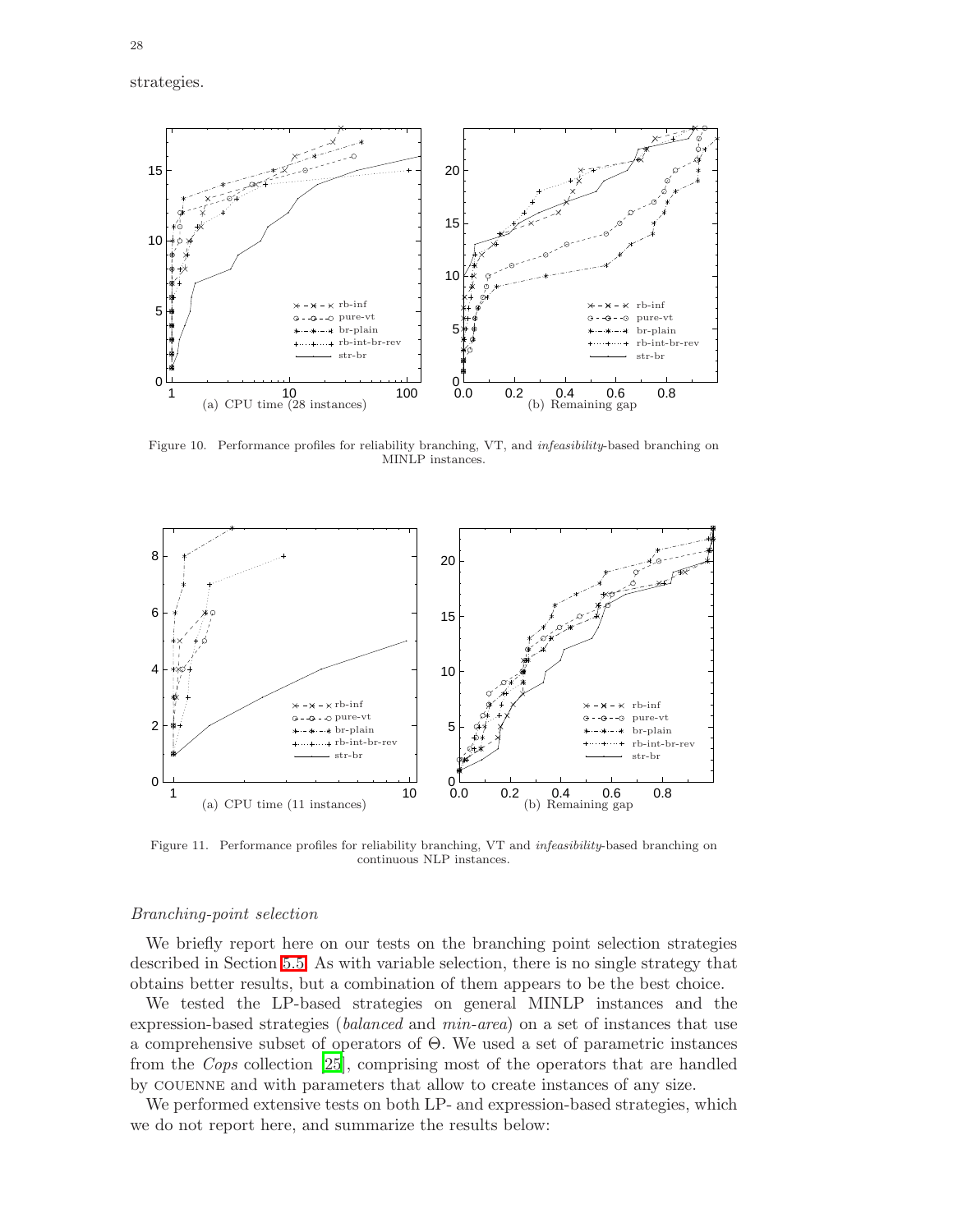![](_page_28_Figure_1.jpeg)

<span id="page-28-0"></span>Figure 10. Performance profiles for reliability branching, VT, and *infeasibility*-based branching on MINLP instances.

![](_page_28_Figure_3.jpeg)

<span id="page-28-1"></span>Figure 11. Performance profiles for reliability branching, VT and *infeasibility*-based branching on continuous NLP instances.

#### Branching-point selection

We briefly report here on our tests on the branching point selection strategies described in Section [5.5.](#page-17-0) As with variable selection, there is no single strategy that obtains better results, but a combination of them appears to be the best choice.

We tested the LP-based strategies on general MINLP instances and the expression-based strategies (balanced and min-area) on a set of instances that use a comprehensive subset of operators of Θ. We used a set of parametric instances from the Cops collection [\[25](#page-34-11)], comprising most of the operators that are handled by couenne and with parameters that allow to create instances of any size.

We performed extensive tests on both LP- and expression-based strategies, which we do not report here, and summarize the results below: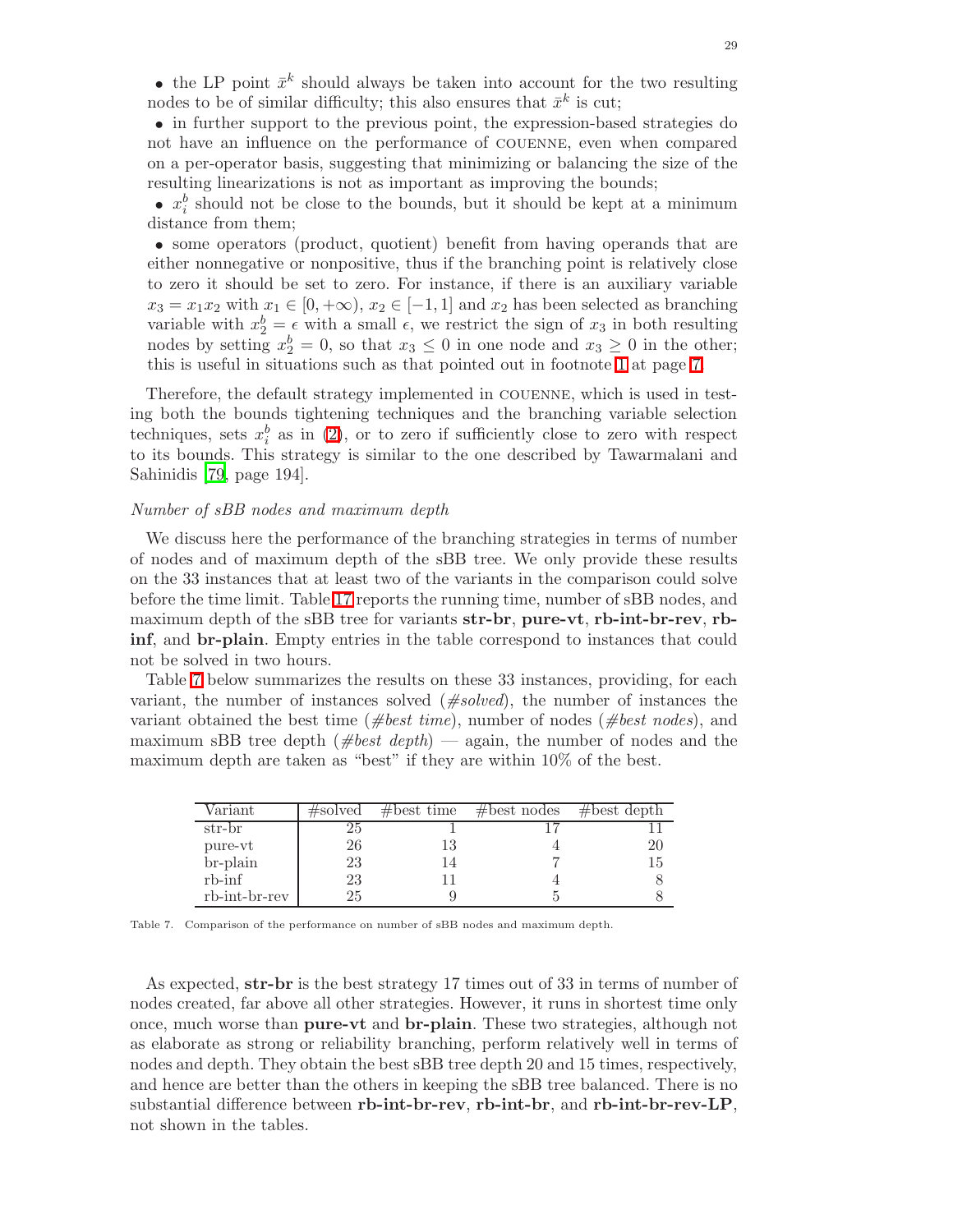• the LP point  $\bar{x}^k$  should always be taken into account for the two resulting nodes to be of similar difficulty; this also ensures that  $\bar{x}^k$  is cut;

• in further support to the previous point, the expression-based strategies do not have an influence on the performance of couenne, even when compared on a per-operator basis, suggesting that minimizing or balancing the size of the resulting linearizations is not as important as improving the bounds;

•  $x_i^b$  should not be close to the bounds, but it should be kept at a minimum distance from them;

• some operators (product, quotient) benefit from having operands that are either nonnegative or nonpositive, thus if the branching point is relatively close to zero it should be set to zero. For instance, if there is an auxiliary variable  $x_3 = x_1x_2$  with  $x_1 \in [0, +\infty)$ ,  $x_2 \in [-1, 1]$  and  $x_2$  has been selected as branching variable with  $x_2^b = \epsilon$  with a small  $\epsilon$ , we restrict the sign of  $x_3$  in both resulting nodes by setting  $x_2^b = 0$ , so that  $x_3 \le 0$  in one node and  $x_3 \ge 0$  in the other; this is useful in situations such as that pointed out in footnote [1](#page-7-0) at page [7.](#page-7-0)

Therefore, the default strategy implemented in couenne, which is used in testing both the bounds tightening techniques and the branching variable selection techniques, sets  $x_i^b$  as in [\(2\)](#page-17-1), or to zero if sufficiently close to zero with respect to its bounds. This strategy is similar to the one described by Tawarmalani and Sahinidis [\[79](#page-36-3), page 194].

#### Number of sBB nodes and maximum depth

We discuss here the performance of the branching strategies in terms of number of nodes and of maximum depth of the sBB tree. We only provide these results on the 33 instances that at least two of the variants in the comparison could solve before the time limit. Table [17](#page-43-0) reports the running time, number of sBB nodes, and maximum depth of the sBB tree for variants str-br, pure-vt, rb-int-br-rev, rbinf, and br-plain. Empty entries in the table correspond to instances that could not be solved in two hours.

Table [7](#page-29-0) below summarizes the results on these 33 instances, providing, for each variant, the number of instances solved  $(\text{#solved})$ , the number of instances the variant obtained the best time (#best time), number of nodes (#best nodes), and maximum sBB tree depth  $(\text{#best depth})$  — again, the number of nodes and the maximum depth are taken as "best" if they are within 10% of the best.

| Variant       | $\#\mathrm{solved}$ | $#best$ time | $#best$ nodes | #best depth |
|---------------|---------------------|--------------|---------------|-------------|
| str-br        | 25                  |              |               |             |
| pure-vt       | 26                  | 13           |               | 20          |
| br-plain      | 23                  | 14           |               |             |
| $rb$ - $\inf$ | 23                  |              |               |             |
| rb-int-br-rev | 25                  |              |               |             |

<span id="page-29-0"></span>Table 7. Comparison of the performance on number of sBB nodes and maximum depth.

As expected, str-br is the best strategy 17 times out of 33 in terms of number of nodes created, far above all other strategies. However, it runs in shortest time only once, much worse than pure-vt and br-plain. These two strategies, although not as elaborate as strong or reliability branching, perform relatively well in terms of nodes and depth. They obtain the best sBB tree depth 20 and 15 times, respectively, and hence are better than the others in keeping the sBB tree balanced. There is no substantial difference between rb-int-br-rev, rb-int-br, and rb-int-br-rev-LP, not shown in the tables.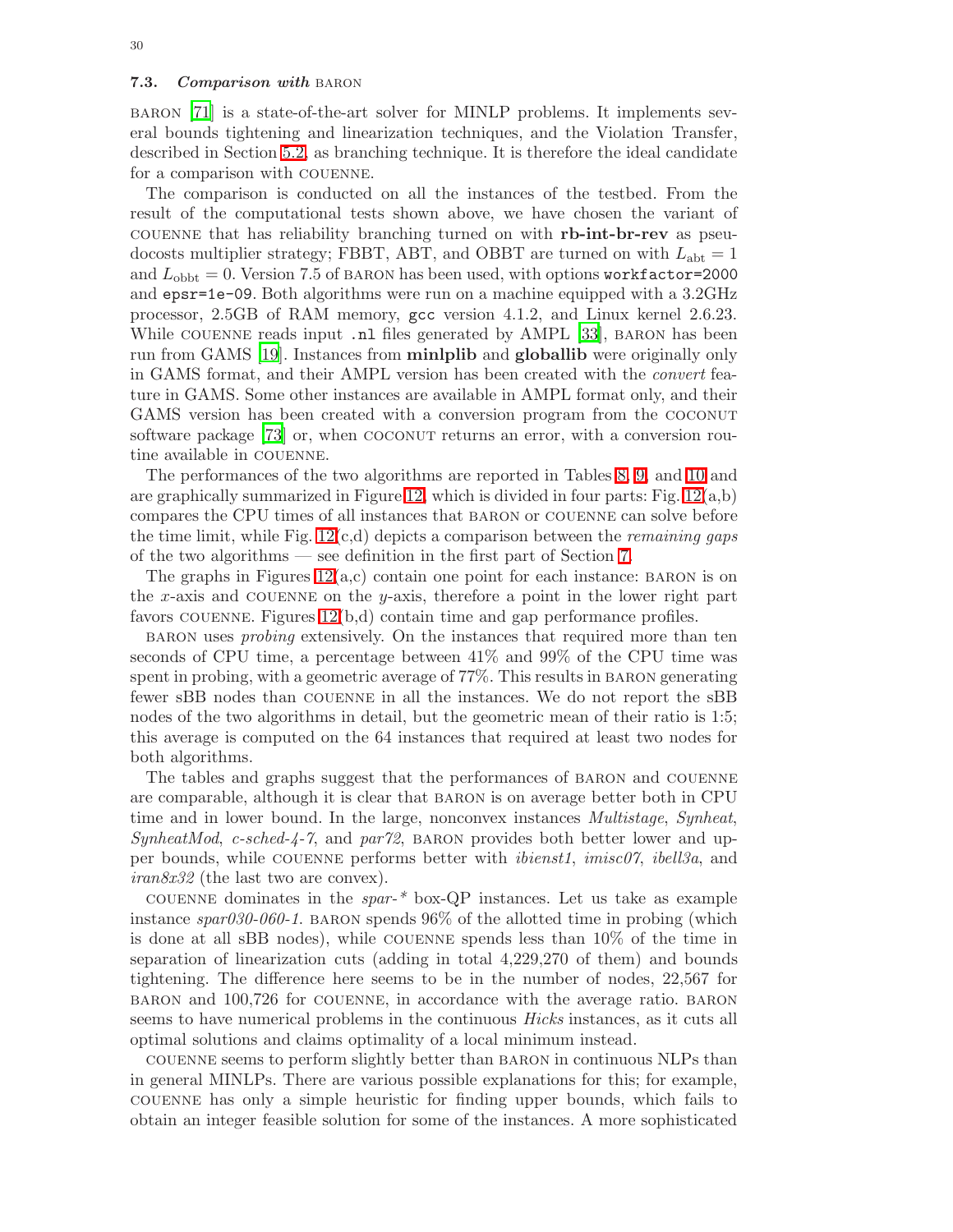<span id="page-30-0"></span>baron [\[71](#page-36-12)] is a state-of-the-art solver for MINLP problems. It implements several bounds tightening and linearization techniques, and the Violation Transfer, described in Section [5.2,](#page-14-1) as branching technique. It is therefore the ideal candidate for a comparison with couenne.

The comparison is conducted on all the instances of the testbed. From the result of the computational tests shown above, we have chosen the variant of couenne that has reliability branching turned on with rb-int-br-rev as pseudocosts multiplier strategy; FBBT, ABT, and OBBT are turned on with  $L_{\text{ab}} = 1$ and  $L_{\rm obbt} = 0$ . Version 7.5 of BARON has been used, with options workfactor=2000 and epsr=1e-09. Both algorithms were run on a machine equipped with a 3.2GHz processor, 2.5GB of RAM memory, gcc version 4.1.2, and Linux kernel 2.6.23. While COUENNE reads input .nl files generated by AMPL [\[33](#page-35-39)], BARON has been run from GAMS [\[19](#page-34-12)]. Instances from minlplib and globallib were originally only in GAMS format, and their AMPL version has been created with the convert feature in GAMS. Some other instances are available in AMPL format only, and their GAMS version has been created with a conversion program from the COCONUT software package [\[73](#page-36-21)] or, when COCONUT returns an error, with a conversion routine available in couenne.

The performances of the two algorithms are reported in Tables [8,](#page-31-1) [9,](#page-32-0) and [10](#page-33-10) and are graphically summarized in Figure [12,](#page-34-13) which is divided in four parts: Fig.  $12(a,b)$ compares the CPU times of all instances that baron or couenne can solve before the time limit, while Fig.  $12(c,d)$  depicts a comparison between the *remaining gaps* of the two algorithms — see definition in the first part of Section [7.](#page-19-0)

The graphs in Figures  $12(a,c)$  contain one point for each instance: BARON is on the x-axis and COUENNE on the y-axis, therefore a point in the lower right part favors couenne. Figures [12\(](#page-34-13)b,d) contain time and gap performance profiles.

BARON uses *probing* extensively. On the instances that required more than ten seconds of CPU time, a percentage between 41% and 99% of the CPU time was spent in probing, with a geometric average of 77%. This results in BARON generating fewer sBB nodes than couenne in all the instances. We do not report the sBB nodes of the two algorithms in detail, but the geometric mean of their ratio is 1:5; this average is computed on the 64 instances that required at least two nodes for both algorithms.

The tables and graphs suggest that the performances of baron and couenne are comparable, although it is clear that baron is on average better both in CPU time and in lower bound. In the large, nonconvex instances *Multistage, Synheat*,  $SynheatMod$ , c-sched-4-7, and par72, BARON provides both better lower and upper bounds, while couenne performs better with ibienst1, imisc07, ibell3a, and iran8x32 (the last two are convex).

COUENNE dominates in the  $spar-$ <sup>\*</sup> box-QP instances. Let us take as example instance  $\text{span}030\text{-}060\text{-}1$ . BARON spends 96% of the allotted time in probing (which is done at all sBB nodes), while couenne spends less than 10% of the time in separation of linearization cuts (adding in total 4,229,270 of them) and bounds tightening. The difference here seems to be in the number of nodes, 22,567 for baron and 100,726 for couenne, in accordance with the average ratio. baron seems to have numerical problems in the continuous Hicks instances, as it cuts all optimal solutions and claims optimality of a local minimum instead.

couenne seems to perform slightly better than baron in continuous NLPs than in general MINLPs. There are various possible explanations for this; for example, couenne has only a simple heuristic for finding upper bounds, which fails to obtain an integer feasible solution for some of the instances. A more sophisticated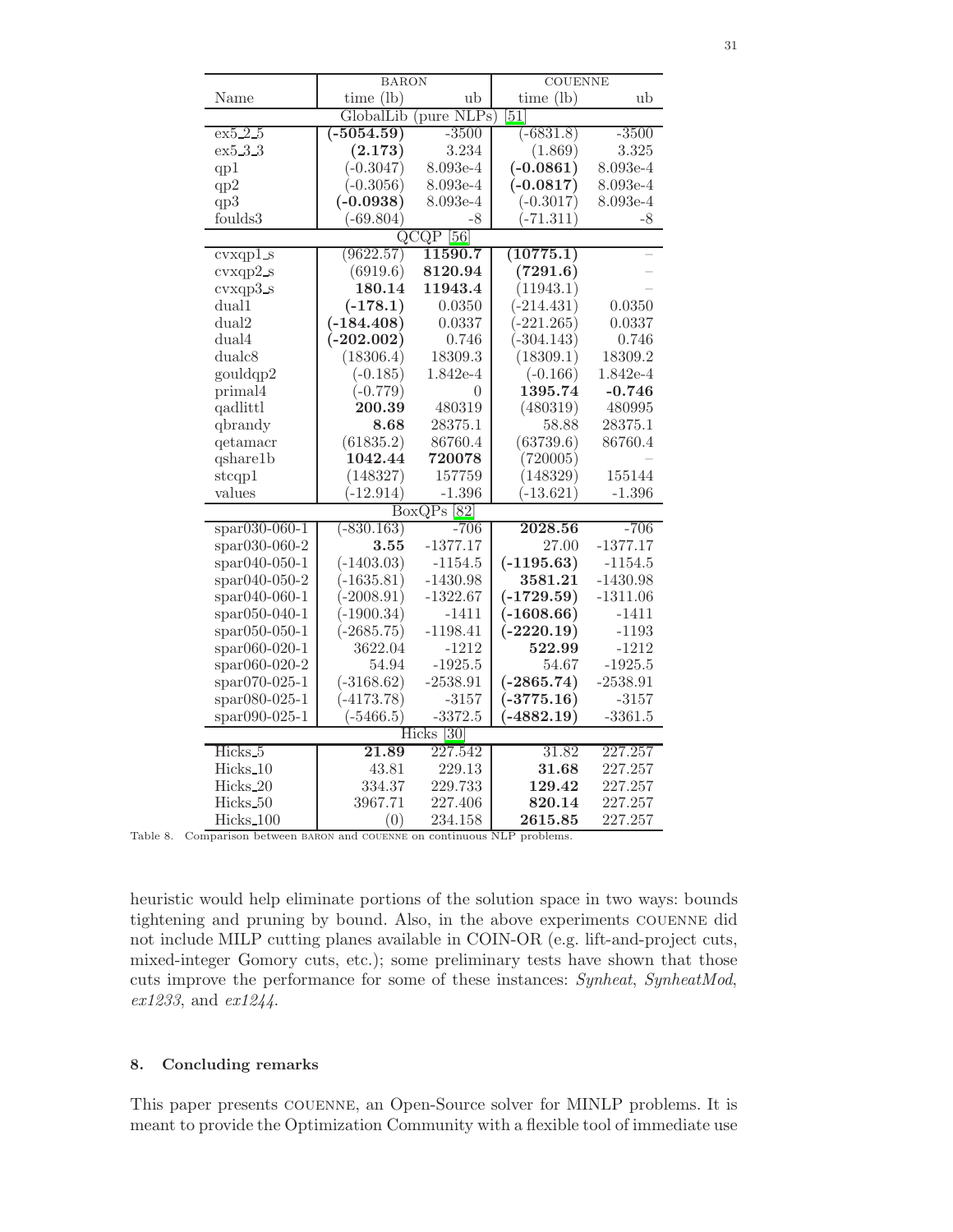|                      | <b>BARON</b> |                                  | <b>COUENNE</b>  |            |  |  |
|----------------------|--------------|----------------------------------|-----------------|------------|--|--|
| Name                 | time $(lb)$  | ub                               | $time$ (lb)     | ub         |  |  |
|                      | GlobalLib    | (pure NLPs)                      | $\overline{51}$ |            |  |  |
| ex5.2.5              | $(-5054.59)$ | $-3500$                          | $(-6831.8)$     | $-3500$    |  |  |
| ex5.3.3              | (2.173)      | 3.234                            | (1.869)         | 3.325      |  |  |
| qp1                  | $(-0.3047)$  | 8.093e-4                         | $(-0.0861)$     | 8.093e-4   |  |  |
| qp2                  | $(-0.3056)$  | 8.093e-4                         | $(-0.0817)$     | 8.093e-4   |  |  |
| qp3                  | $(-0.0938)$  | 8.093e-4                         | $(-0.3017)$     | 8.093e-4   |  |  |
| founds3              | $(-69.804)$  | -8                               | $-71.311)$      | -8         |  |  |
|                      |              | $\overline{\text{QCQP}}$<br>[56] |                 |            |  |  |
| cvxqp1s              | (9622.57)    | 11590.7                          | (10775.1)       |            |  |  |
| cvxqp2s              | (6919.6)     | 8120.94                          | (7291.6)        |            |  |  |
| $cvxqp3_s$           | 180.14       | 11943.4                          | (11943.1)       |            |  |  |
| dual1                | $(-178.1)$   | 0.0350                           | $(-214.431)$    | 0.0350     |  |  |
| dual2                | $(-184.408)$ | 0.0337                           | $(-221.265)$    | 0.0337     |  |  |
| dual4                | $(-202.002)$ | 0.746                            | $(-304.143)$    | 0.746      |  |  |
| dualc8               | (18306.4)    | 18309.3                          | (18309.1)       | 18309.2    |  |  |
| gouldqp2             | $(-0.185)$   | 1.842e-4                         | $(-0.166)$      | 1.842e-4   |  |  |
| primal4              | $(-0.779)$   | 0                                | 1395.74         | $-0.746$   |  |  |
| qadlittl             | 200.39       | 480319                           | (480319)        | 480995     |  |  |
| qbrandy              | 8.68         | 28375.1                          | 58.88           | 28375.1    |  |  |
| qetamacr             | (61835.2)    | 86760.4                          | (63739.6)       | 86760.4    |  |  |
| qshare1b             | 1042.44      | 720078                           | (720005)        |            |  |  |
| stcap1               | (148327)     | 157759                           | (148329)        | 155144     |  |  |
| values               | $(-12.914)$  | $-1.396$                         | $(-13.621)$     | $-1.396$   |  |  |
|                      |              | $BoxQPs$ [82]                    |                 |            |  |  |
| $*$ spar $030-060-1$ | $(-830.163)$ | $-706$                           | 2028.56         | $-706$     |  |  |
| spar030-060-2        | 3.55         | $-1377.17$                       | 27.00           | $-1377.17$ |  |  |
| $*$ par040-050-1     | $(-1403.03)$ | $-1154.5$                        | $(-1195.63)$    | $-1154.5$  |  |  |
| spar040-050-2        | $(-1635.81)$ | $-1430.98$                       | 3581.21         | $-1430.98$ |  |  |
| $spr040-060-1$       | $(-2008.91)$ | $-1322.67$                       | $(-1729.59)$    | $-1311.06$ |  |  |
| spar050-040-1        | $(-1900.34)$ | $-1411$                          | $(-1608.66)$    | $-1411$    |  |  |
| $spr050-050-1$       | $(-2685.75)$ | $-1198.41$                       | $(-2220.19)$    | $-1193$    |  |  |
| spar060-020-1        | 3622.04      | $-1212$                          | 522.99          | $-1212$    |  |  |
| spar060-020-2        | 54.94        | $-1925.5$                        | 54.67           | $-1925.5$  |  |  |
| spar070-025-1        | $(-3168.62)$ | $-2538.91$                       | $(-2865.74)$    | $-2538.91$ |  |  |
| spar080-025-1        | $(-4173.78)$ | $-3157$                          | $(-3775.16)$    | $-3157$    |  |  |
| spar090-025-1        | $(-5466.5)$  | $-3372.5$                        | $-4882.19)$     | $-3361.5$  |  |  |
|                      |              | $\overline{30}$<br><b>Hicks</b>  |                 |            |  |  |
| Hicks <sub>-5</sub>  | 21.89        | 227.542                          | 31.82           | 227.257    |  |  |
| Hicks_10             | 43.81        | 229.13                           | 31.68           | 227.257    |  |  |
| Hicks_20             | 334.37       | 229.733                          | 129.42          | 227.257    |  |  |
| Hicks_50             | 3967.71      | 227.406                          | 820.14          | 227.257    |  |  |
| Hicks_100            | (0)          | 234.158                          | 2615.85         | 227.257    |  |  |

<span id="page-31-1"></span>

| Table 8. Comparison between BARON and COUENNE on continuous NLP problems. |  |  |  |  |
|---------------------------------------------------------------------------|--|--|--|--|

heuristic would help eliminate portions of the solution space in two ways: bounds tightening and pruning by bound. Also, in the above experiments couenne did not include MILP cutting planes available in COIN-OR (e.g. lift-and-project cuts, mixed-integer Gomory cuts, etc.); some preliminary tests have shown that those cuts improve the performance for some of these instances: Synheat, SynheatMod, ex1233, and ex1244.

#### <span id="page-31-0"></span>8. Concluding remarks

This paper presents couenne, an Open-Source solver for MINLP problems. It is meant to provide the Optimization Community with a flexible tool of immediate use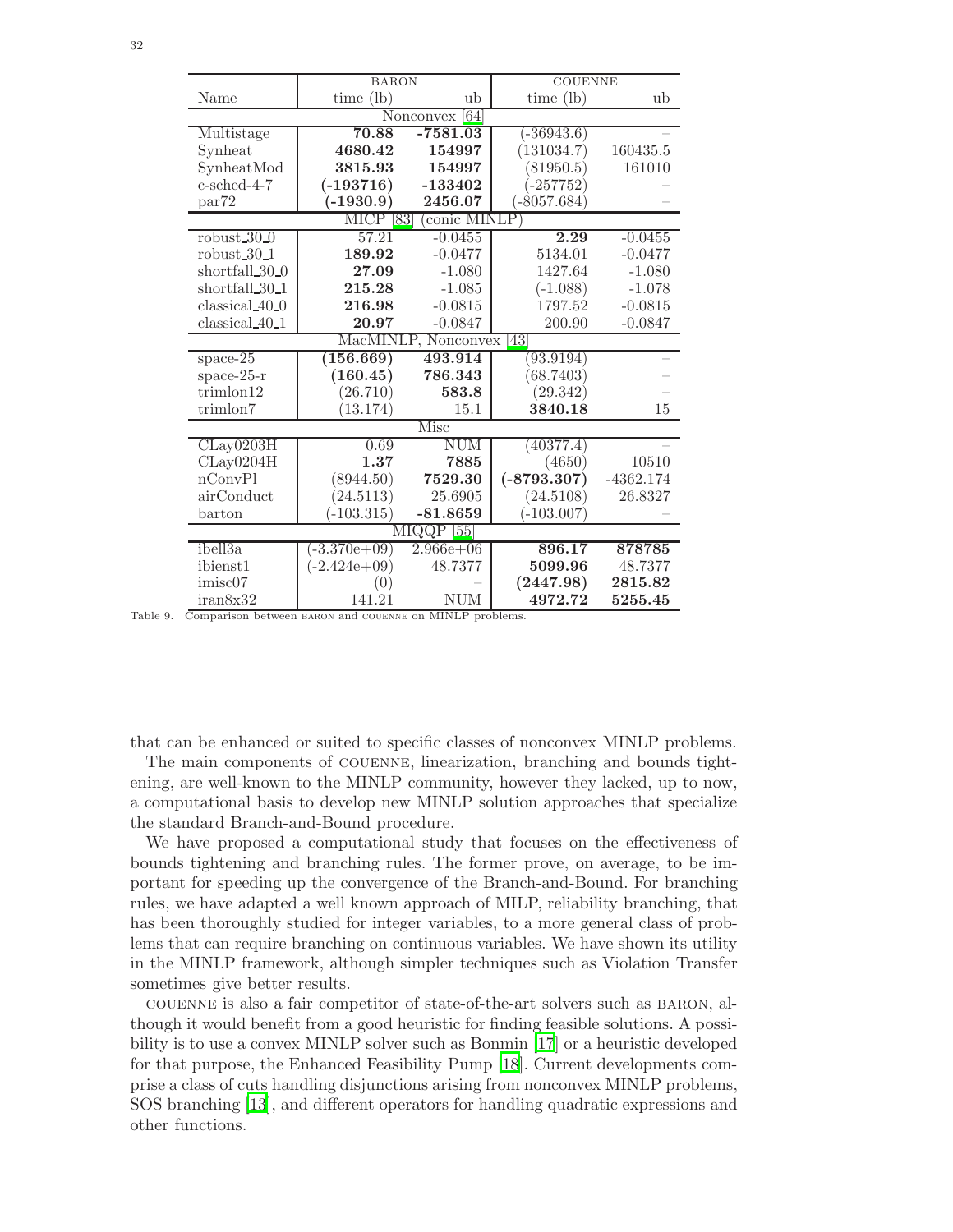|                            | <b>BARON</b>   |                     | <b>COUENNE</b>    |                                        |
|----------------------------|----------------|---------------------|-------------------|----------------------------------------|
| Name                       | time $(lb)$    | ub                  | time (lb)         | ub                                     |
|                            |                | [64]<br>Nonconvex   |                   |                                        |
| Multistage                 | 70.88          | $-7581.03$          | $(-36943.6)$      |                                        |
| Synheat                    | 4680.42        | 154997              | (131034.7)        | 160435.5                               |
| SynheatMod                 | 3815.93        | 154997              | (81950.5)         | 161010                                 |
| c-sched-4-7                | $(-193716)$    | $-133402$           | $(-257752)$       |                                        |
| par72                      | $(-1930.9)$    | 2456.07             | $(-8057.684)$     |                                        |
|                            | <b>MICP</b>    | conic MINLP<br>[83] |                   |                                        |
| robust $30-0$              | 57.21          | $-0.0455$           | 2.29              | $-0.0455$                              |
| robust $30-1$              | 189.92         | $-0.0477$           | 5134.01           | $-0.0477$                              |
| shortfall 30 <sub>0</sub>  | 27.09          | $-1.080$            | 1427.64           | $-1.080$                               |
| shortfall_30_1             | 215.28         | $-1.085$            | $(-1.088)$        | $-1.078$                               |
| $classical_40_0$           | 216.98         | $-0.0815$           | 1797.52           | $-0.0815$                              |
| classical 40 <sub>-1</sub> | 20.97          | $-0.0847$           | 200.90            | $-0.0847$                              |
|                            |                | MacMINLP, Nonconvex | $\left[43\right]$ |                                        |
| space- $25$                | (156.669)      | 493.914             | (93.9194)         |                                        |
| space- $25-r$              | (160.45)       | 786.343             | (68.7403)         |                                        |
| trimlon12                  | (26.710)       | 583.8               | (29.342)          |                                        |
| trimlon7                   | (13.174)       | 15.1                | 3840.18           | 15                                     |
|                            |                | Misc                |                   |                                        |
| CLay0203H                  | 0.69           | <b>NUM</b>          | (40377.4)         |                                        |
| CLay0204H                  | 1.37           | 7885                | (4650)            | 10510                                  |
| nConvPl                    | (8944.50)      | 7529.30             | $(-8793.307)$     | $-4362.174$                            |
| airConduct                 | (24.5113)      | 25.6905             | (24.5108)         | 26.8327                                |
| barton                     | $(-103.315)$   | $-81.8659$          | $(-103.007)$      |                                        |
|                            |                | MIQQP<br>[55]       |                   |                                        |
| ibell3a                    | $(-3.370e+09)$ | $2.966e + 06$       | 896.17            | 878785                                 |
| ibienst1                   | $(-2.424e+09)$ | 48.7377             | 5099.96           | 48.7377                                |
| imisc07                    |                |                     | (2447.98)         | $\begin{array}{c} 2815.82 \end{array}$ |
| iran8x32                   | 141.21         | <b>NUM</b>          | 4972.72           | 5255.45                                |

<span id="page-32-0"></span>Table 9. Comparison between baron and couenne on MINLP problems.

that can be enhanced or suited to specific classes of nonconvex MINLP problems.

The main components of couenne, linearization, branching and bounds tightening, are well-known to the MINLP community, however they lacked, up to now, a computational basis to develop new MINLP solution approaches that specialize the standard Branch-and-Bound procedure.

We have proposed a computational study that focuses on the effectiveness of bounds tightening and branching rules. The former prove, on average, to be important for speeding up the convergence of the Branch-and-Bound. For branching rules, we have adapted a well known approach of MILP, reliability branching, that has been thoroughly studied for integer variables, to a more general class of problems that can require branching on continuous variables. We have shown its utility in the MINLP framework, although simpler techniques such as Violation Transfer sometimes give better results.

couenne is also a fair competitor of state-of-the-art solvers such as baron, although it would benefit from a good heuristic for finding feasible solutions. A possibility is to use a convex MINLP solver such as Bonmin [\[17](#page-34-2)] or a heuristic developed for that purpose, the Enhanced Feasibility Pump [\[18](#page-34-14)]. Current developments comprise a class of cuts handling disjunctions arising from nonconvex MINLP problems, SOS branching [\[13](#page-34-15)], and different operators for handling quadratic expressions and other functions.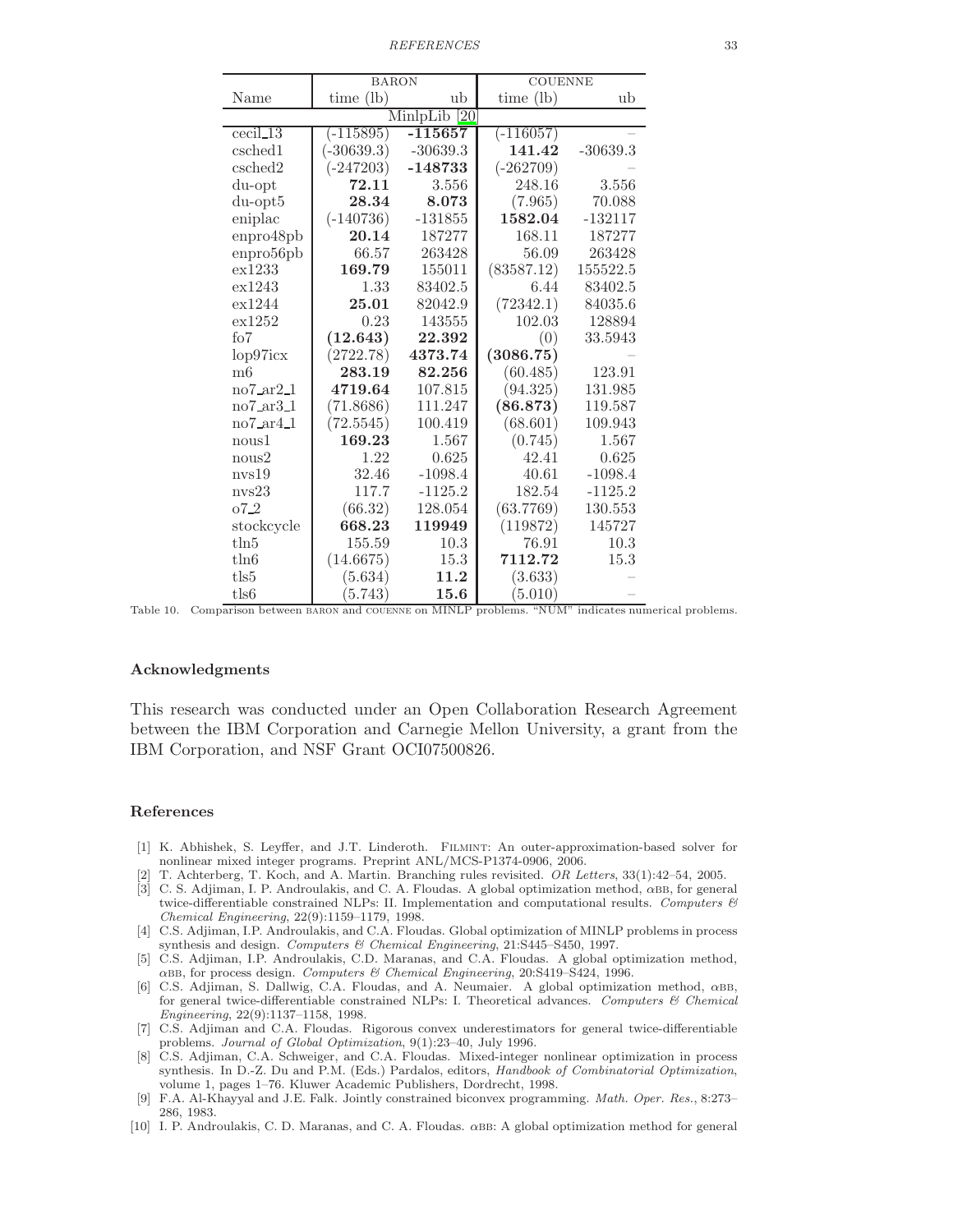*REFERENCES* 33

|                                      | <b>BARON</b> |            | <b>COUENNE</b> |            |  |  |  |  |  |
|--------------------------------------|--------------|------------|----------------|------------|--|--|--|--|--|
| Name                                 | time (lb)    | ub         | time $(lb)$    | ub         |  |  |  |  |  |
| MinlpLib<br>$\overline{20}$          |              |            |                |            |  |  |  |  |  |
| $\operatorname{cecil}\nolimits_13$   | $(-115895)$  | $-115657$  | $(-116057)$    |            |  |  |  |  |  |
| csched1                              | $(-30639.3)$ | $-30639.3$ | 141.42         | $-30639.3$ |  |  |  |  |  |
| csched2                              | $(-247203)$  | $-148733$  | $(-262709)$    |            |  |  |  |  |  |
| du-opt                               | 72.11        | 3.556      | 248.16         | 3.556      |  |  |  |  |  |
| $du$ -opt $5$                        | 28.34        | 8.073      | (7.965)        | 70.088     |  |  |  |  |  |
| eniplac                              | $(-140736)$  | $-131855$  | 1582.04        | $-132117$  |  |  |  |  |  |
| enpro48pb                            | 20.14        | 187277     | 168.11         | 187277     |  |  |  |  |  |
| enpro56pb                            | 66.57        | 263428     | 56.09          | 263428     |  |  |  |  |  |
| ex1233                               | 169.79       | 155011     | (83587.12)     | 155522.5   |  |  |  |  |  |
| ex1243                               | 1.33         | 83402.5    | 6.44           | 83402.5    |  |  |  |  |  |
| ex1244                               | 25.01        | 82042.9    | (72342.1)      | 84035.6    |  |  |  |  |  |
| ex1252                               | 0.23         | 143555     | 102.03         | 128894     |  |  |  |  |  |
| f <sub>0</sub> 7                     | (12.643)     | 22.392     | (0)            | 33.5943    |  |  |  |  |  |
| lop97icx                             | (2722.78)    | 4373.74    | (3086.75)      |            |  |  |  |  |  |
| m6                                   | 283.19       | 82.256     | (60.485)       | 123.91     |  |  |  |  |  |
| $no7_a r2_1$                         | 4719.64      | 107.815    | (94.325)       | 131.985    |  |  |  |  |  |
| $no7$ <sub>ar</sub> $3$ <sub>1</sub> | (71.8686)    | 111.247    | (86.873)       | 119.587    |  |  |  |  |  |
| $no7_a r4_1$                         | (72.5545)    | 100.419    | (68.601)       | 109.943    |  |  |  |  |  |
| nous1                                | 169.23       | 1.567      | (0.745)        | 1.567      |  |  |  |  |  |
| nous2                                | 1.22         | 0.625      | 42.41          | 0.625      |  |  |  |  |  |
| nvs19                                | 32.46        | $-1098.4$  | 40.61          | $-1098.4$  |  |  |  |  |  |
| nvs23                                | 117.7        | $-1125.2$  | 182.54         | $-1125.2$  |  |  |  |  |  |
| $07-2$                               | (66.32)      | 128.054    | (63.7769)      | 130.553    |  |  |  |  |  |
| stockcycle                           | 668.23       | 119949     | (119872)       | 145727     |  |  |  |  |  |
| $t\ln 5$                             | 155.59       | 10.3       | 76.91          | 10.3       |  |  |  |  |  |
| $t\ln 6$                             | (14.6675)    | 15.3       | 7112.72        | 15.3       |  |  |  |  |  |
| tls5                                 | (5.634)      | 11.2       | (3.633)        |            |  |  |  |  |  |
| tls6                                 | (5.743)      | 15.6       | (5.010)        |            |  |  |  |  |  |

<span id="page-33-10"></span>Table 10. Comparison between baron and couenne on MINLP problems. "NUM" indicates numerical problems.

#### Acknowledgments

This research was conducted under an Open Collaboration Research Agreement between the IBM Corporation and Carnegie Mellon University, a grant from the IBM Corporation, and NSF Grant OCI07500826.

#### References

- <span id="page-33-7"></span>[1] K. Abhishek, S. Leyffer, and J.T. Linderoth. Filmint: An outer-approximation-based solver for nonlinear mixed integer programs. Preprint ANL/MCS-P1374-0906, 2006.
- [2] T. Achterberg, T. Koch, and A. Martin. Branching rules revisited. *OR Letters*, 33(1):42–54, 2005.
- <span id="page-33-8"></span><span id="page-33-1"></span>[3] C. S. Adjiman, I. P. Androulakis, and C. A. Floudas. A global optimization method,  $\alpha$ BB, for general twice-differentiable constrained NLPs: II. Implementation and computational results. *Computers & Chemical Engineering*, 22(9):1159–1179, 1998.
- <span id="page-33-2"></span>[4] C.S. Adjiman, I.P. Androulakis, and C.A. Floudas. Global optimization of MINLP problems in process synthesis and design. *Computers & Chemical Engineering*, 21:S445–S450, 1997.
- <span id="page-33-3"></span>[5] C.S. Adjiman, I.P. Androulakis, C.D. Maranas, and C.A. Floudas. A global optimization method, αbb, for process design. *Computers & Chemical Engineering*, 20:S419–S424, 1996.
- <span id="page-33-4"></span>[6] C.S. Adjiman, S. Dallwig, C.A. Floudas, and A. Neumaier. A global optimization method, αbb, for general twice-differentiable constrained NLPs: I. Theoretical advances. *Computers & Chemical Engineering*, 22(9):1137–1158, 1998.
- <span id="page-33-5"></span>[7] C.S. Adjiman and C.A. Floudas. Rigorous convex underestimators for general twice-differentiable problems. *Journal of Global Optimization*, 9(1):23–40, July 1996.
- <span id="page-33-6"></span>[8] C.S. Adjiman, C.A. Schweiger, and C.A. Floudas. Mixed-integer nonlinear optimization in process synthesis. In D.-Z. Du and P.M. (Eds.) Pardalos, editors, *Handbook of Combinatorial Optimization*, volume 1, pages 1–76. Kluwer Academic Publishers, Dordrecht, 1998.
- [9] F.A. Al-Khayyal and J.E. Falk. Jointly constrained biconvex programming. *Math. Oper. Res.*, 8:273– 286, 1983.
- <span id="page-33-9"></span><span id="page-33-0"></span>[10] I. P. Androulakis, C. D. Maranas, and C. A. Floudas. αbb: A global optimization method for general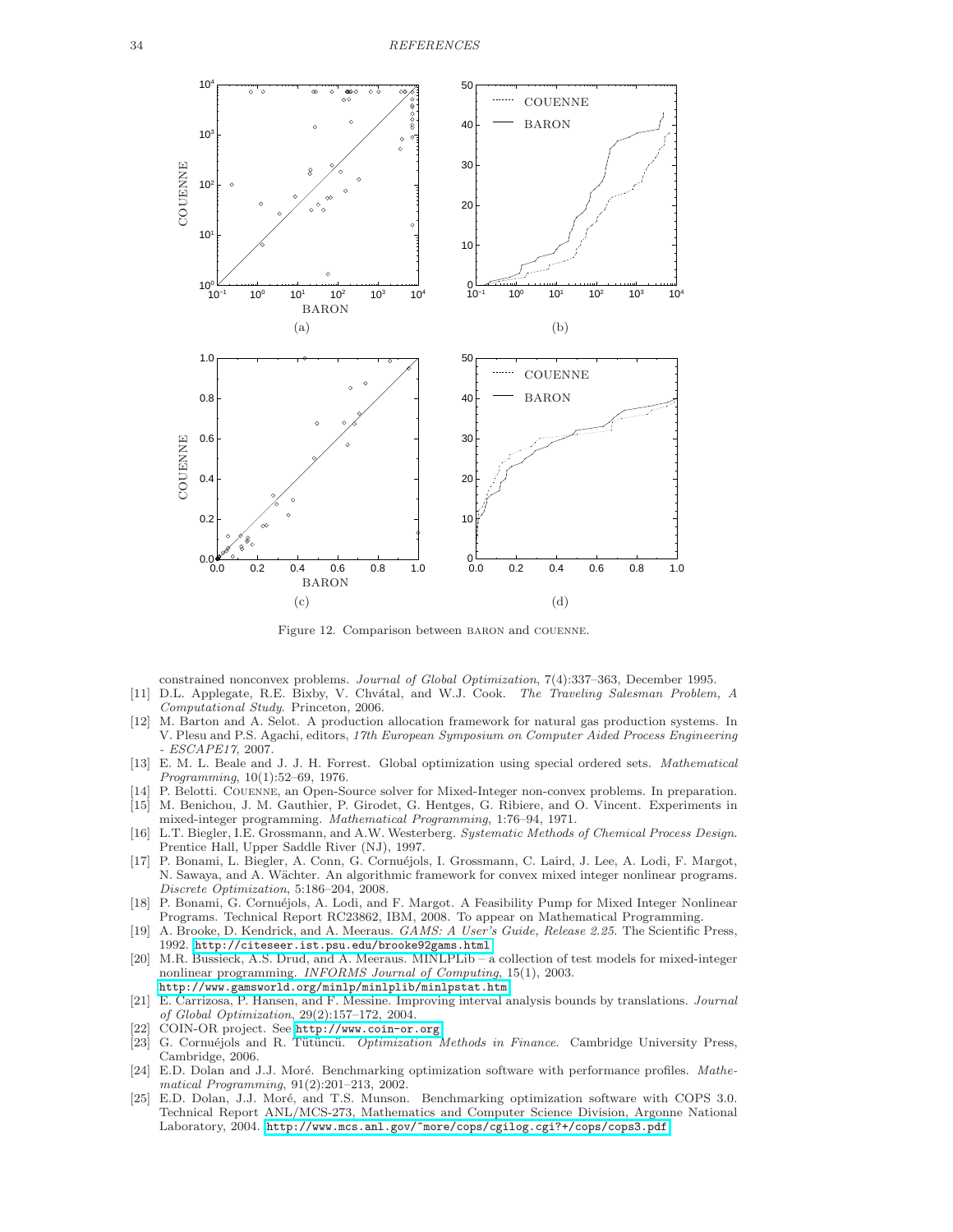![](_page_34_Figure_1.jpeg)

<span id="page-34-13"></span>Figure 12. Comparison between baron and couenne.

constrained nonconvex problems. *Journal of Global Optimization*, 7(4):337–363, December 1995.

- <span id="page-34-5"></span>[11] D.L. Applegate, R.E. Bixby, V. Chv´atal, and W.J. Cook. *The Traveling Salesman Problem, A Computational Study*. Princeton, 2006.
- <span id="page-34-10"></span>[12] M. Barton and A. Selot. A production allocation framework for natural gas production systems. In V. Plesu and P.S. Agachi, editors, *17th European Symposium on Computer Aided Process Engineering - ESCAPE17*, 2007.
- <span id="page-34-15"></span>[13] E. M. L. Beale and J. J. H. Forrest. Global optimization using special ordered sets. *Mathematical Programming*, 10(1):52–69, 1976.
- <span id="page-34-7"></span><span id="page-34-6"></span>[14] P. Belotti. Couenne, an Open-Source solver for Mixed-Integer non-convex problems. In preparation. [15] M. Benichou, J. M. Gauthier, P. Girodet, G. Hentges, G. Ribiere, and O. Vincent. Experiments in
- mixed-integer programming. *Mathematical Programming*, 1:76–94, 1971.
- <span id="page-34-0"></span>[16] L.T. Biegler, I.E. Grossmann, and A.W. Westerberg. *Systematic Methods of Chemical Process Design*. Prentice Hall, Upper Saddle River (NJ), 1997.
- <span id="page-34-2"></span>[17] P. Bonami, L. Biegler, A. Conn, G. Cornuéjols, I. Grossmann, C. Laird, J. Lee, A. Lodi, F. Margot, N. Sawaya, and A. Wächter. An algorithmic framework for convex mixed integer nonlinear programs. *Discrete Optimization*, 5:186–204, 2008.
- <span id="page-34-14"></span>[18] P. Bonami, G. Cornuéjols, A. Lodi, and F. Margot. A Feasibility Pump for Mixed Integer Nonlinear Programs. Technical Report RC23862, IBM, 2008. To appear on Mathematical Programming.
- <span id="page-34-12"></span>[19] A. Brooke, D. Kendrick, and A. Meeraus. *GAMS: A User's Guide, Release 2.25*. The Scientific Press, 1992. <http://citeseer.ist.psu.edu/brooke92gams.html>.
- <span id="page-34-8"></span>[20] M.R. Bussieck, A.S. Drud, and A. Meeraus. MINLPLib – a collection of test models for mixed-integer nonlinear programming. *INFORMS Journal of Computing*, 15(1), 2003. <http://www.gamsworld.org/minlp/minlplib/minlpstat.htm>.
- <span id="page-34-4"></span>[21] E. Carrizosa, P. Hansen, and F. Messine. Improving interval analysis bounds by translations. *Journal of Global Optimization*, 29(2):157–172, 2004.
- <span id="page-34-3"></span>[22] COIN-OR project. See <http://www.coin-or.org>.<br>[23] G. Cornuéjols and R. Tütüncü. *Optimization* 1
- <span id="page-34-1"></span>G. Cornuéjols and R. Tütüncü. *Optimization Methods in Finance*. Cambridge University Press, Cambridge, 2006.
- <span id="page-34-9"></span>[24] E.D. Dolan and J.J. Moré. Benchmarking optimization software with performance profiles. *Mathematical Programming*, 91(2):201–213, 2002.
- <span id="page-34-11"></span>[25] E.D. Dolan, J.J. Moré, and T.S. Munson. Benchmarking optimization software with COPS 3.0. Technical Report ANL/MCS-273, Mathematics and Computer Science Division, Argonne National Laboratory, 2004. <http://www.mcs.anl.gov/~more/cops/cgilog.cgi?+/cops/cops3.pdf>.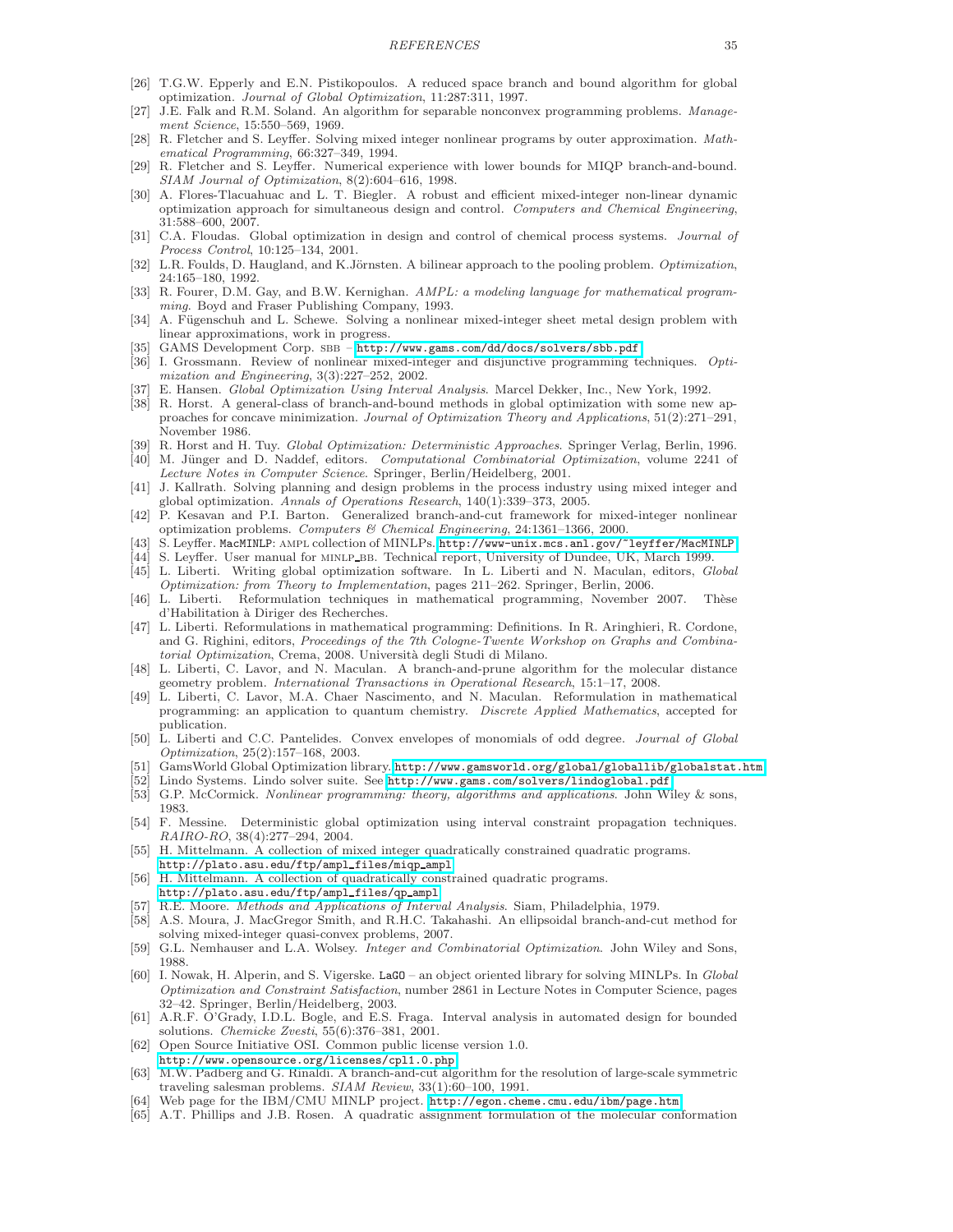- <span id="page-35-14"></span>[26] T.G.W. Epperly and E.N. Pistikopoulos. A reduced space branch and bound algorithm for global optimization. *Journal of Global Optimization*, 11:287:311, 1997.
- <span id="page-35-12"></span>[27] J.E. Falk and R.M. Soland. An algorithm for separable nonconvex programming problems. *Management Science*, 15:550–569, 1969.
- <span id="page-35-8"></span>[28] R. Fletcher and S. Leyffer. Solving mixed integer nonlinear programs by outer approximation. *Mathematical Programming*, 66:327–349, 1994.
- <span id="page-35-21"></span>[29] R. Fletcher and S. Leyffer. Numerical experience with lower bounds for MIQP branch-and-bound. *SIAM Journal of Optimization*, 8(2):604–616, 1998.
- <span id="page-35-36"></span>[30] A. Flores-Tlacuahuac and L. T. Biegler. A robust and efficient mixed-integer non-linear dynamic optimization approach for simultaneous design and control. *Computers and Chemical Engineering*, 31:588–600, 2007.
- <span id="page-35-1"></span>[31] C.A. Floudas. Global optimization in design and control of chemical process systems. *Journal of Process Control*, 10:125–134, 2001.
- <span id="page-35-38"></span>[32] L.R. Foulds, D. Haugland, and K.Jörnsten. A bilinear approach to the pooling problem. *Optimization*, 24:165–180, 1992.
- <span id="page-35-39"></span>[33] R. Fourer, D.M. Gay, and B.W. Kernighan. *AMPL: a modeling language for mathematical programming*. Boyd and Fraser Publishing Company, 1993.
- <span id="page-35-31"></span>[34] A. Fügenschuh and L. Schewe. Solving a nonlinear mixed-integer sheet metal design problem with linear approximations, work in progress.
- <span id="page-35-20"></span>[35] GAMS Development Corp. SBB - <http://www.gams.com/dd/docs/solvers/sbb.pdf>.
- <span id="page-35-10"></span>[36] I. Grossmann. Review of nonlinear mixed-integer and disjunctive programming techniques. *Optimization and Engineering*, 3(3):227–252, 2002.
- <span id="page-35-26"></span>[37] E. Hansen. *Global Optimization Using Interval Analysis*. Marcel Dekker, Inc., New York, 1992.
- <span id="page-35-13"></span>[38] R. Horst. A general-class of branch-and-bound methods in global optimization with some new approaches for concave minimization. *Journal of Optimization Theory and Applications*, 51(2):271–291, November 1986.
- <span id="page-35-9"></span>[39] R. Horst and H. Tuy. *Global Optimization: Deterministic Approaches*. Springer Verlag, Berlin, 1996.
- <span id="page-35-6"></span>[40] M. Jünger and D. Naddef, editors. *Computational Combinatorial Optimization*, volume 2241 of *Lecture Notes in Computer Science*. Springer, Berlin/Heidelberg, 2001.
- <span id="page-35-2"></span>[41] J. Kallrath. Solving planning and design problems in the process industry using mixed integer and global optimization. *Annals of Operations Research*, 140(1):339–373, 2005.
- <span id="page-35-15"></span>[42] P. Kesavan and P.I. Barton. Generalized branch-and-cut framework for mixed-integer nonlinear optimization problems. *Computers & Chemical Engineering*, 24:1361–1366, 2000.
- [43] S. Leyffer. MacMINLP: ampl collection of MINLPs. <http://www-unix.mcs.anl.gov/~leyffer/MacMINLP>.
- <span id="page-35-32"></span><span id="page-35-22"></span>[44] S. Leyffer. User manual for MINLP\_BB. Technical report, University of Dundee, UK, March 1999. [45] L. Liberti. Writing global optimization software. In L. Liberti and N. Maculan, editors, *Global*
- <span id="page-35-23"></span><span id="page-35-11"></span>*Optimization: from Theory to Implementation*, pages 211–262. Springer, Berlin, 2006. [46] L. Liberti. Reformulation techniques in mathematical programming, November 2007. Thèse
- d'Habilitation `a Diriger des Recherches.
- <span id="page-35-24"></span>[47] L. Liberti. Reformulations in mathematical programming: Definitions. In R. Aringhieri, R. Cordone, and G. Righini, editors, *Proceedings of the 7th Cologne-Twente Workshop on Graphs and Combinatorial Optimization*, Crema, 2008. Universit`a degli Studi di Milano.
- <span id="page-35-3"></span>[48] L. Liberti, C. Lavor, and N. Maculan. A branch-and-prune algorithm for the molecular distance geometry problem. *International Transactions in Operational Research*, 15:1–17, 2008.
- <span id="page-35-4"></span>[49] L. Liberti, C. Lavor, M.A. Chaer Nascimento, and N. Maculan. Reformulation in mathematical programming: an application to quantum chemistry. *Discrete Applied Mathematics*, accepted for publication.
- <span id="page-35-25"></span>[50] L. Liberti and C.C. Pantelides. Convex envelopes of monomials of odd degree. *Journal of Global Optimization*, 25(2):157–168, 2003.
- <span id="page-35-34"></span>[51] GamsWorld Global Optimization library. <http://www.gamsworld.org/global/globallib/globalstat.htm>.<br>[52] Lindo Systems, Lindo solver suite. See http://www.gams.com/solvers/lindoglobal.pdf.
- Lindo Systems. Lindo solver suite. See <http://www.gams.com/solvers/lindoglobal.pdf>.
- <span id="page-35-17"></span><span id="page-35-0"></span>[53] G.P. McCormick. *Nonlinear programming: theory, algorithms and applications*. John Wiley & sons, 1983.
- <span id="page-35-28"></span>[54] F. Messine. Deterministic global optimization using interval constraint propagation techniques. *RAIRO-RO*, 38(4):277–294, 2004.
- <span id="page-35-33"></span>[55] H. Mittelmann. A collection of mixed integer quadratically constrained quadratic programs. [http://plato.asu.edu/ftp/ampl](http://plato.asu.edu/ftp/ampl_files/miqp_ampl)\_files/miqp\_ampl.
- <span id="page-35-35"></span>[56] H. Mittelmann. A collection of quadratically constrained quadratic programs. [http://plato.asu.edu/ftp/ampl](http://plato.asu.edu/ftp/ampl_files/qp_ampl)\_files/qp\_ampl.
- <span id="page-35-27"></span>[57] R.E. Moore. *Methods and Applications of Interval Analysis*. Siam, Philadelphia, 1979.
- <span id="page-35-19"></span>[58] A.S. Moura, J. MacGregor Smith, and R.H.C. Takahashi. An ellipsoidal branch-and-cut method for solving mixed-integer quasi-convex problems, 2007.
- <span id="page-35-29"></span>[59] G.L. Nemhauser and L.A. Wolsey. *Integer and Combinatorial Optimization*. John Wiley and Sons, 1988.
- <span id="page-35-18"></span>[60] I. Nowak, H. Alperin, and S. Vigerske. LaGO – an object oriented library for solving MINLPs. In *Global Optimization and Constraint Satisfaction*, number 2861 in Lecture Notes in Computer Science, pages 32–42. Springer, Berlin/Heidelberg, 2003.
- <span id="page-35-16"></span>[61] A.R.F. O'Grady, I.D.L. Bogle, and E.S. Fraga. Interval analysis in automated design for bounded solutions. *Chemicke Zvesti*, 55(6):376–381, 2001.
- <span id="page-35-37"></span>[62] Open Source Initiative OSI. Common public license version 1.0.
- <http://www.opensource.org/licenses/cpl1.0.php>.
- <span id="page-35-7"></span>[63] M.W. Padberg and G. Rinaldi. A branch-and-cut algorithm for the resolution of large-scale symmetric traveling salesman problems. *SIAM Review*, 33(1):60–100, 1991.
- <span id="page-35-30"></span>[64] Web page for the IBM/CMU MINLP project. <http://egon.cheme.cmu.edu/ibm/page.htm>.
- <span id="page-35-5"></span>[65] A.T. Phillips and J.B. Rosen. A quadratic assignment formulation of the molecular conformation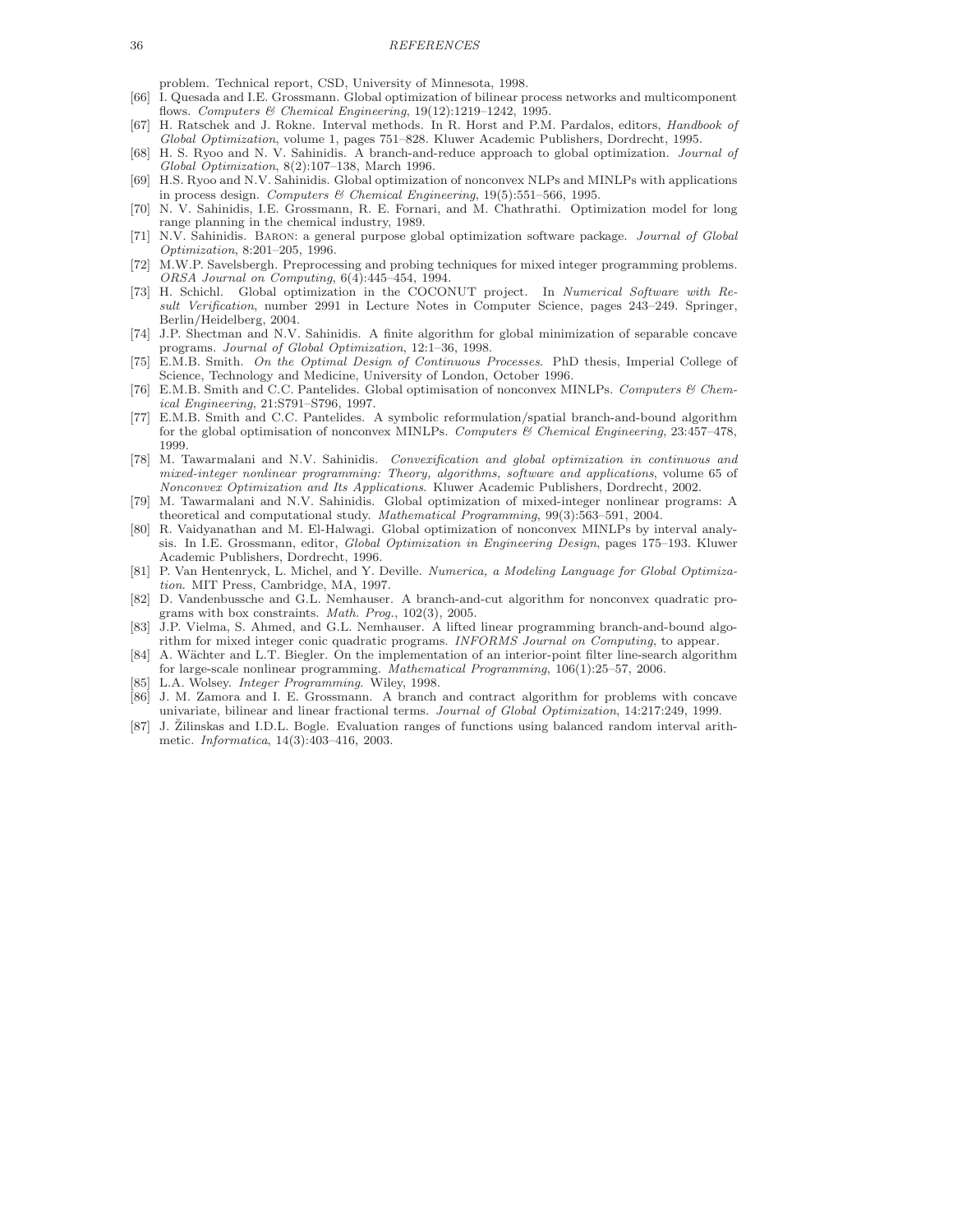#### 36 *REFERENCES*

problem. Technical report, CSD, University of Minnesota, 1998.

- <span id="page-36-1"></span>[66] I. Quesada and I.E. Grossmann. Global optimization of bilinear process networks and multicomponent flows. *Computers & Chemical Engineering*, 19(12):1219–1242, 1995.
- <span id="page-36-14"></span>[67] H. Ratschek and J. Rokne. Interval methods. In R. Horst and P.M. Pardalos, editors, *Handbook of Global Optimization*, volume 1, pages 751–828. Kluwer Academic Publishers, Dordrecht, 1995.
- <span id="page-36-4"></span>[68] H. S. Ryoo and N. V. Sahinidis. A branch-and-reduce approach to global optimization. *Journal of Global Optimization*, 8(2):107–138, March 1996.
- <span id="page-36-5"></span>[69] H.S. Ryoo and N.V. Sahinidis. Global optimization of nonconvex NLPs and MINLPs with applications in process design. *Computers & Chemical Engineering*, 19(5):551–566, 1995.
- <span id="page-36-19"></span>[70] N. V. Sahinidis, I.E. Grossmann, R. E. Fornari, and M. Chathrathi. Optimization model for long range planning in the chemical industry, 1989.
- <span id="page-36-12"></span>[71] N.V. Sahinidis. Baron: a general purpose global optimization software package. *Journal of Global Optimization*, 8:201–205, 1996.
- <span id="page-36-17"></span>[72] M.W.P. Savelsbergh. Preprocessing and probing techniques for mixed integer programming problems. *ORSA Journal on Computing*, 6(4):445–454, 1994.
- <span id="page-36-21"></span>[73] H. Schichl. Global optimization in the COCONUT project. In *Numerical Software with Result Verification*, number 2991 in Lecture Notes in Computer Science, pages 243–249. Springer, Berlin/Heidelberg, 2004.
- <span id="page-36-15"></span>[74] J.P. Shectman and N.V. Sahinidis. A finite algorithm for global minimization of separable concave programs. *Journal of Global Optimization*, 12:1–36, 1998.
- <span id="page-36-6"></span>[75] E.M.B. Smith. *On the Optimal Design of Continuous Processes*. PhD thesis, Imperial College of Science, Technology and Medicine, University of London, October 1996.
- <span id="page-36-7"></span>[76] E.M.B. Smith and C.C. Pantelides. Global optimisation of nonconvex MINLPs. *Computers & Chemical Engineering*, 21:S791–S796, 1997.
- <span id="page-36-8"></span>[77] E.M.B. Smith and C.C. Pantelides. A symbolic reformulation/spatial branch-and-bound algorithm for the global optimisation of nonconvex MINLPs. *Computers & Chemical Engineering*, 23:457–478, 1999.
- <span id="page-36-2"></span>[78] M. Tawarmalani and N.V. Sahinidis. *Convexification and global optimization in continuous and mixed-integer nonlinear programming: Theory, algorithms, software and applications*, volume 65 of *Nonconvex Optimization and Its Applications*. Kluwer Academic Publishers, Dordrecht, 2002.
- <span id="page-36-3"></span>[79] M. Tawarmalani and N.V. Sahinidis. Global optimization of mixed-integer nonlinear programs: A theoretical and computational study. *Mathematical Programming*, 99(3):563–591, 2004.
- <span id="page-36-10"></span>[80] R. Vaidyanathan and M. El-Halwagi. Global optimization of nonconvex MINLPs by interval analysis. In I.E. Grossmann, editor, *Global Optimization in Engineering Design*, pages 175–193. Kluwer Academic Publishers, Dordrecht, 1996.
- <span id="page-36-16"></span>[81] P. Van Hentenryck, L. Michel, and Y. Deville. *Numerica, a Modeling Language for Global Optimization*. MIT Press, Cambridge, MA, 1997.
- <span id="page-36-18"></span>[82] D. Vandenbussche and G.L. Nemhauser. A branch-and-cut algorithm for nonconvex quadratic programs with box constraints. *Math. Prog.*, 102(3), 2005.
- <span id="page-36-13"></span>[83] J.P. Vielma, S. Ahmed, and G.L. Nemhauser. A lifted linear programming branch-and-bound algorithm for mixed integer conic quadratic programs. *INFORMS Journal on Computing*, to appear.
- <span id="page-36-20"></span>[84] A. Wächter and L.T. Biegler. On the implementation of an interior-point filter line-search algorithm for large-scale nonlinear programming. *Mathematical Programming*, 106(1):25–57, 2006.
- <span id="page-36-0"></span>[85] L.A. Wolsey. *Integer Programming*. Wiley, 1998.
- <span id="page-36-9"></span>[86] J. M. Zamora and I. E. Grossmann. A branch and contract algorithm for problems with concave univariate, bilinear and linear fractional terms. *Journal of Global Optimization*, 14:217:249, 1999.
- <span id="page-36-11"></span>[87] J. Žilinskas and I.D.L. Bogle. Evaluation ranges of functions using balanced random interval arithmetic. *Informatica*, 14(3):403–416, 2003.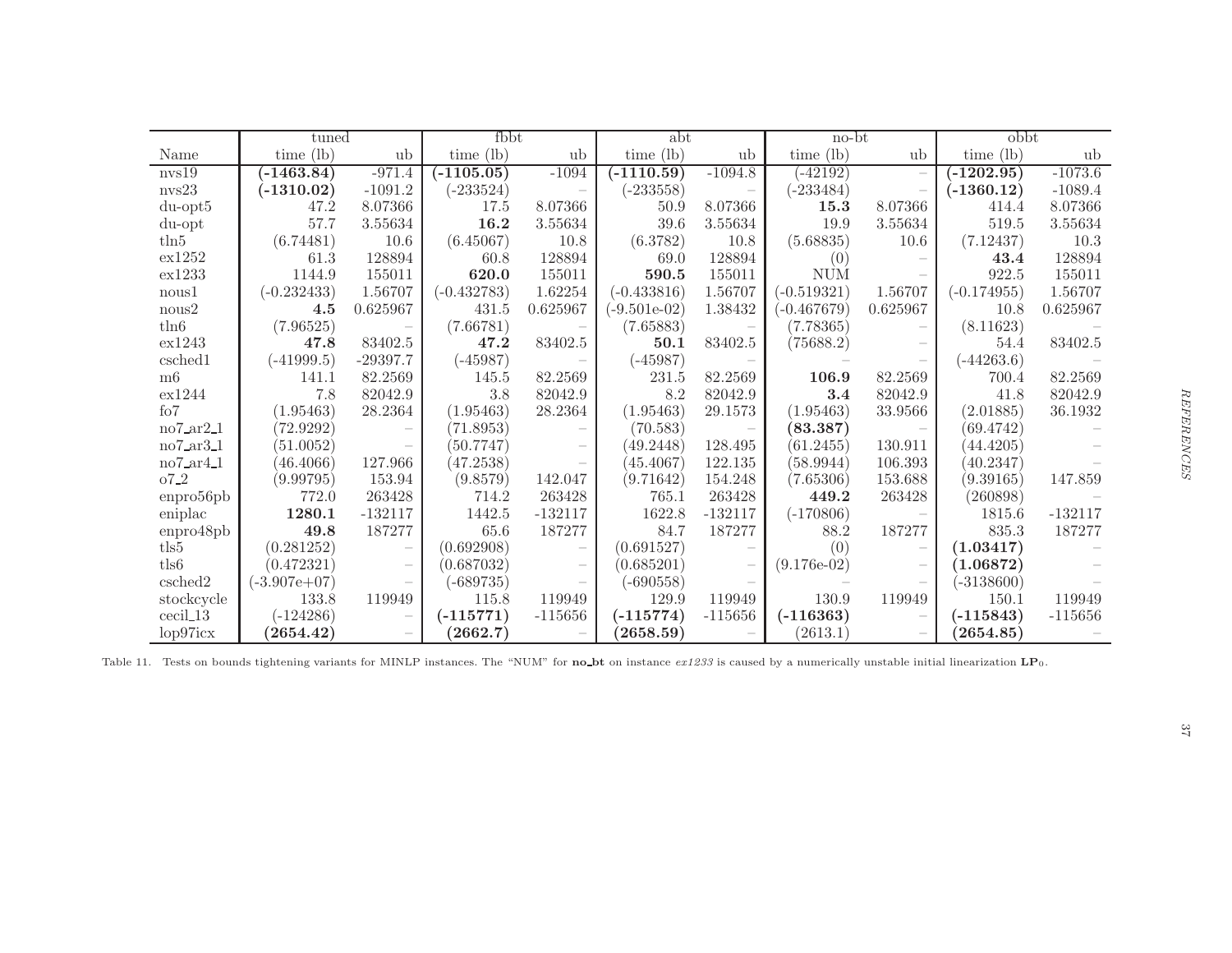|                                        | tuned          |                                 | fbbt          |           | abt                     |           | $no-bt$       |                          | obbt          |           |  |
|----------------------------------------|----------------|---------------------------------|---------------|-----------|-------------------------|-----------|---------------|--------------------------|---------------|-----------|--|
| Name                                   | $time$ (lb)    | ub                              | time $(lb)$   | ub        | time (lb)               | ub        | $time$ (lb)   | ub                       | time $(lb)$   | ub        |  |
| nvs19                                  | $( -1463.84)$  | $-971.4$                        | $( -1105.05)$ | $-1094$   | $(-1110.59)$            | $-1094.8$ | $( -42192)$   | $\overline{\phantom{0}}$ | $( -1202.95)$ | $-1073.6$ |  |
| nvs23                                  | $(-1310.02)$   | $-1091.2$                       | $(-233524)$   |           | $(-233558)$             |           | $(-233484)$   |                          | $(-1360.12)$  | $-1089.4$ |  |
| $du$ -opt $5$                          | 47.2           | 8.07366                         | 17.5          | 8.07366   | 50.9                    | 8.07366   | 15.3          | 8.07366                  | 414.4         | 8.07366   |  |
| du-opt                                 | 57.7           | 3.55634                         | 16.2          | 3.55634   | 39.6                    | 3.55634   | 19.9          | 3.55634                  | 519.5         | 3.55634   |  |
| $t\ln 5$                               | (6.74481)      | 10.6                            | (6.45067)     | 10.8      | (6.3782)                | 10.8      | (5.68835)     | 10.6                     | (7.12437)     | 10.3      |  |
| ex1252                                 | 61.3           | 128894                          | 60.8          | 128894    | 69.0                    | 128894    | (0)           |                          | 43.4          | 128894    |  |
| ex1233                                 | 1144.9         | 155011                          | 620.0         | 155011    | 590.5                   | 155011    | <b>NUM</b>    |                          | 922.5         | 155011    |  |
| nous1                                  | $(-0.232433)$  | 1.56707                         | $(-0.432783)$ | 1.62254   | $(-0.433816)$           | 1.56707   | $(-0.519321)$ | 1.56707                  | $(-0.174955)$ | 1.56707   |  |
| nous2                                  | 4.5            | 0.625967                        | 431.5         | 0.625967  | $(-9.501e-02)$          | 1.38432   | $(-0.467679)$ | 0.625967                 | 10.8          | 0.625967  |  |
| $t\ln 6$                               | (7.96525)      |                                 | (7.66781)     |           | (7.65883)               |           | (7.78365)     |                          | (8.11623)     |           |  |
| ex1243                                 | 47.8           | 83402.5                         | 47.2          | 83402.5   | 50.1                    | 83402.5   | (75688.2)     |                          | 54.4          | 83402.5   |  |
| csched1                                | $(-41999.5)$   | $-29397.7$                      | $(-45987)$    |           | $(-45987)$              |           |               |                          | $(-44263.6)$  |           |  |
| m6                                     | 141.1          | 82.2569                         | 145.5         | 82.2569   | 231.5                   | 82.2569   | 106.9         | 82.2569                  | 700.4         | 82.2569   |  |
| ex1244                                 | 7.8            | 82042.9                         | 3.8           | 82042.9   | 8.2                     | 82042.9   | 3.4           | 82042.9                  | 41.8          | 82042.9   |  |
| f <sub>0</sub> 7                       | (1.95463)      | 28.2364                         | (1.95463)     | 28.2364   | (1.95463)               | 29.1573   | (1.95463)     | 33.9566                  | (2.01885)     | 36.1932   |  |
| no7ar21                                | (72.9292)      | $\hspace{0.1mm}-\hspace{0.1mm}$ | (71.8953)     |           | (70.583)                |           | (83.387)      |                          | (69.4742)     |           |  |
| $no7_ara3_1$                           | (51.0052)      |                                 | (50.7747)     |           | (49.2448)               | 128.495   | (61.2455)     | 130.911                  | (44.4205)     |           |  |
| $no7$ <sub>-ar</sub> $4$ <sub>-1</sub> | (46.4066)      | 127.966                         | (47.2538)     |           | (45.4067)               | 122.135   | (58.9944)     | 106.393                  | (40.2347)     |           |  |
| $07-2$                                 | (9.99795)      | 153.94                          | (9.8579)      | 142.047   | (9.71642)               | 154.248   | (7.65306)     | 153.688                  | (9.39165)     | 147.859   |  |
| enpro56pb                              | 772.0          | 263428                          | 714.2         | 263428    | 765.1                   | 263428    | 449.2         | 263428                   | (260898)      |           |  |
| eniplac                                | 1280.1         | $-132117$                       | 1442.5        | $-132117$ | 1622.8                  | $-132117$ | $(-170806)$   |                          | 1815.6        | $-132117$ |  |
| enpro48pb                              | 49.8           | 187277                          | 65.6          | 187277    | 84.7                    | 187277    | 88.2          | 187277                   | 835.3         | 187277    |  |
| tls5                                   | (0.281252)     | $\overline{\phantom{a}}$        | (0.692908)    |           | (0.691527)              |           | (0)           |                          | (1.03417)     |           |  |
| tls6                                   | (0.472321)     | $\overline{\phantom{m}}$        | (0.687032)    |           | (0.685201)              |           | $(9.176e-02)$ |                          | (1.06872)     |           |  |
| csched2                                | $(-3.907e+07)$ | $\overline{\phantom{0}}$        | (-689735)     |           | $(-690558)$             |           |               |                          | $(-3138600)$  |           |  |
| stockcycle                             | 133.8          | 119949                          | 115.8         | 119949    | 129.9                   | 119949    | 130.9         | 119949                   | 150.1         | 119949    |  |
| $\operatorname{cccil\_13}$             | $(-124286)$    | $\overline{\phantom{a}}$        | $(-115771)$   | $-115656$ | $\left( -115774\right)$ | $-115656$ | $(-116363)$   |                          | $(-115843)$   | $-115656$ |  |
| lop97icx                               | (2654.42)      |                                 | (2662.7)      |           | (2658.59)               |           | (2613.1)      |                          | (2654.85)     |           |  |

<span id="page-37-0"></span>Table 11. Tests on bounds tightening variants for MINLP instances. The "NUM" for  $\mathbf{no\_bt}$  on instance  $ex1233$  is caused by a numerically unstable initial linearization  $\mathbf{LP}_0$ .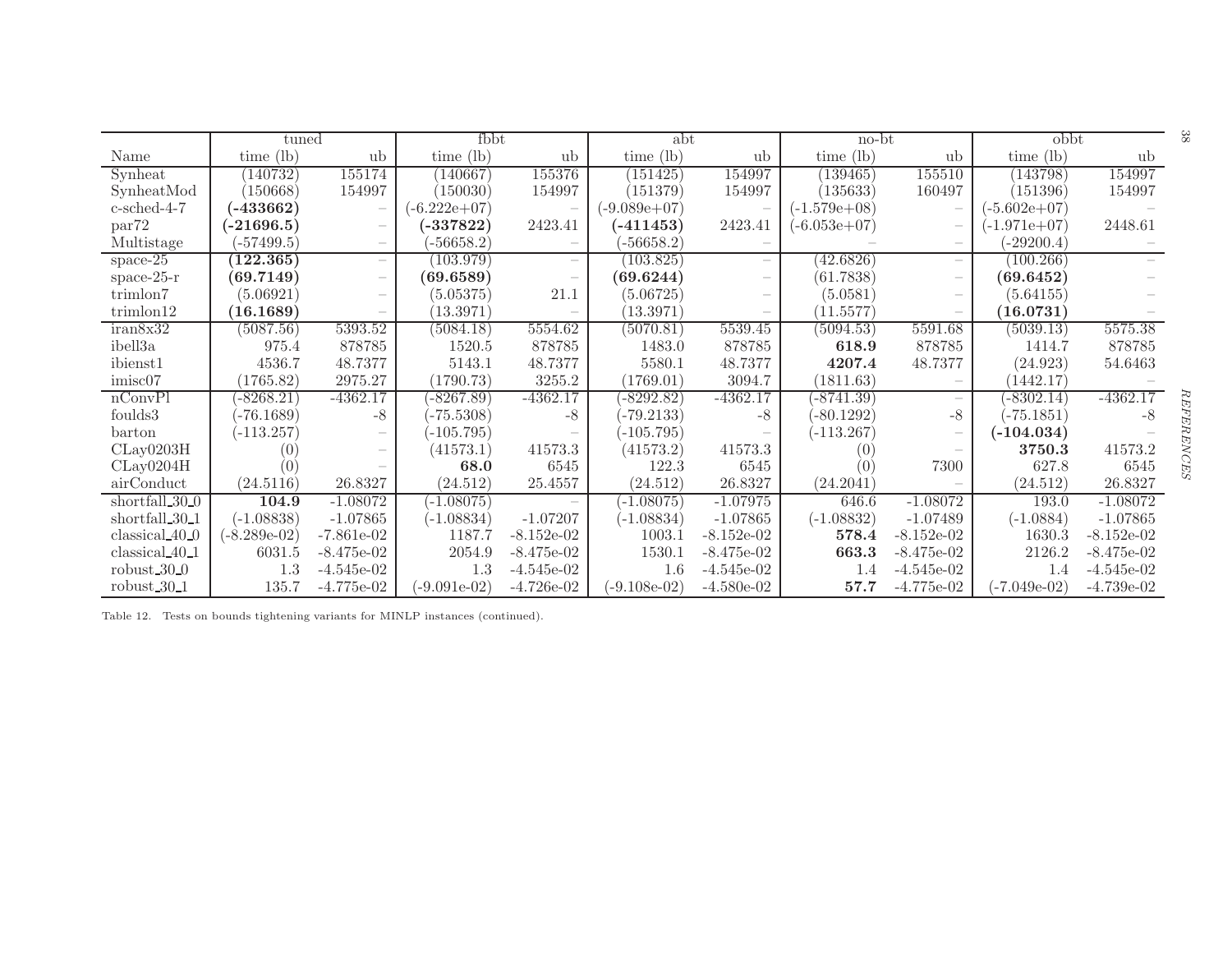|                            | tuned          |                          | fbbt           |                          | abt            |              | no-bt          |                          | obbt           |              | ಜ  |
|----------------------------|----------------|--------------------------|----------------|--------------------------|----------------|--------------|----------------|--------------------------|----------------|--------------|----|
| Name                       | time $(lb)$    | ub                       | time (lb)      | ub                       | time $(lb)$    | ub           | time $(lb)$    | ub                       | $time$ (lb)    | ub           |    |
| Synheat                    | (140732)       | 155174                   | (140667)       | 155376                   | (151425)       | 154997       | (139465)       | 155510                   | (143798)       | 154997       |    |
| SynheatMod                 | (150668)       | 154997                   | (150030)       | 154997                   | (151379)       | 154997       | (135633)       | 160497                   | (151396)       | 154997       |    |
| $c$ -sched-4-7             | $(-433662)$    | $\qquad \qquad -$        | $(-6.222e+07)$ | $\overline{\phantom{a}}$ | $(-9.089e+07)$ |              | $(-1.579e+08)$ |                          | $(-5.602e+07)$ |              |    |
| par <sup>72</sup>          | (-21696.5)     | $\overline{\phantom{a}}$ | $-337822$      | 2423.41                  | (-411453)      | 2423.41      | $(-6.053e+07)$ | $\overline{\phantom{a}}$ | (-1.971e+07)   | 2448.61      |    |
| Multistage                 | $(-57499.5)$   |                          | $-56658.2$     |                          | $-56658.2$     |              |                |                          | $-29200.4)$    |              |    |
| space- $25$                | (122.365)      | $\overline{\phantom{a}}$ | (103.979)      | $\overline{\phantom{a}}$ | (103.825)      |              | 42.6826        |                          | (100.266)      |              |    |
| space- $25-r$              | (69.7149)      |                          | (69.6589)      | $\overline{\phantom{a}}$ | (69.6244)      |              | (61.7838)      |                          | (69.6452)      |              |    |
| trimlon7                   | (5.06921)      | $\overline{\phantom{a}}$ | (5.05375)      | 21.1                     | (5.06725)      |              | (5.0581)       |                          | (5.64155)      |              |    |
| trimlon12                  | (16.1689)      | $\overline{\phantom{m}}$ | (13.3971)      |                          | (13.3971)      |              | (11.5577)      |                          | (16.0731)      |              |    |
| iran8x32                   | (5087.56)      | 5393.52                  | (5084.18)      | 5554.62                  | (5070.81)      | 5539.45      | (5094.53)      | 5591.68                  | (5039.13)      | 5575.38      |    |
| ibell3a                    | 975.4          | 878785                   | 1520.5         | 878785                   | 1483.0         | 878785       | 618.9          | 878785                   | 1414.7         | 878785       |    |
| ibienst1                   | 4536.7         | 48.7377                  | 5143.1         | 48.7377                  | 5580.1         | 48.7377      | 4207.4         | 48.7377                  | (24.923)       | 54.6463      |    |
| imisc07                    | (1765.82)      | 2975.27                  | (1790.73)      | 3255.2                   | (1769.01)      | 3094.7       | (1811.63)      |                          | (1442.17)      |              |    |
| nConvPI                    | $-8268.21)$    | $-4362.17$               | -8267.89)      | $-4362.17$               | $-8292.82$     | $-4362.17$   | $-8741.39)$    |                          | $-8302.14)$    | $-4362.17$   | RE |
| foulds3                    | $-76.1689)$    | -8                       | $-75.5308)$    | $-8$                     | $(-79.2133)$   | $-8$         | $-80.1292)$    | $-8$                     | $-75.1851)$    | -8           |    |
| barton                     | $(-113.257)$   |                          | $-105.795)$    |                          | $-105.795)$    |              | $(-113.267)$   |                          | $(-104.034)$   |              |    |
| CLay0203H                  | (O)            |                          | (41573.1)      | 41573.3                  | (41573.2)      | 41573.3      | 0)             |                          | 3750.3         | 41573.2      |    |
| CLay0204H                  | (0)            |                          | 68.0           | 6545                     | 122.3          | 6545         | 0)             | 7300                     | 627.8          | 6545         |    |
| airConduct                 | (24.5116)      | 26.8327                  | (24.512)       | 25.4557                  | (24.512)       | 26.8327      | (24.2041)      |                          | (24.512)       | 26.8327      |    |
| shortfall 30 <sub>-0</sub> | 104.9          | $-1.08072$               | $-1.08075$     |                          | $-1.08075$     | $-1.07975$   | 646.6          | $-1.08072$               | 193.0          | $-1.08072$   |    |
| shortfall_30_1             | $(-1.08838)$   | $-1.07865$               | $(-1.08834)$   | $-1.07207$               | $(-1.08834)$   | $-1.07865$   | $(-1.08832)$   | $-1.07489$               | $(-1.0884)$    | $-1.07865$   |    |
| classical 40.0             | $(-8.289e-02)$ | $-7.861e-02$             | 1187.7         | $-8.152e-02$             | 1003.1         | $-8.152e-02$ | 578.4          | $-8.152e-02$             | 1630.3         | $-8.152e-02$ |    |
| classical <sub>40-1</sub>  | 6031.5         | $-8.475e-02$             | 2054.9         | $-8.475e-02$             | 1530.1         | $-8.475e-02$ | 663.3          | $-8.475e-02$             | 2126.2         | $-8.475e-02$ |    |
| robust $30-0$              | 1.3            | $-4.545e-02$             | 1.3            | $-4.545e-02$             | 1.6            | $-4.545e-02$ | 1.4            | $-4.545e-02$             | 1.4            | $-4.545e-02$ |    |
| robust $30-1$              | 135.7          | $-4.775e-02$             | $(-9.091e-02)$ | $-4.726e-02$             | $(-9.108e-02)$ | $-4.580e-02$ | 57.7           | $-4.775e-02$             | (-7.049e-02)   | $-4.739e-02$ |    |

<span id="page-38-0"></span>Table 12. Tests on bounds tightening variants for MINLP instances (continued).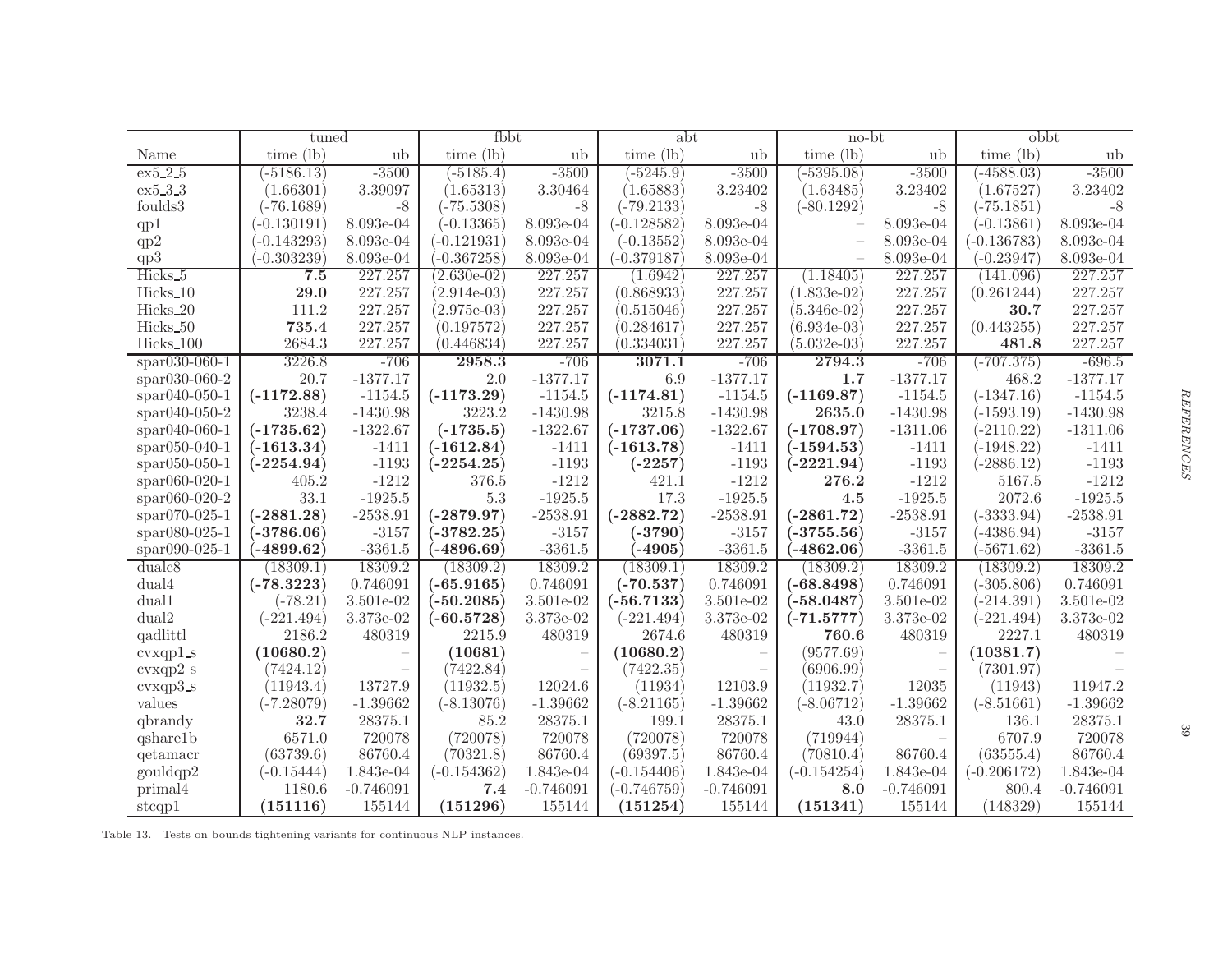|                      | tuned         |                          | fbbt          |             | abt           |             | no-bt         |             | obbt          |             |  |
|----------------------|---------------|--------------------------|---------------|-------------|---------------|-------------|---------------|-------------|---------------|-------------|--|
| Name                 | time $(lb)$   | ub                       | time $(lb)$   | ub          | $time$ (lb)   | ub          | time $(lb)$   | ub          | $time$ (lb)   | ub          |  |
| ex5.2.5              | $(-5186.13)$  | $-3500$                  | $(-5185.4)$   | $-3500$     | $(-5245.9)$   | $-3500$     | $-5395.08$    | $-3500$     | $(-4588.03)$  | $-3500$     |  |
| ex5.3.3              | (1.66301)     | 3.39097                  | (1.65313)     | 3.30464     | (1.65883)     | 3.23402     | (1.63485)     | 3.23402     | (1.67527)     | 3.23402     |  |
| foulds3              | $(-76.1689)$  | $-8$                     | $(-75.5308)$  | $-8$        | $(-79.2133)$  | $-8$        | $(-80.1292)$  | $-8$        | $(-75.1851)$  | $-8$        |  |
| qp1                  | $(-0.130191)$ | 8.093e-04                | $(-0.13365)$  | 8.093e-04   | $(-0.128582)$ | 8.093e-04   |               | 8.093e-04   | $(-0.13861)$  | 8.093e-04   |  |
| qp2                  | $(-0.143293)$ | 8.093e-04                | $(-0.121931)$ | 8.093e-04   | $(-0.13552)$  | 8.093e-04   |               | 8.093e-04   | $(-0.136783)$ | 8.093e-04   |  |
| qp3                  | $(-0.303239)$ | 8.093e-04                | $(-0.367258)$ | 8.093e-04   | $(-0.379187)$ | 8.093e-04   |               | 8.093e-04   | $(-0.23947)$  | 8.093e-04   |  |
| Hicks <sub>5</sub>   | 7.5           | 227.257                  | $(2.630e-02)$ | 227.257     | (1.6942)      | 227.257     | (1.18405)     | 227.257     | (141.096)     | 227.257     |  |
| Hicks_10             | 29.0          | 227.257                  | $(2.914e-03)$ | 227.257     | (0.868933)    | 227.257     | $(1.833e-02)$ | 227.257     | (0.261244)    | 227.257     |  |
| Hicks_20             | 111.2         | 227.257                  | $(2.975e-03)$ | 227.257     | (0.515046)    | 227.257     | $(5.346e-02)$ | 227.257     | 30.7          | 227.257     |  |
| Hicks_50             | 735.4         | 227.257                  | (0.197572)    | 227.257     | (0.284617)    | 227.257     | $(6.934e-03)$ | 227.257     | (0.443255)    | 227.257     |  |
| Hicks_100            | 2684.3        | 227.257                  | (0.446834)    | 227.257     | (0.334031)    | 227.257     | $(5.032e-03)$ | 227.257     | 481.8         | 227.257     |  |
| $*$ spar030-060-1    | 3226.8        | $-706$                   | 2958.3        | $-706$      | 3071.1        | $-706$      | 2794.3        | $-706$      | $(-707.375)$  | $-696.5$    |  |
| $*$ par030-060-2     | 20.7          | $-1377.17$               | 2.0           | $-1377.17$  | 6.9           | $-1377.17$  | 1.7           | $-1377.17$  | 468.2         | $-1377.17$  |  |
| $spr040-050-1$       | $(-1172.88)$  | $-1154.5$                | $(-1173.29)$  | $-1154.5$   | $(-1174.81)$  | $-1154.5$   | $(-1169.87)$  | $-1154.5$   | $(-1347.16)$  | $-1154.5$   |  |
| $*$ par040-050-2     | 3238.4        | $-1430.98$               | 3223.2        | $-1430.98$  | 3215.8        | $-1430.98$  | 2635.0        | $-1430.98$  | $(-1593.19)$  | $-1430.98$  |  |
| $*$ spar040-060-1    | $(-1735.62)$  | $-1322.67$               | $(-1735.5)$   | $-1322.67$  | $(-1737.06)$  | $-1322.67$  | $(-1708.97)$  | $-1311.06$  | $(-2110.22)$  | $-1311.06$  |  |
| $*$ par $050-040-1$  | $(-1613.34)$  | $-1411$                  | $(-1612.84)$  | $-1411$     | $(-1613.78)$  | $-1411$     | $(-1594.53)$  | $-1411$     | $(-1948.22)$  | $-1411$     |  |
| $*$ spar $050-050-1$ | $(-2254.94)$  | $-1193$                  | $(-2254.25)$  | $-1193$     | $(-2257)$     | $-1193$     | $(-2221.94)$  | $-1193$     | $(-2886.12)$  | $-1193$     |  |
| $*$ par060-020-1     | 405.2         | $-1212$                  | 376.5         | $-1212$     | 421.1         | $-1212$     | 276.2         | $-1212$     | 5167.5        | $-1212$     |  |
| $*$ par060-020-2     | 33.1          | $-1925.5$                | $5.3\,$       | $-1925.5$   | 17.3          | $-1925.5$   | 4.5           | $-1925.5$   | 2072.6        | $-1925.5$   |  |
| $*$ par070-025-1     | $(-2881.28)$  | $-2538.91$               | $(-2879.97)$  | $-2538.91$  | $(-2882.72)$  | $-2538.91$  | $(-2861.72)$  | $-2538.91$  | $(-3333.94)$  | $-2538.91$  |  |
| $*$ par $080-025-1$  | $(-3786.06)$  | $-3157$                  | $(-3782.25)$  | $-3157$     | $(-3790)$     | $-3157$     | $(-3755.56)$  | $-3157$     | $(-4386.94)$  | $-3157$     |  |
| spar090-025-1        | $(-4899.62)$  | $-3361.5$                | $(-4896.69)$  | $-3361.5$   | $(-4905)$     | $-3361.5$   | $(-4862.06)$  | $-3361.5$   | $(-5671.62)$  | $-3361.5$   |  |
| dualc <sub>8</sub>   | (18309.1)     | 18309.2                  | (18309.2)     | 18309.2     | (18309.1)     | 18309.2     | (18309.2)     | 18309.2     | (18309.2)     | 18309.2     |  |
| dual4                | $(-78.3223)$  | 0.746091                 | $(-65.9165)$  | 0.746091    | $(-70.537)$   | 0.746091    | $(-68.8498)$  | 0.746091    | $(-305.806)$  | 0.746091    |  |
| dual1                | $(-78.21)$    | 3.501e-02                | $(-50.2085)$  | 3.501e-02   | $(-56.7133)$  | 3.501e-02   | $(-58.0487)$  | 3.501e-02   | $(-214.391)$  | 3.501e-02   |  |
| dual2                | $(-221.494)$  | 3.373e-02                | $(-60.5728)$  | 3.373e-02   | $(-221.494)$  | 3.373e-02   | $(-71.5777)$  | 3.373e-02   | $(-221.494)$  | 3.373e-02   |  |
| qadlittl             | 2186.2        | 480319                   | 2215.9        | 480319      | 2674.6        | 480319      | 760.6         | 480319      | 2227.1        | 480319      |  |
| $cvxqp1_s$           | (10680.2)     | $\overline{\phantom{a}}$ | (10681)       |             | (10680.2)     |             | (9577.69)     |             | (10381.7)     |             |  |
| $cvxqp2_s$           | (7424.12)     |                          | (7422.84)     |             | (7422.35)     |             | (6906.99)     | $\equiv$    | (7301.97)     |             |  |
| cvxqp3s              | (11943.4)     | 13727.9                  | (11932.5)     | 12024.6     | (11934)       | 12103.9     | (11932.7)     | 12035       | (11943)       | 11947.2     |  |
| values               | $(-7.28079)$  | $-1.39662$               | $(-8.13076)$  | $-1.39662$  | $(-8.21165)$  | $-1.39662$  | $(-8.06712)$  | $-1.39662$  | $(-8.51661)$  | $-1.39662$  |  |
| qbrandy              | 32.7          | 28375.1                  | 85.2          | 28375.1     | 199.1         | 28375.1     | 43.0          | 28375.1     | 136.1         | 28375.1     |  |
| qshare1b             | 6571.0        | 720078                   | (720078)      | 720078      | (720078)      | 720078      | (719944)      |             | 6707.9        | 720078      |  |
| qetamacr             | (63739.6)     | 86760.4                  | (70321.8)     | 86760.4     | (69397.5)     | 86760.4     | (70810.4)     | 86760.4     | (63555.4)     | 86760.4     |  |
| gouldqp2             | $(-0.15444)$  | 1.843e-04                | $(-0.154362)$ | 1.843e-04   | $(-0.154406)$ | 1.843e-04   | $(-0.154254)$ | 1.843e-04   | $(-0.206172)$ | 1.843e-04   |  |
| primal4              | 1180.6        | $-0.746091$              | 7.4           | $-0.746091$ | $(-0.746759)$ | $-0.746091$ | 8.0           | $-0.746091$ | 800.4         | $-0.746091$ |  |
| stcqp1               | (151116)      | 155144                   | (151296)      | 155144      | (151254)      | 155144      | (151341)      | 155144      | (148329)      | 155144      |  |

<span id="page-39-0"></span>Table 13. Tests on bounds tightening variants for continuous NLP instances.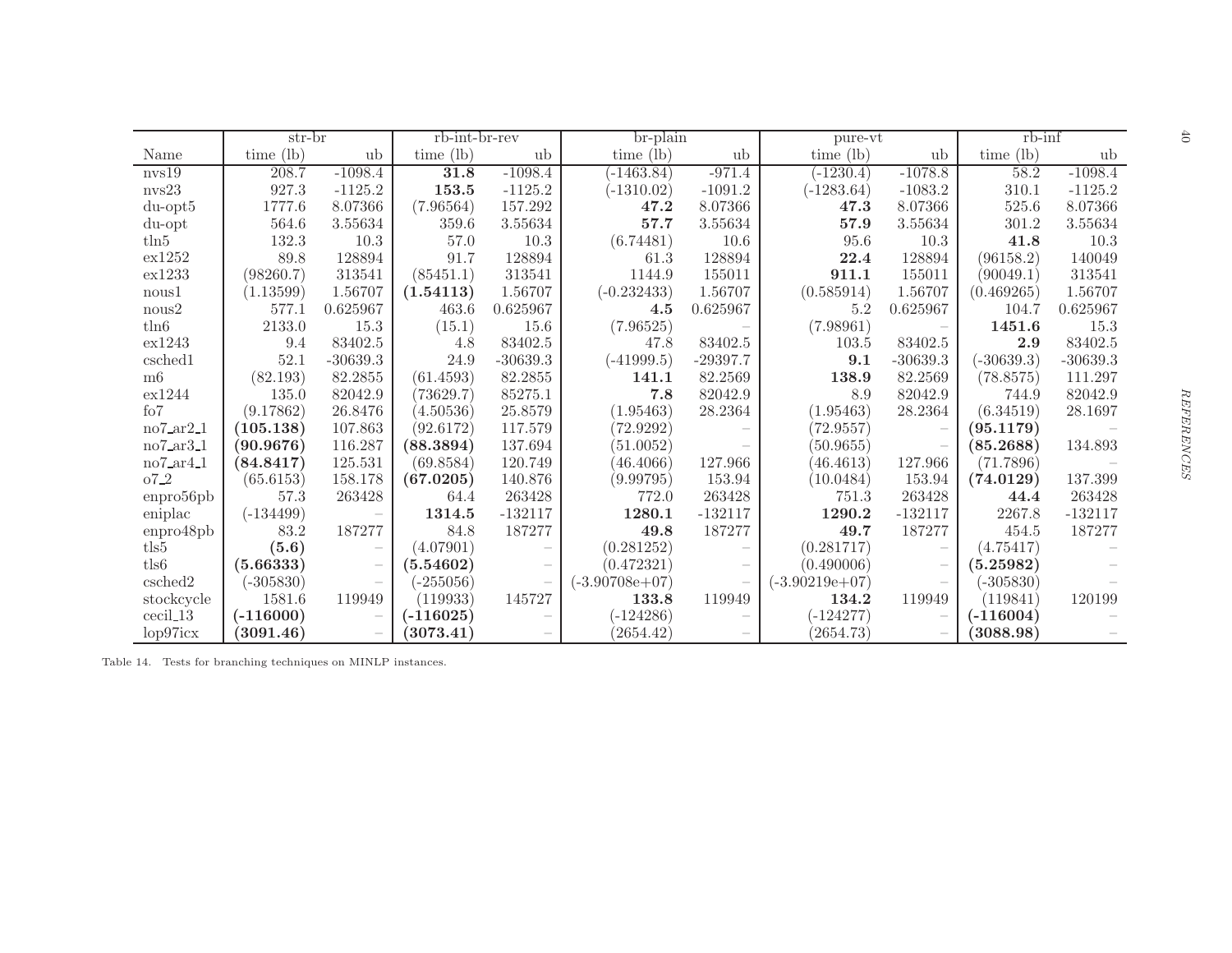|                   | str-br      |                                 | $r\overline{b\text{-}int\text{-}}br\text{-}rev$ |                          | br-plain         |                          | pure-vt          |                          | $rb$ - $\inf$ |            | $\ddot{\sigma}$ |
|-------------------|-------------|---------------------------------|-------------------------------------------------|--------------------------|------------------|--------------------------|------------------|--------------------------|---------------|------------|-----------------|
| Name              | time (lb)   | ub                              | time $(lb)$                                     | ub                       | time $(lb)$      | ub                       | time (lb)        | ub                       | time (lb)     | ub         |                 |
| nvs19             | 208.7       | $-1098.4$                       | 31.8                                            | $-1098.4$                | $(-1463.84)$     | $-971.4$                 | $(-1230.4)$      | $-1078.8$                | 58.2          | $-1098.4$  |                 |
| $\text{nvs}23$    | 927.3       | $-1125.2$                       | 153.5                                           | $-1125.2$                | $(-1310.02)$     | $-1091.2$                | $(-1283.64)$     | $-1083.2$                | 310.1         | $-1125.2$  |                 |
| $du$ -opt $5$     | 1777.6      | 8.07366                         | (7.96564)                                       | 157.292                  | 47.2             | 8.07366                  | 47.3             | 8.07366                  | 525.6         | 8.07366    |                 |
| du-opt            | 564.6       | 3.55634                         | 359.6                                           | $3.55634\,$              | 57.7             | 3.55634                  | 57.9             | 3.55634                  | 301.2         | 3.55634    |                 |
| $t\ln 5$          | 132.3       | 10.3                            | 57.0                                            | 10.3                     | (6.74481)        | 10.6                     | 95.6             | 10.3                     | 41.8          | 10.3       |                 |
| $\mathrm{ex}1252$ | 89.8        | 128894                          | 91.7                                            | 128894                   | 61.3             | 128894                   | 22.4             | 128894                   | (96158.2)     | 140049     |                 |
| ex1233            | (98260.7)   | 313541                          | (85451.1)                                       | 313541                   | 1144.9           | 155011                   | 911.1            | 155011                   | (90049.1)     | 313541     |                 |
| nous1             | (1.13599)   | 1.56707                         | (1.54113)                                       | 1.56707                  | $(-0.232433)$    | 1.56707                  | (0.585914)       | 1.56707                  | (0.469265)    | 1.56707    |                 |
| nous2             | 577.1       | 0.625967                        | 463.6                                           | 0.625967                 | 4.5              | 0.625967                 | 5.2              | 0.625967                 | 104.7         | 0.625967   |                 |
| tln6              | 2133.0      | $15.3\,$                        | (15.1)                                          | 15.6                     | (7.96525)        |                          | (7.98961)        | $\overline{\phantom{a}}$ | 1451.6        | 15.3       |                 |
| ex1243            | 9.4         | 83402.5                         | 4.8                                             | 83402.5                  | 47.8             | 83402.5                  | 103.5            | 83402.5                  | 2.9           | 83402.5    |                 |
| csched1           | 52.1        | $-30639.3$                      | $24.9\,$                                        | $-30639.3$               | $(-41999.5)$     | $-29397.7$               | 9.1              | $-30639.3$               | $-30639.3)$   | $-30639.3$ |                 |
| m6                | (82.193)    | 82.2855                         | (61.4593)                                       | 82.2855                  | 141.1            | 82.2569                  | 138.9            | 82.2569                  | (78.8575)     | 111.297    |                 |
| ex1244            | 135.0       | 82042.9                         | (73629.7)                                       | 85275.1                  | 7.8              | 82042.9                  | 8.9              | 82042.9                  | 744.9         | 82042.9    |                 |
| $\rm{fo}7$        | (9.17862)   | 26.8476                         | (4.50536)                                       | 25.8579                  | (1.95463)        | 28.2364                  | (1.95463)        | 28.2364                  | (6.34519)     | 28.1697    | REFERENCES      |
| $no7ar2_1$        | (105.138)   | 107.863                         | (92.6172)                                       | 117.579                  | (72.9292)        | $\overline{\phantom{m}}$ | (72.9557)        | $\overline{\phantom{m}}$ | (95.1179)     |            |                 |
| $no7_ara3_1$      | (90.9676)   | 116.287                         | (88.3894)                                       | 137.694                  | (51.0052)        |                          | (50.9655)        |                          | (85.2688)     | 134.893    |                 |
| $no7_ard_1$       | (84.8417)   | 125.531                         | (69.8584)                                       | 120.749                  | (46.4066)        | 127.966                  | (46.4613)        | 127.966                  | (71.7896)     |            |                 |
| $07-2$            | (65.6153)   | 158.178                         | (67.0205)                                       | 140.876                  | (9.99795)        | 153.94                   | (10.0484)        | 153.94                   | (74.0129)     | 137.399    |                 |
| enpro56pb         | 57.3        | 263428                          | 64.4                                            | 263428                   | 772.0            | 263428                   | 751.3            | 263428                   | 44.4          | 263428     |                 |
| eniplac           | $(-134499)$ | $\hspace{0.1mm}-\hspace{0.1mm}$ | 1314.5                                          | $-132117$                | 1280.1           | $-132117$                | 1290.2           | $-132117$                | 2267.8        | $-132117$  |                 |
| enpro48pb         | 83.2        | 187277                          | 84.8                                            | 187277                   | 49.8             | 187277                   | 49.7             | 187277                   | 454.5         | 187277     |                 |
| tls5              | (5.6)       | $\overline{\phantom{a}}$        | (4.07901)                                       |                          | (0.281252)       |                          | (0.281717)       | $\overline{\phantom{m}}$ | (4.75417)     |            |                 |
| tls6              | (5.66333)   | $\overline{\phantom{m}}$        | $\left( 5.54602\right)$                         | $\overline{\phantom{a}}$ | (0.472321)       | $\overline{\phantom{a}}$ | (0.490006)       | $\overline{\phantom{m}}$ | (5.25982)     |            |                 |
| csched2           | $(-305830)$ | $\overline{\phantom{m}}$        | $(-255056)$                                     | $\overline{\phantom{m}}$ | $(-3.90708e+07)$ | $\overline{\phantom{m}}$ | $(-3.90219e+07)$ | $\overline{\phantom{m}}$ | $-305830)$    |            |                 |
| stockcycle        | 1581.6      | 119949                          | (119933)                                        | 145727                   | 133.8            | 119949                   | 134.2            | 119949                   | (119841)      | 120199     |                 |
| cecil_13          | $(-116000)$ | $\overline{\phantom{m}}$        | $(-116025)$                                     |                          | $(-124286)$      |                          | (-124277)        | $\overline{\phantom{a}}$ | $(-116004)$   |            |                 |
| lop97icx          | (3091.46)   | $\overline{\phantom{a}}$        | (3073.41)                                       |                          | (2654.42)        |                          | (2654.73)        |                          | (3088.98)     |            |                 |

<span id="page-40-0"></span>Table 14. Tests for branching techniques on MINLP instances.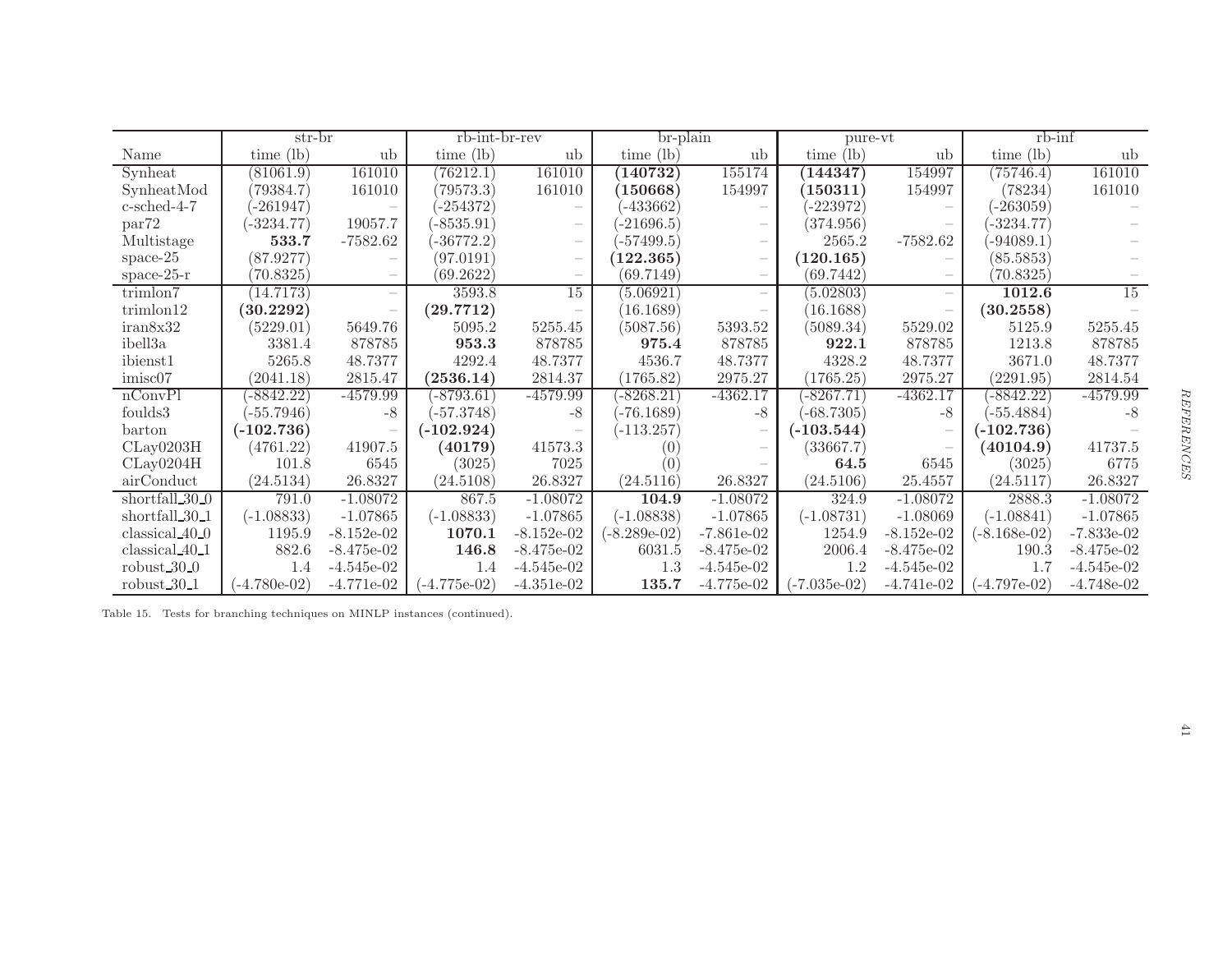|                            | str-br         |              | rb-int-br-rev  |                          | br-plain       |              | pure-vt        |                          | $rb$ - $\inf$  |              |
|----------------------------|----------------|--------------|----------------|--------------------------|----------------|--------------|----------------|--------------------------|----------------|--------------|
| Name                       | $time$ (lb)    | ub           | $time$ (lb)    | ub                       | time $(lb)$    | ub           | time (lb)      | ub                       | time (lb)      | ub           |
| Synheat                    | (81061.9)      | 161010       | (76212.1)      | 161010                   | (140732)       | 155174       | (144347)       | 154997                   | (75746.4)      | 161010       |
| SynheatMod                 | 79384.7)       | 161010       | (79573.3)      | 161010                   | (150668)       | 154997       | (150311)       | 154997                   | (78234)        | 161010       |
| $c$ -sched-4-7             | -261947)       |              | $-254372)$     |                          | $-433662$      |              | $-223972$      |                          | $-263059$      |              |
| par <sup>72</sup>          | $-3234.77)$    | 19057.7      | $-8535.91$     | $\overline{\phantom{a}}$ | $-21696.5)$    |              | (374.956)      |                          | $-3234.77)$    |              |
| Multistage                 | 533.7          | $-7582.62$   | $-36772.2)$    |                          | $-57499.5$     |              | 2565.2         | $-7582.62$               | $-94089.1)$    |              |
| $space-25$                 | (87.9277)      |              | (97.0191)      |                          | 122.365)       |              | (120.165)      |                          | (85.5853)      |              |
| space- $25-r$              | (70.8325)      |              | (69.2622)      | $\overline{\phantom{m}}$ | (69.7149)      |              | (69.7442)      | $\overline{\phantom{a}}$ | (70.8325)      |              |
| trimlon7                   | (14.7173)      |              | 3593.8         | 15                       | (5.06921)      |              | (5.02803)      | $\overline{\phantom{a}}$ | 1012.6         | 15           |
| trimlon12                  | (30.2292)      |              | (29.7712)      |                          | (16.1689)      |              | (16.1688)      |                          | (30.2558)      |              |
| iran8x32                   | (5229.01)      | 5649.76      | 5095.2         | 5255.45                  | (5087.56)      | 5393.52      | (5089.34)      | 5529.02                  | 5125.9         | 5255.45      |
| ibell3a                    | 3381.4         | 878785       | 953.3          | 878785                   | 975.4          | 878785       | 922.1          | 878785                   | 1213.8         | 878785       |
| ibienst1                   | 5265.8         | 48.7377      | 4292.4         | 48.7377                  | 4536.7         | 48.7377      | 4328.2         | 48.7377                  | 3671.0         | 48.7377      |
| imisc07                    | (2041.18)      | 2815.47      | (2536.14)      | 2814.37                  | (1765.82)      | 2975.27      | (1765.25)      | 2975.27                  | (2291.95)      | 2814.54      |
| nConvPI                    | $-8842.22$     | $-4579.99$   | $-8793.61$     | $-4579.99$               | $-8268.21$     | $-4362.17$   | $-8267.71$     | $-4362.17$               | $-8842.22$     | $-4579.99$   |
| foulds3                    | $-55.7946)$    | -8           | $(-57.3748)$   | $-8$                     | $-76.1689$     | $-8$         | $-68.7305)$    | -8                       | $-55.4884)$    | -8           |
| barton                     | $(-102.736)$   |              | $(-102.924)$   |                          | $(-113.257)$   |              | $(-103.544)$   | $\overline{\phantom{a}}$ | $(-102.736)$   |              |
| CLay0203H                  | (4761.22)      | 41907.5      | (40179)        | 41573.3                  |                |              | (33667.7)      |                          | (40104.9)      | 41737.5      |
| CLay0204H                  | 101.8          | 6545         | (3025)         | 7025                     |                |              | 64.5           | 6545                     | (3025)         | 6775         |
| airConduct                 | (24.5134)      | 26.8327      | (24.5108)      | 26.8327                  | (24.5116)      | 26.8327      | (24.5106)      | 25.4557                  | (24.5117)      | 26.8327      |
| shortfall 30 <sub>-0</sub> | 791.0          | $-1.08072$   | 867.5          | $-1.08072$               | 104.9          | $-1.08072$   | 324.9          | $-1.08072$               | 2888.3         | $-1.08072$   |
| shortfall 30 <sub>-1</sub> | $(-1.08833)$   | $-1.07865$   | $(-1.08833)$   | $-1.07865$               | $(-1.08838)$   | $-1.07865$   | $(-1.08731)$   | $-1.08069$               | $(-1.08841)$   | $-1.07865$   |
| $classical_40_0$           | 1195.9         | $-8.152e-02$ | 1070.1         | $-8.152e-02$             | $(-8.289e-02)$ | $-7.861e-02$ | 1254.9         | $-8.152e-02$             | $(-8.168e-02)$ | $-7.833e-02$ |
| classical 40 <sub>-1</sub> | 882.6          | $-8.475e-02$ | 146.8          | $-8.475e-02$             | 6031.5         | $-8.475e-02$ | 2006.4         | $-8.475e-02$             | 190.3          | $-8.475e-02$ |
| robust $30-0$              | 1.4            | $-4.545e-02$ | 1.4            | $-4.545e-02$             | 1.3            | $-4.545e-02$ | 1.2            | $-4.545e-02$             | 1.7            | $-4.545e-02$ |
| robust $30-1$              | $(-4.780e-02)$ | $-4.771e-02$ | $(-4.775e-02)$ | $-4.351e-02$             | 135.7          | $-4.775e-02$ | $(-7.035e-02)$ | $-4.741e-02$             | $(-4.797e-02)$ | $-4.748e-02$ |

<span id="page-41-0"></span>Table 15. Tests for branching techniques on MINLP instances (continued).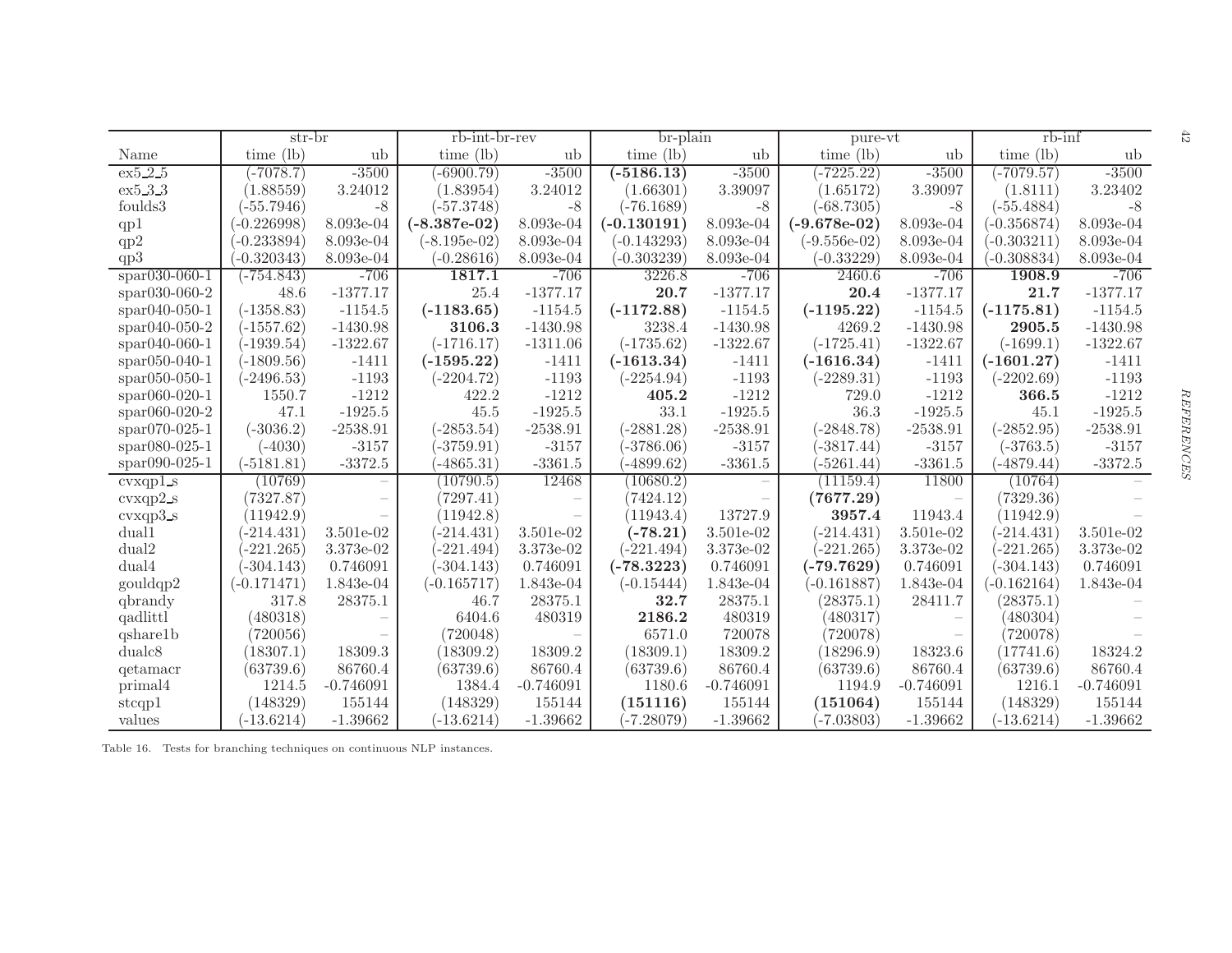|                     | str-br        |             | rb-int-br-rev  |                          | br-plain      |                          | pure-vt        |             | $rb$ - $\inf$ |             | 47      |
|---------------------|---------------|-------------|----------------|--------------------------|---------------|--------------------------|----------------|-------------|---------------|-------------|---------|
| Name                | time $(lb)$   | ub          | $time$ (lb)    | ub                       | $time$ (lb)   | ub                       | time (lb)      | ub          | time $(lb)$   | ub          |         |
| ex5.2.5             | $-7078.7)$    | $-3500$     | $-6900.79)$    | $-3500$                  | $(-5186.13)$  | $-3500$                  | $(-7225.22)$   | $-3500$     | $(-7079.57)$  | $-3500$     |         |
| ex5.3.3             | (1.88559)     | 3.24012     | (1.83954)      | 3.24012                  | (1.66301)     | 3.39097                  | (1.65172)      | 3.39097     | (1.8111)      | 3.23402     |         |
| foulds3             | $-55.7946)$   | $-8$        | $(-57.3748)$   | $-8$                     | $(-76.1689)$  | $-8$                     | $(-68.7305)$   | $-8$        | $(-55.4884)$  | $-8$        |         |
| qp1                 | $-0.226998$   | 8.093e-04   | $(-8.387e-02)$ | 8.093e-04                | $(-0.130191)$ | 8.093e-04                | $(-9.678e-02)$ | 8.093e-04   | $(-0.356874)$ | 8.093e-04   |         |
| qp2                 | $-0.233894)$  | 8.093e-04   | $(-8.195e-02)$ | 8.093e-04                | $(-0.143293)$ | 8.093e-04                | $(-9.556e-02)$ | 8.093e-04   | $(-0.303211)$ | 8.093e-04   |         |
| qp3                 | $(-0.320343)$ | 8.093e-04   | $(-0.28616)$   | 8.093e-04                | $(-0.303239)$ | 8.093e-04                | $(-0.33229)$   | 8.093e-04   | $-0.308834$   | 8.093e-04   |         |
| $span(030-060-1)$   | $(-754.843)$  | $-706$      | 1817.1         | $-706$                   | 3226.8        | $-706$                   | 2460.6         | $-706$      | 1908.9        | $-706$      |         |
| $*$ par030-060-2    | 48.6          | $-1377.17$  | 25.4           | $-1377.17$               | 20.7          | $-1377.17$               | 20.4           | $-1377.17$  | 21.7          | $-1377.17$  |         |
| $spr040-050-1$      | $(-1358.83)$  | $-1154.5$   | $(-1183.65)$   | $-1154.5$                | $(-1172.88)$  | $-1154.5$                | $(-1195.22)$   | $-1154.5$   | $(-1175.81)$  | $-1154.5$   |         |
| spar040-050-2       | $(-1557.62)$  | $-1430.98$  | 3106.3         | $-1430.98$               | 3238.4        | $-1430.98$               | 4269.2         | $-1430.98$  | 2905.5        | $-1430.98$  |         |
| $*$ par040-060-1    | $(-1939.54)$  | $-1322.67$  | $(-1716.17)$   | $-1311.06$               | $(-1735.62)$  | $-1322.67$               | $(-1725.41)$   | $-1322.67$  | $(-1699.1)$   | $-1322.67$  |         |
| $*$ par $050-040-1$ | $(-1809.56)$  | $-1411$     | $(-1595.22)$   | $-1411$                  | $(-1613.34)$  | $-1411$                  | $(-1616.34)$   | $-1411$     | $(-1601.27)$  | $-1411$     |         |
| $*$ par050-050-1    | $(-2496.53)$  | $-1193$     | $(-2204.72)$   | $-1193$                  | $(-2254.94)$  | $-1193$                  | $(-2289.31)$   | $-1193$     | $(-2202.69)$  | $-1193$     |         |
| $*$ par060-020-1    | 1550.7        | $-1212$     | 422.2          | $-1212$                  | 405.2         | $-1212$                  | 729.0          | $-1212$     | 366.5         | $-1212$     |         |
| $*$ par060-020-2    | 47.1          | $-1925.5$   | 45.5           | $-1925.5$                | 33.1          | $-1925.5$                | 36.3           | $-1925.5$   | 45.1          | $-1925.5$   | REFEREN |
| $*$ par070-025-1    | $(-3036.2)$   | $-2538.91$  | $(-2853.54)$   | $-2538.91$               | $(-2881.28)$  | $-2538.91$               | $(-2848.78)$   | $-2538.91$  | $(-2852.95)$  | $-2538.91$  |         |
| $span080-025-1$     | $(-4030)$     | $-3157$     | $-3759.91)$    | $-3157$                  | $-3786.06$    | $-3157$                  | $-3817.44)$    | $-3157$     | $(-3763.5)$   | $-3157$     |         |
| spar090-025-1       | $(-5181.81)$  | $-3372.5$   | $-4865.31)$    | $-3361.5$                | $(-4899.62)$  | $-3361.5$                | $-5261.44$     | $-3361.5$   | $(-4879.44)$  | $-3372.5$   |         |
| cvxqp1s             | (10769)       |             | (10790.5)      | 12468                    | (10680.2)     | $\overline{\phantom{a}}$ | (11159.4)      | 11800       | (10764)       |             |         |
| $cvxqp2_s$          | (7327.87)     |             | (7297.41)      | $\overline{\phantom{m}}$ | (7424.12)     | $\overline{\phantom{m}}$ | (7677.29)      |             | (7329.36)     |             |         |
| $cvxqp3_s$          | (11942.9)     |             | (11942.8)      |                          | (11943.4)     | 13727.9                  | 3957.4         | 11943.4     | (11942.9)     |             |         |
| dual1               | $(-214.431)$  | 3.501e-02   | $-214.431$     | 3.501e-02                | $(-78.21)$    | 3.501e-02                | $(-214.431)$   | 3.501e-02   | $-214.431)$   | 3.501e-02   |         |
| dual2               | $-221.265)$   | 3.373e-02   | $-221.494$     | 3.373e-02                | $(-221.494)$  | 3.373e-02                | $-221.265$     | 3.373e-02   | $-221.265)$   | 3.373e-02   |         |
| dual4               | $-304.143)$   | 0.746091    | $-304.143$     | 0.746091                 | $(-78.3223)$  | 0.746091                 | $(-79.7629)$   | 0.746091    | $-304.143$    | 0.746091    |         |
| gouldqp2            | $(-0.171471)$ | 1.843e-04   | $(-0.165717)$  | 1.843e-04                | $(-0.15444)$  | 1.843e-04                | $(-0.161887)$  | 1.843e-04   | $(-0.162164)$ | 1.843e-04   |         |
| qbrandy             | 317.8         | 28375.1     | 46.7           | 28375.1                  | 32.7          | 28375.1                  | (28375.1)      | 28411.7     | (28375.1)     |             |         |
| qadlittl            | (480318)      |             | 6404.6         | 480319                   | 2186.2        | 480319                   | (480317)       |             | (480304)      |             |         |
| qshare1b            | (720056)      |             | (720048)       |                          | 6571.0        | 720078                   | (720078)       |             | (720078)      |             |         |
| dualc <sub>8</sub>  | (18307.1)     | 18309.3     | (18309.2)      | 18309.2                  | (18309.1)     | 18309.2                  | (18296.9)      | 18323.6     | (17741.6)     | 18324.2     |         |
| qetamacr            | (63739.6)     | 86760.4     | (63739.6)      | 86760.4                  | (63739.6)     | 86760.4                  | (63739.6)      | 86760.4     | (63739.6)     | 86760.4     |         |
| primal4             | 1214.5        | $-0.746091$ | 1384.4         | $-0.746091$              | 1180.6        | $-0.746091$              | 1194.9         | $-0.746091$ | 1216.1        | $-0.746091$ |         |
| stcqp1              | (148329)      | 155144      | (148329)       | 155144                   | (151116)      | 155144                   | (151064)       | 155144      | (148329)      | 155144      |         |
| values              | $(-13.6214)$  | $-1.39662$  | $(-13.6214)$   | $-1.39662$               | $-7.28079$    | $-1.39662$               | $(-7.03803)$   | $-1.39662$  | $(-13.6214)$  | $-1.39662$  |         |

<span id="page-42-0"></span>Table 16. Tests for branching techniques on continuous NLP instances.

 $42\,$